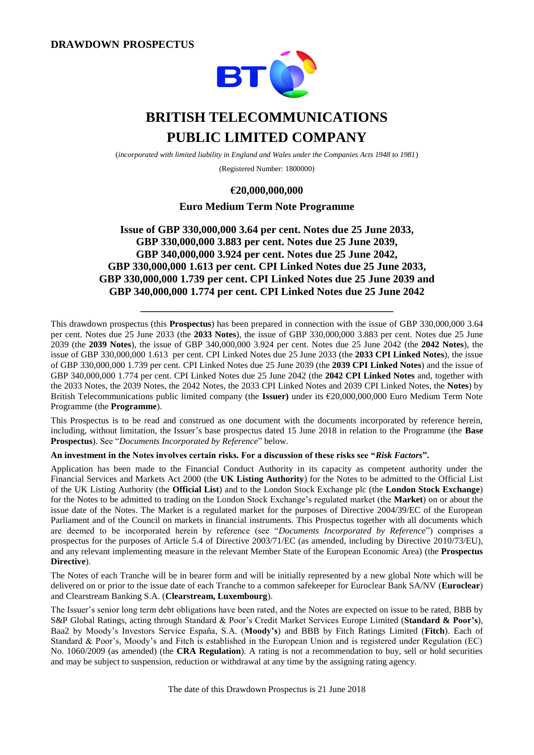

# **BRITISH TELECOMMUNICATIONS PUBLIC LIMITED COMPANY**

(*incorporated with limited liability in England and Wales under the Companies Acts 1948 to 1981*)

(Registered Number: 1800000)

### **€20,000,000,000**

### **Euro Medium Term Note Programme**

### **Issue of GBP 330,000,000 3.64 per cent. Notes due 25 June 2033, GBP 330,000,000 3.883 per cent. Notes due 25 June 2039, GBP 340,000,000 3.924 per cent. Notes due 25 June 2042, GBP 330,000,000 1.613 per cent. CPI Linked Notes due 25 June 2033, GBP 330,000,000 1.739 per cent. CPI Linked Notes due 25 June 2039 and GBP 340,000,000 1.774 per cent. CPI Linked Notes due 25 June 2042**

**\_\_\_\_\_\_\_\_\_\_\_\_\_\_\_\_\_\_\_\_\_\_\_\_\_\_\_\_\_\_\_\_\_\_\_\_\_\_\_\_\_\_\_\_\_\_\_**

This drawdown prospectus (this **Prospectus**) has been prepared in connection with the issue of GBP 330,000,000 3.64 per cent. Notes due 25 June 2033 (the **2033 Notes**), the issue of GBP 330,000,000 3.883 per cent. Notes due 25 June 2039 (the **2039 Notes**), the issue of GBP 340,000,000 3.924 per cent. Notes due 25 June 2042 (the **2042 Notes**), the issue of GBP 330,000,000 1.613 per cent. CPI Linked Notes due 25 June 2033 (the **2033 CPI Linked Notes**), the issue of GBP 330,000,000 1.739 per cent. CPI Linked Notes due 25 June 2039 (the **2039 CPI Linked Notes**) and the issue of GBP 340,000,000 1.774 per cent. CPI Linked Notes due 25 June 2042 (the **2042 CPI Linked Notes** and, together with the 2033 Notes, the 2039 Notes, the 2042 Notes, the 2033 CPI Linked Notes and 2039 CPI Linked Notes, the **Notes**) by British Telecommunications public limited company (the **Issuer)** under its €20,000,000,000 Euro Medium Term Note Programme (the **Programme**).

This Prospectus is to be read and construed as one document with the documents incorporated by reference herein, including, without limitation, the Issuer's base prospectus dated 15 June 2018 in relation to the Programme (the **Base Prospectus**). See "*Documents Incorporated by Reference*" below.

**An investment in the Notes involves certain risks. For a discussion of these risks see "***Risk Factors***".**

Application has been made to the Financial Conduct Authority in its capacity as competent authority under the Financial Services and Markets Act 2000 (the **UK Listing Authority**) for the Notes to be admitted to the Official List of the UK Listing Authority (the **Official List**) and to the London Stock Exchange plc (the **London Stock Exchange**) for the Notes to be admitted to trading on the London Stock Exchange's regulated market (the **Market**) on or about the issue date of the Notes. The Market is a regulated market for the purposes of Directive 2004/39/EC of the European Parliament and of the Council on markets in financial instruments. This Prospectus together with all documents which are deemed to be incorporated herein by reference (see "*Documents Incorporated by Reference*") comprises a prospectus for the purposes of Article 5.4 of Directive 2003/71/EC (as amended, including by Directive 2010/73/EU), and any relevant implementing measure in the relevant Member State of the European Economic Area) (the **Prospectus Directive**).

The Notes of each Tranche will be in bearer form and will be initially represented by a new global Note which will be delivered on or prior to the issue date of each Tranche to a common safekeeper for Euroclear Bank SA/NV (**Euroclear**) and Clearstream Banking S.A. (**Clearstream, Luxembourg**).

The Issuer's senior long term debt obligations have been rated, and the Notes are expected on issue to be rated, BBB by S&P Global Ratings, acting through Standard & Poor's Credit Market Services Europe Limited (**Standard & Poor's**), Baa2 by Moody's Investors Service España, S.A. (**Moody's**) and BBB by Fitch Ratings Limited (**Fitch**). Each of Standard & Poor's, Moody's and Fitch is established in the European Union and is registered under Regulation (EC) No. 1060/2009 (as amended) (the **CRA Regulation**). A rating is not a recommendation to buy, sell or hold securities and may be subject to suspension, reduction or withdrawal at any time by the assigning rating agency.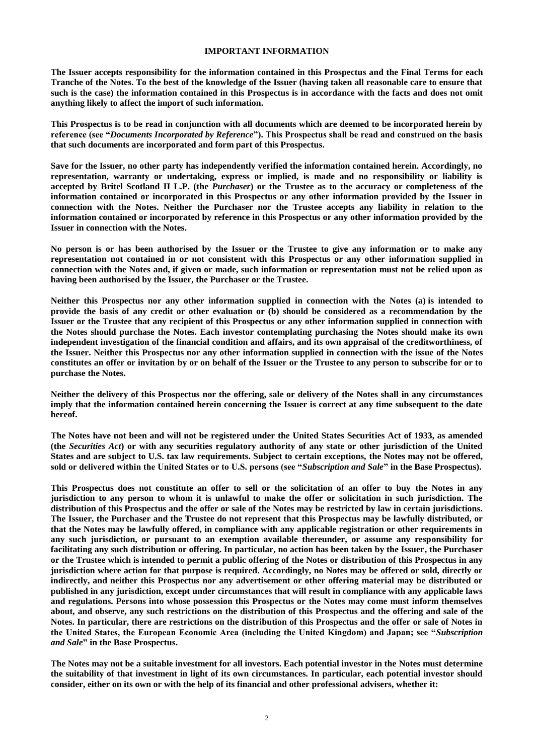#### **IMPORTANT INFORMATION**

**The Issuer accepts responsibility for the information contained in this Prospectus and the Final Terms for each Tranche of the Notes. To the best of the knowledge of the Issuer (having taken all reasonable care to ensure that such is the case) the information contained in this Prospectus is in accordance with the facts and does not omit anything likely to affect the import of such information.**

**This Prospectus is to be read in conjunction with all documents which are deemed to be incorporated herein by reference (see "***Documents Incorporated by Reference***"). This Prospectus shall be read and construed on the basis that such documents are incorporated and form part of this Prospectus.**

**Save for the Issuer, no other party has independently verified the information contained herein. Accordingly, no representation, warranty or undertaking, express or implied, is made and no responsibility or liability is accepted by Britel Scotland II L.P. (the** *Purchaser***) or the Trustee as to the accuracy or completeness of the information contained or incorporated in this Prospectus or any other information provided by the Issuer in connection with the Notes. Neither the Purchaser nor the Trustee accepts any liability in relation to the information contained or incorporated by reference in this Prospectus or any other information provided by the Issuer in connection with the Notes.**

**No person is or has been authorised by the Issuer or the Trustee to give any information or to make any representation not contained in or not consistent with this Prospectus or any other information supplied in connection with the Notes and, if given or made, such information or representation must not be relied upon as having been authorised by the Issuer, the Purchaser or the Trustee.**

**Neither this Prospectus nor any other information supplied in connection with the Notes (a) is intended to provide the basis of any credit or other evaluation or (b) should be considered as a recommendation by the Issuer or the Trustee that any recipient of this Prospectus or any other information supplied in connection with the Notes should purchase the Notes. Each investor contemplating purchasing the Notes should make its own independent investigation of the financial condition and affairs, and its own appraisal of the creditworthiness, of the Issuer. Neither this Prospectus nor any other information supplied in connection with the issue of the Notes constitutes an offer or invitation by or on behalf of the Issuer or the Trustee to any person to subscribe for or to purchase the Notes.**

**Neither the delivery of this Prospectus nor the offering, sale or delivery of the Notes shall in any circumstances imply that the information contained herein concerning the Issuer is correct at any time subsequent to the date hereof.**

**The Notes have not been and will not be registered under the United States Securities Act of 1933, as amended (the** *Securities Act***) or with any securities regulatory authority of any state or other jurisdiction of the United States and are subject to U.S. tax law requirements. Subject to certain exceptions, the Notes may not be offered, sold or delivered within the United States or to U.S. persons (see "***Subscription and Sale***" in the Base Prospectus).**

**This Prospectus does not constitute an offer to sell or the solicitation of an offer to buy the Notes in any jurisdiction to any person to whom it is unlawful to make the offer or solicitation in such jurisdiction. The distribution of this Prospectus and the offer or sale of the Notes may be restricted by law in certain jurisdictions. The Issuer, the Purchaser and the Trustee do not represent that this Prospectus may be lawfully distributed, or that the Notes may be lawfully offered, in compliance with any applicable registration or other requirements in any such jurisdiction, or pursuant to an exemption available thereunder, or assume any responsibility for facilitating any such distribution or offering. In particular, no action has been taken by the Issuer, the Purchaser or the Trustee which is intended to permit a public offering of the Notes or distribution of this Prospectus in any jurisdiction where action for that purpose is required. Accordingly, no Notes may be offered or sold, directly or indirectly, and neither this Prospectus nor any advertisement or other offering material may be distributed or published in any jurisdiction, except under circumstances that will result in compliance with any applicable laws and regulations. Persons into whose possession this Prospectus or the Notes may come must inform themselves about, and observe, any such restrictions on the distribution of this Prospectus and the offering and sale of the Notes. In particular, there are restrictions on the distribution of this Prospectus and the offer or sale of Notes in the United States, the European Economic Area (including the United Kingdom) and Japan; see "***Subscription and Sale***" in the Base Prospectus.**

**The Notes may not be a suitable investment for all investors. Each potential investor in the Notes must determine the suitability of that investment in light of its own circumstances. In particular, each potential investor should consider, either on its own or with the help of its financial and other professional advisers, whether it:**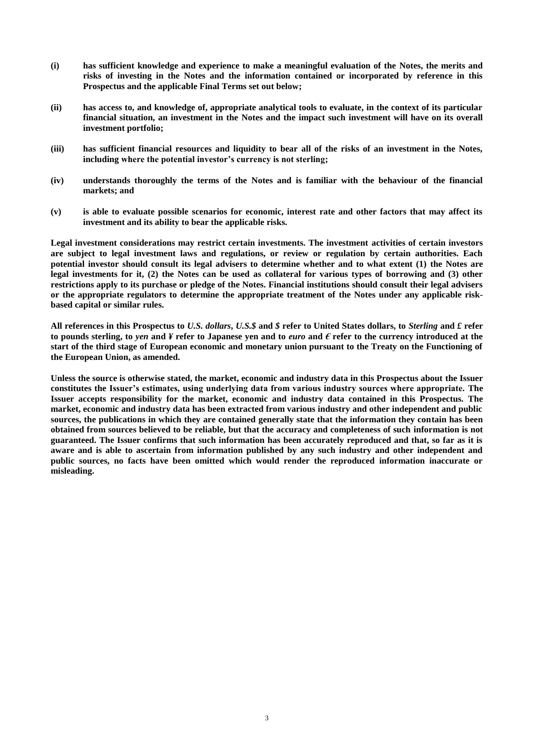- **(i) has sufficient knowledge and experience to make a meaningful evaluation of the Notes, the merits and risks of investing in the Notes and the information contained or incorporated by reference in this Prospectus and the applicable Final Terms set out below;**
- **(ii) has access to, and knowledge of, appropriate analytical tools to evaluate, in the context of its particular financial situation, an investment in the Notes and the impact such investment will have on its overall investment portfolio;**
- **(iii) has sufficient financial resources and liquidity to bear all of the risks of an investment in the Notes, including where the potential investor's currency is not sterling;**
- **(iv) understands thoroughly the terms of the Notes and is familiar with the behaviour of the financial markets; and**
- **(v) is able to evaluate possible scenarios for economic, interest rate and other factors that may affect its investment and its ability to bear the applicable risks.**

**Legal investment considerations may restrict certain investments. The investment activities of certain investors are subject to legal investment laws and regulations, or review or regulation by certain authorities. Each potential investor should consult its legal advisers to determine whether and to what extent (1) the Notes are legal investments for it, (2) the Notes can be used as collateral for various types of borrowing and (3) other restrictions apply to its purchase or pledge of the Notes. Financial institutions should consult their legal advisers or the appropriate regulators to determine the appropriate treatment of the Notes under any applicable riskbased capital or similar rules.**

**All references in this Prospectus to** *U.S. dollars***,** *U.S.\$* **and** *\$* **refer to United States dollars, to** *Sterling* **and** *£* **refer**  to pounds sterling, to *yen* and  $\ddot{f}$  refer to Japanese yen and to *euro* and  $\ddot{f}$  refer to the currency introduced at the **start of the third stage of European economic and monetary union pursuant to the Treaty on the Functioning of the European Union, as amended.**

**Unless the source is otherwise stated, the market, economic and industry data in this Prospectus about the Issuer constitutes the Issuer's estimates, using underlying data from various industry sources where appropriate. The Issuer accepts responsibility for the market, economic and industry data contained in this Prospectus. The market, economic and industry data has been extracted from various industry and other independent and public sources, the publications in which they are contained generally state that the information they contain has been obtained from sources believed to be reliable, but that the accuracy and completeness of such information is not guaranteed. The Issuer confirms that such information has been accurately reproduced and that, so far as it is aware and is able to ascertain from information published by any such industry and other independent and public sources, no facts have been omitted which would render the reproduced information inaccurate or misleading.**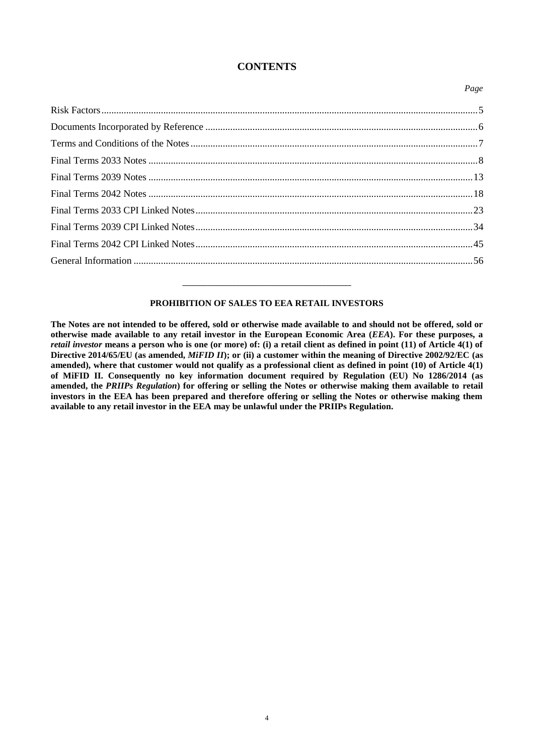### **CONTENTS**

*Page*

# [Risk Factors........................................................................................................................................................5](#page-4-0) Documents Incorporated by Reference [..............................................................................................................6](#page-5-0) [Terms and Conditions of the Notes....................................................................................................................7](#page-6-0) Final Terms 2033 Notes [.....................................................................................................................................8](#page-7-0) Final Terms 2039 Notes [...................................................................................................................................13](#page-12-0) Final Terms 2042 Notes [...................................................................................................................................18](#page-17-0) [Final Terms 2033 CPI Linked Notes................................................................................................................23](#page-22-0) [Final Terms 2039 CPI Linked Notes................................................................................................................34](#page-33-0) [Final Terms 2042 CPI Linked Notes................................................................................................................45](#page-44-0) General Information [.........................................................................................................................................56](#page-55-0)

### **PROHIBITION OF SALES TO EEA RETAIL INVESTORS**

**\_\_\_\_\_\_\_\_\_\_\_\_\_\_\_\_\_\_\_\_\_\_\_\_\_\_\_\_\_\_\_\_\_\_\_\_\_\_\_\_\_\_\_\_\_\_\_**

**The Notes are not intended to be offered, sold or otherwise made available to and should not be offered, sold or otherwise made available to any retail investor in the European Economic Area (***EEA***). For these purposes, a**  *retail investor* **means a person who is one (or more) of: (i) a retail client as defined in point (11) of Article 4(1) of Directive 2014/65/EU (as amended,** *MiFID II***); or (ii) a customer within the meaning of Directive 2002/92/EC (as amended), where that customer would not qualify as a professional client as defined in point (10) of Article 4(1) of MiFID II. Consequently no key information document required by Regulation (EU) No 1286/2014 (as amended, the** *PRIIPs Regulation***) for offering or selling the Notes or otherwise making them available to retail investors in the EEA has been prepared and therefore offering or selling the Notes or otherwise making them available to any retail investor in the EEA may be unlawful under the PRIIPs Regulation.**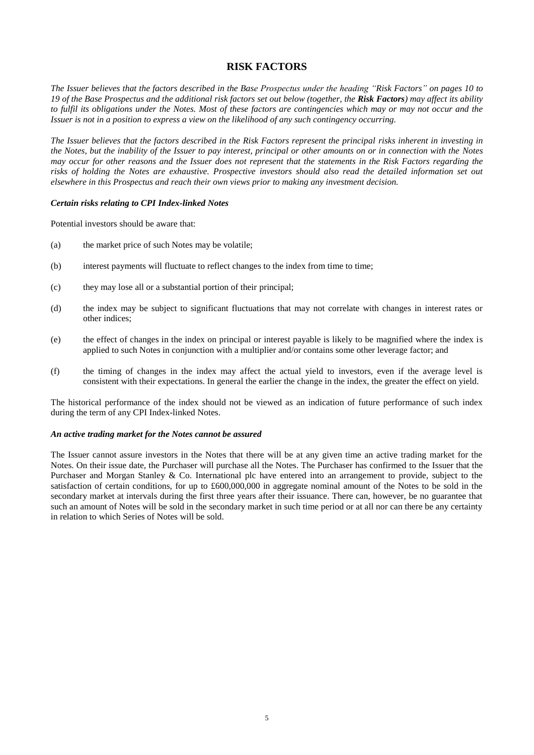### **RISK FACTORS**

<span id="page-4-0"></span>*The Issuer believes that the factors described in the Base Prospectus under the heading "Risk Factors" on pages 10 to 19 of the Base Prospectus and the additional risk factors set out below (together, the Risk Factors) may affect its ability to fulfil its obligations under the Notes. Most of these factors are contingencies which may or may not occur and the Issuer is not in a position to express a view on the likelihood of any such contingency occurring.*

*The Issuer believes that the factors described in the Risk Factors represent the principal risks inherent in investing in the Notes, but the inability of the Issuer to pay interest, principal or other amounts on or in connection with the Notes may occur for other reasons and the Issuer does not represent that the statements in the Risk Factors regarding the risks of holding the Notes are exhaustive. Prospective investors should also read the detailed information set out elsewhere in this Prospectus and reach their own views prior to making any investment decision.*

#### *Certain risks relating to CPI Index-linked Notes*

Potential investors should be aware that:

- (a) the market price of such Notes may be volatile;
- (b) interest payments will fluctuate to reflect changes to the index from time to time;
- (c) they may lose all or a substantial portion of their principal;
- (d) the index may be subject to significant fluctuations that may not correlate with changes in interest rates or other indices;
- (e) the effect of changes in the index on principal or interest payable is likely to be magnified where the index is applied to such Notes in conjunction with a multiplier and/or contains some other leverage factor; and
- (f) the timing of changes in the index may affect the actual yield to investors, even if the average level is consistent with their expectations. In general the earlier the change in the index, the greater the effect on yield.

The historical performance of the index should not be viewed as an indication of future performance of such index during the term of any CPI Index-linked Notes.

#### *An active trading market for the Notes cannot be assured*

The Issuer cannot assure investors in the Notes that there will be at any given time an active trading market for the Notes. On their issue date, the Purchaser will purchase all the Notes. The Purchaser has confirmed to the Issuer that the Purchaser and Morgan Stanley & Co. International plc have entered into an arrangement to provide, subject to the satisfaction of certain conditions, for up to £600,000,000 in aggregate nominal amount of the Notes to be sold in the secondary market at intervals during the first three years after their issuance. There can, however, be no guarantee that such an amount of Notes will be sold in the secondary market in such time period or at all nor can there be any certainty in relation to which Series of Notes will be sold.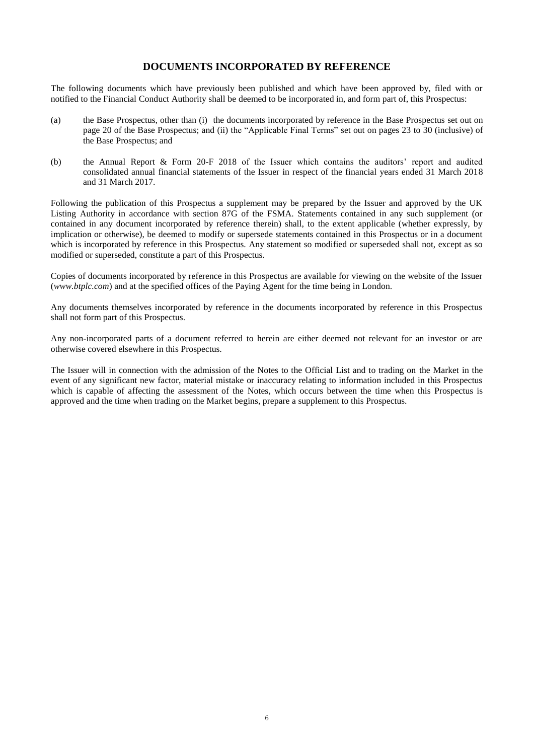### **DOCUMENTS INCORPORATED BY REFERENCE**

<span id="page-5-0"></span>The following documents which have previously been published and which have been approved by, filed with or notified to the Financial Conduct Authority shall be deemed to be incorporated in, and form part of, this Prospectus:

- (a) the Base Prospectus, other than (i) the documents incorporated by reference in the Base Prospectus set out on page 20 of the Base Prospectus; and (ii) the "Applicable Final Terms" set out on pages 23 to 30 (inclusive) of the Base Prospectus; and
- (b) the Annual Report & Form 20-F 2018 of the Issuer which contains the auditors' report and audited consolidated annual financial statements of the Issuer in respect of the financial years ended 31 March 2018 and 31 March 2017.

Following the publication of this Prospectus a supplement may be prepared by the Issuer and approved by the UK Listing Authority in accordance with section 87G of the FSMA. Statements contained in any such supplement (or contained in any document incorporated by reference therein) shall, to the extent applicable (whether expressly, by implication or otherwise), be deemed to modify or supersede statements contained in this Prospectus or in a document which is incorporated by reference in this Prospectus. Any statement so modified or superseded shall not, except as so modified or superseded, constitute a part of this Prospectus.

Copies of documents incorporated by reference in this Prospectus are available for viewing on the website of the Issuer (*www.btplc.com*) and at the specified offices of the Paying Agent for the time being in London.

Any documents themselves incorporated by reference in the documents incorporated by reference in this Prospectus shall not form part of this Prospectus.

Any non-incorporated parts of a document referred to herein are either deemed not relevant for an investor or are otherwise covered elsewhere in this Prospectus.

The Issuer will in connection with the admission of the Notes to the Official List and to trading on the Market in the event of any significant new factor, material mistake or inaccuracy relating to information included in this Prospectus which is capable of affecting the assessment of the Notes, which occurs between the time when this Prospectus is approved and the time when trading on the Market begins, prepare a supplement to this Prospectus.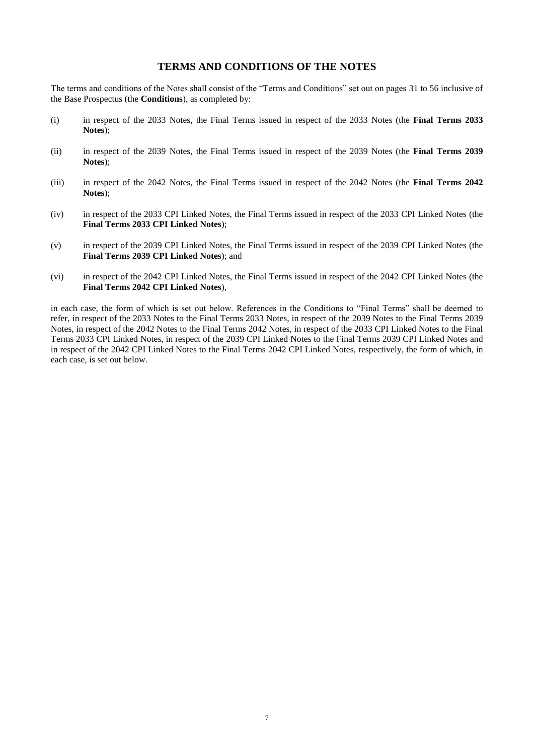### **TERMS AND CONDITIONS OF THE NOTES**

<span id="page-6-0"></span>The terms and conditions of the Notes shall consist of the "Terms and Conditions" set out on pages 31 to 56 inclusive of the Base Prospectus (the **Conditions**), as completed by:

- (i) in respect of the 2033 Notes, the Final Terms issued in respect of the 2033 Notes (the **Final Terms 2033 Notes**);
- (ii) in respect of the 2039 Notes, the Final Terms issued in respect of the 2039 Notes (the **Final Terms 2039 Notes**);
- (iii) in respect of the 2042 Notes, the Final Terms issued in respect of the 2042 Notes (the **Final Terms 2042 Notes**);
- (iv) in respect of the 2033 CPI Linked Notes, the Final Terms issued in respect of the 2033 CPI Linked Notes (the **Final Terms 2033 CPI Linked Notes**);
- (v) in respect of the 2039 CPI Linked Notes, the Final Terms issued in respect of the 2039 CPI Linked Notes (the **Final Terms 2039 CPI Linked Notes**); and
- (vi) in respect of the 2042 CPI Linked Notes, the Final Terms issued in respect of the 2042 CPI Linked Notes (the **Final Terms 2042 CPI Linked Notes**),

in each case, the form of which is set out below. References in the Conditions to "Final Terms" shall be deemed to refer, in respect of the 2033 Notes to the Final Terms 2033 Notes, in respect of the 2039 Notes to the Final Terms 2039 Notes, in respect of the 2042 Notes to the Final Terms 2042 Notes, in respect of the 2033 CPI Linked Notes to the Final Terms 2033 CPI Linked Notes, in respect of the 2039 CPI Linked Notes to the Final Terms 2039 CPI Linked Notes and in respect of the 2042 CPI Linked Notes to the Final Terms 2042 CPI Linked Notes, respectively, the form of which, in each case, is set out below.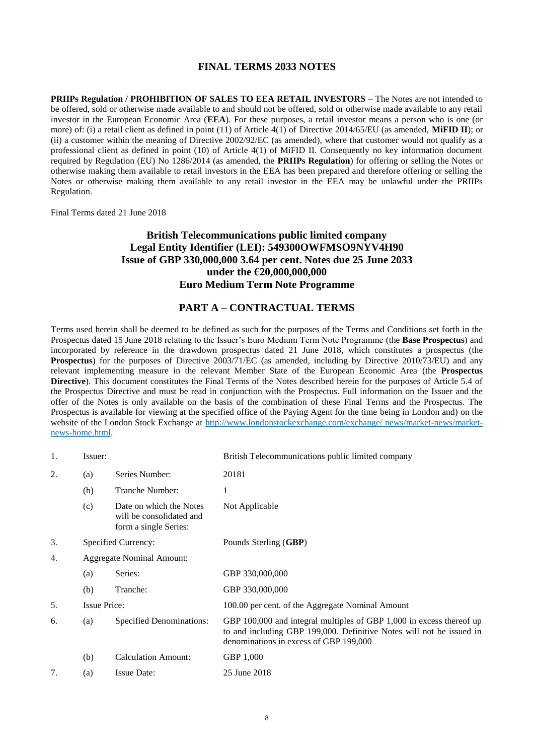### **FINAL TERMS 2033 NOTES**

<span id="page-7-0"></span>**PRIIPs Regulation / PROHIBITION OF SALES TO EEA RETAIL INVESTORS** – The Notes are not intended to be offered, sold or otherwise made available to and should not be offered, sold or otherwise made available to any retail investor in the European Economic Area (**EEA**). For these purposes, a retail investor means a person who is one (or more) of: (i) a retail client as defined in point (11) of Article 4(1) of Directive 2014/65/EU (as amended, **MiFID II**); or (ii) a customer within the meaning of Directive 2002/92/EC (as amended), where that customer would not qualify as a professional client as defined in point (10) of Article 4(1) of MiFID II. Consequently no key information document required by Regulation (EU) No 1286/2014 (as amended, the **PRIIPs Regulation**) for offering or selling the Notes or otherwise making them available to retail investors in the EEA has been prepared and therefore offering or selling the Notes or otherwise making them available to any retail investor in the EEA may be unlawful under the PRIIPs Regulation.

Final Terms dated 21 June 2018

### **British Telecommunications public limited company Legal Entity Identifier (LEI): 549300OWFMSO9NYV4H90 Issue of GBP 330,000,000 3.64 per cent. Notes due 25 June 2033 under the €20,000,000,000 Euro Medium Term Note Programme**

### **PART A – CONTRACTUAL TERMS**

Terms used herein shall be deemed to be defined as such for the purposes of the Terms and Conditions set forth in the Prospectus dated 15 June 2018 relating to the Issuer's Euro Medium Term Note Programme (the **Base Prospectus**) and incorporated by reference in the drawdown prospectus dated 21 June 2018, which constitutes a prospectus (the **Prospectus**) for the purposes of Directive 2003/71/EC (as amended, including by Directive 2010/73/EU) and any relevant implementing measure in the relevant Member State of the European Economic Area (the **Prospectus Directive**). This document constitutes the Final Terms of the Notes described herein for the purposes of Article 5.4 of the Prospectus Directive and must be read in conjunction with the Prospectus. Full information on the Issuer and the offer of the Notes is only available on the basis of the combination of these Final Terms and the Prospectus. The Prospectus is available for viewing at the specified office of the Paying Agent for the time being in London and) on the website of the London Stock Exchange at [http://www.londonstockexchange.com/exchange/ news/market-news/market](http://www.londonstockexchange.com/exchange/%20news/market-news/market-news-home.html)[news-home.html.](http://www.londonstockexchange.com/exchange/%20news/market-news/market-news-home.html)

| 1. | Issuer:             |                                                                              | British Telecommunications public limited company                                                                                                                                      |
|----|---------------------|------------------------------------------------------------------------------|----------------------------------------------------------------------------------------------------------------------------------------------------------------------------------------|
| 2. | (a)                 | Series Number:                                                               | 20181                                                                                                                                                                                  |
|    | (b)                 | Tranche Number:                                                              | 1                                                                                                                                                                                      |
|    | (c)                 | Date on which the Notes<br>will be consolidated and<br>form a single Series: | Not Applicable                                                                                                                                                                         |
| 3. | Specified Currency: |                                                                              | Pounds Sterling (GBP)                                                                                                                                                                  |
| 4. |                     | <b>Aggregate Nominal Amount:</b>                                             |                                                                                                                                                                                        |
|    | (a)                 | Series:                                                                      | GBP 330,000,000                                                                                                                                                                        |
|    | (b)                 | Tranche:                                                                     | GBP 330,000,000                                                                                                                                                                        |
| 5. | <b>Issue Price:</b> |                                                                              | 100.00 per cent. of the Aggregate Nominal Amount                                                                                                                                       |
| 6. | (a)                 | <b>Specified Denominations:</b>                                              | GBP 100,000 and integral multiples of GBP 1,000 in excess thereof up<br>to and including GBP 199,000. Definitive Notes will not be issued in<br>denominations in excess of GBP 199,000 |
|    | (b)                 | <b>Calculation Amount:</b>                                                   | GBP 1,000                                                                                                                                                                              |
| 7. | (a)                 | <b>Issue Date:</b>                                                           | 25 June 2018                                                                                                                                                                           |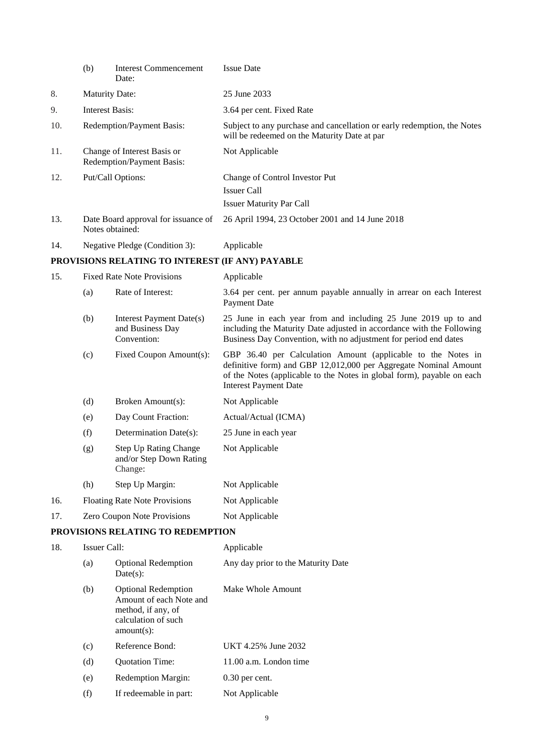|     | (b)                                                    | <b>Interest Commencement</b><br>Date:                                       | <b>Issue Date</b>                                                                                                                                                                                                                          |
|-----|--------------------------------------------------------|-----------------------------------------------------------------------------|--------------------------------------------------------------------------------------------------------------------------------------------------------------------------------------------------------------------------------------------|
| 8.  | <b>Maturity Date:</b>                                  |                                                                             | 25 June 2033                                                                                                                                                                                                                               |
| 9.  | <b>Interest Basis:</b>                                 |                                                                             | 3.64 per cent. Fixed Rate                                                                                                                                                                                                                  |
| 10. |                                                        | Redemption/Payment Basis:                                                   | Subject to any purchase and cancellation or early redemption, the Notes<br>will be redeemed on the Maturity Date at par                                                                                                                    |
| 11. |                                                        | Change of Interest Basis or<br>Redemption/Payment Basis:                    | Not Applicable                                                                                                                                                                                                                             |
| 12. |                                                        | Put/Call Options:                                                           | Change of Control Investor Put<br><b>Issuer Call</b><br><b>Issuer Maturity Par Call</b>                                                                                                                                                    |
| 13. | Date Board approval for issuance of<br>Notes obtained: |                                                                             | 26 April 1994, 23 October 2001 and 14 June 2018                                                                                                                                                                                            |
| 14. |                                                        | Negative Pledge (Condition 3):                                              | Applicable                                                                                                                                                                                                                                 |
|     |                                                        | PROVISIONS RELATING TO INTEREST (IF ANY) PAYABLE                            |                                                                                                                                                                                                                                            |
| 15. |                                                        | <b>Fixed Rate Note Provisions</b>                                           | Applicable                                                                                                                                                                                                                                 |
|     | (a)                                                    | Rate of Interest:                                                           | 3.64 per cent. per annum payable annually in arrear on each Interest<br>Payment Date                                                                                                                                                       |
|     | (b)                                                    | <b>Interest Payment Date(s)</b><br>and Business Day<br>Convention:          | 25 June in each year from and including 25 June 2019 up to and<br>including the Maturity Date adjusted in accordance with the Following<br>Business Day Convention, with no adjustment for period end dates                                |
|     | (c)                                                    | Fixed Coupon Amount(s):                                                     | GBP 36.40 per Calculation Amount (applicable to the Notes in<br>definitive form) and GBP 12,012,000 per Aggregate Nominal Amount<br>of the Notes (applicable to the Notes in global form), payable on each<br><b>Interest Payment Date</b> |
|     | (d)                                                    | Broken Amount(s):                                                           | Not Applicable                                                                                                                                                                                                                             |
|     | (e)                                                    | Day Count Fraction:                                                         | Actual/Actual (ICMA)                                                                                                                                                                                                                       |
|     | (f)                                                    | Determination Date(s):                                                      | 25 June in each year                                                                                                                                                                                                                       |
|     | (g)                                                    | <b>Step Up Rating Change</b><br>and/or Step Down Rating<br>Change:          | Not Applicable                                                                                                                                                                                                                             |
|     | (h)                                                    | Step Up Margin:                                                             | Not Applicable                                                                                                                                                                                                                             |
| 16. |                                                        | <b>Floating Rate Note Provisions</b>                                        | Not Applicable                                                                                                                                                                                                                             |
| 17. |                                                        | Zero Coupon Note Provisions                                                 | Not Applicable                                                                                                                                                                                                                             |
|     |                                                        | PROVISIONS RELATING TO REDEMPTION                                           |                                                                                                                                                                                                                                            |
| 18. | Issuer Call:                                           |                                                                             | Applicable                                                                                                                                                                                                                                 |
|     | (a)                                                    | <b>Optional Redemption</b><br>Date(s):                                      | Any day prior to the Maturity Date                                                                                                                                                                                                         |
|     | (b)                                                    | <b>Optional Redemption</b><br>Amount of each Note and<br>method, if any, of | Make Whole Amount                                                                                                                                                                                                                          |

|     | $amount(s)$ :             |                        |
|-----|---------------------------|------------------------|
| (c) | Reference Bond:           | UKT 4.25% June 2032    |
| (d) | <b>Ouotation Time:</b>    | 11.00 a.m. London time |
| (e) | <b>Redemption Margin:</b> | $0.30$ per cent.       |
| (f) | If redeemable in part:    | Not Applicable         |

calculation of such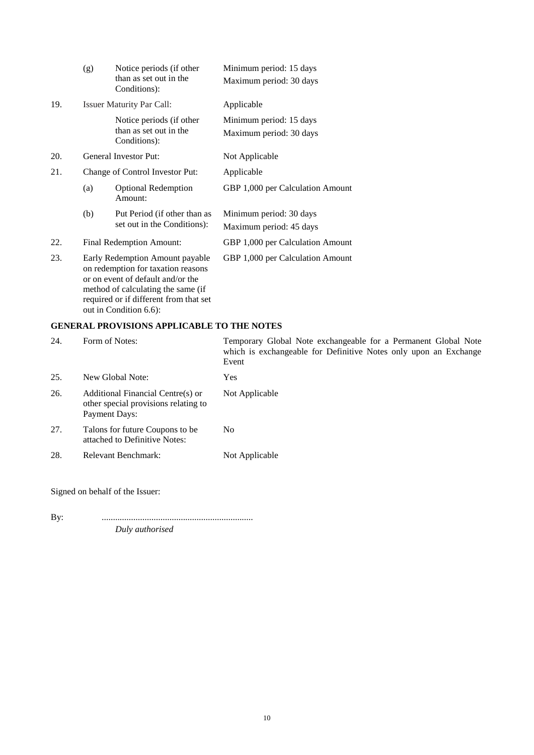|     | (g)                                                                                                                                                                                        | Notice periods (if other<br>than as set out in the<br>Conditions): | Minimum period: 15 days<br>Maximum period: 30 days |
|-----|--------------------------------------------------------------------------------------------------------------------------------------------------------------------------------------------|--------------------------------------------------------------------|----------------------------------------------------|
| 19. |                                                                                                                                                                                            | <b>Issuer Maturity Par Call:</b>                                   | Applicable                                         |
|     |                                                                                                                                                                                            | Notice periods (if other<br>than as set out in the<br>Conditions): | Minimum period: 15 days<br>Maximum period: 30 days |
| 20. |                                                                                                                                                                                            | General Investor Put:                                              | Not Applicable                                     |
| 21. |                                                                                                                                                                                            | Change of Control Investor Put:                                    | Applicable                                         |
|     | (a)                                                                                                                                                                                        | <b>Optional Redemption</b><br>Amount:                              | GBP 1,000 per Calculation Amount                   |
|     | (b)                                                                                                                                                                                        | Put Period (if other than as<br>set out in the Conditions):        | Minimum period: 30 days<br>Maximum period: 45 days |
| 22. | Final Redemption Amount:                                                                                                                                                                   |                                                                    | GBP 1,000 per Calculation Amount                   |
| 23. | Early Redemption Amount payable<br>on redemption for taxation reasons<br>or on event of default and/or the<br>method of calculating the same (if<br>required or if different from that set |                                                                    | GBP 1,000 per Calculation Amount                   |

### **GENERAL PROVISIONS APPLICABLE TO THE NOTES**

out in Condition 6.6):

| 24. | Form of Notes:                                                                             | Temporary Global Note exchangeable for a Permanent Global Note<br>which is exchangeable for Definitive Notes only upon an Exchange<br>Event |
|-----|--------------------------------------------------------------------------------------------|---------------------------------------------------------------------------------------------------------------------------------------------|
| 25. | New Global Note:                                                                           | <b>Yes</b>                                                                                                                                  |
| 26. | Additional Financial Centre(s) or<br>other special provisions relating to<br>Payment Days: | Not Applicable                                                                                                                              |
| 27. | Talons for future Coupons to be.<br>attached to Definitive Notes:                          | N <sub>0</sub>                                                                                                                              |
| 28. | Relevant Benchmark:                                                                        | Not Applicable                                                                                                                              |

Signed on behalf of the Issuer:

By: ................................................................... *Duly authorised*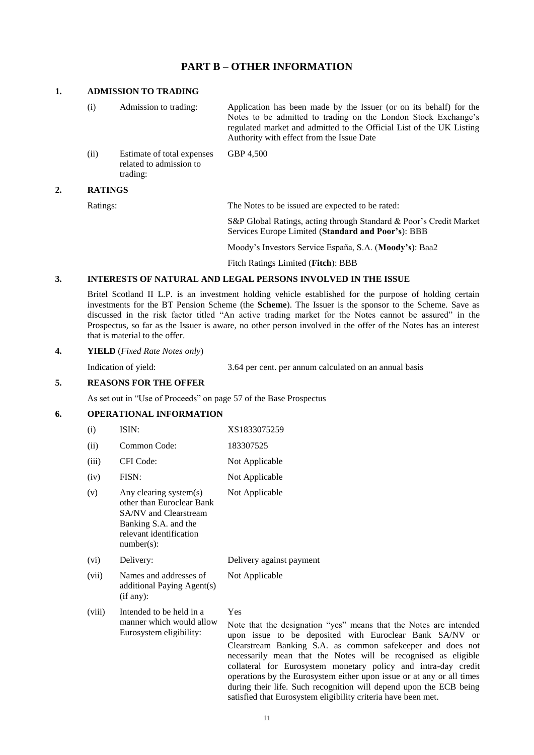### **PART B – OTHER INFORMATION**

#### **1. ADMISSION TO TRADING**

(i) Admission to trading: Application has been made by the Issuer (or on its behalf) for the Notes to be admitted to trading on the London Stock Exchange's regulated market and admitted to the Official List of the UK Listing Authority with effect from the Issue Date (ii) Estimate of total expenses related to admission to trading: GBP 4,500

#### **2. RATINGS**

Ratings: The Notes to be issued are expected to be rated:

S&P Global Ratings, acting through Standard & Poor's Credit Market Services Europe Limited (**Standard and Poor's**): BBB

Moody's Investors Service España, S.A. (**Moody's**): Baa2

Fitch Ratings Limited (**Fitch**): BBB

#### **3. INTERESTS OF NATURAL AND LEGAL PERSONS INVOLVED IN THE ISSUE**

Britel Scotland II L.P. is an investment holding vehicle established for the purpose of holding certain investments for the BT Pension Scheme (the **Scheme**). The Issuer is the sponsor to the Scheme. Save as discussed in the risk factor titled "An active trading market for the Notes cannot be assured" in the Prospectus, so far as the Issuer is aware, no other person involved in the offer of the Notes has an interest that is material to the offer.

#### **4. YIELD** (*Fixed Rate Notes only*)

Indication of yield: 3.64 per cent. per annum calculated on an annual basis

operations by the Eurosystem either upon issue or at any or all times during their life. Such recognition will depend upon the ECB being

satisfied that Eurosystem eligibility criteria have been met.

#### **5. REASONS FOR THE OFFER**

As set out in "Use of Proceeds" on page 57 of the Base Prospectus

#### **6. OPERATIONAL INFORMATION**

| (i)    | ISIN:                                                                                                                                                   | XS1833075259                                                                                                                                                                                                                                                                                                                          |
|--------|---------------------------------------------------------------------------------------------------------------------------------------------------------|---------------------------------------------------------------------------------------------------------------------------------------------------------------------------------------------------------------------------------------------------------------------------------------------------------------------------------------|
| (ii)   | Common Code:                                                                                                                                            | 183307525                                                                                                                                                                                                                                                                                                                             |
| (iii)  | CFI Code:                                                                                                                                               | Not Applicable                                                                                                                                                                                                                                                                                                                        |
| (iv)   | FISN:                                                                                                                                                   | Not Applicable                                                                                                                                                                                                                                                                                                                        |
| (v)    | Any clearing system(s)<br>other than Euroclear Bank<br><b>SA/NV</b> and Clearstream<br>Banking S.A. and the<br>relevant identification<br>$number(s)$ : | Not Applicable                                                                                                                                                                                                                                                                                                                        |
| (vi)   | Delivery:                                                                                                                                               | Delivery against payment                                                                                                                                                                                                                                                                                                              |
| (vii)  | Names and addresses of<br>additional Paying Agent(s)<br>(if any):                                                                                       | Not Applicable                                                                                                                                                                                                                                                                                                                        |
| (viii) | Intended to be held in a<br>manner which would allow<br>Eurosystem eligibility:                                                                         | Yes<br>Note that the designation "yes" means that the Notes are intended<br>upon issue to be deposited with Euroclear Bank SA/NV or<br>Clearstream Banking S.A. as common safekeeper and does not<br>necessarily mean that the Notes will be recognised as eligible<br>collateral for Eurosystem monetary policy and intra-day credit |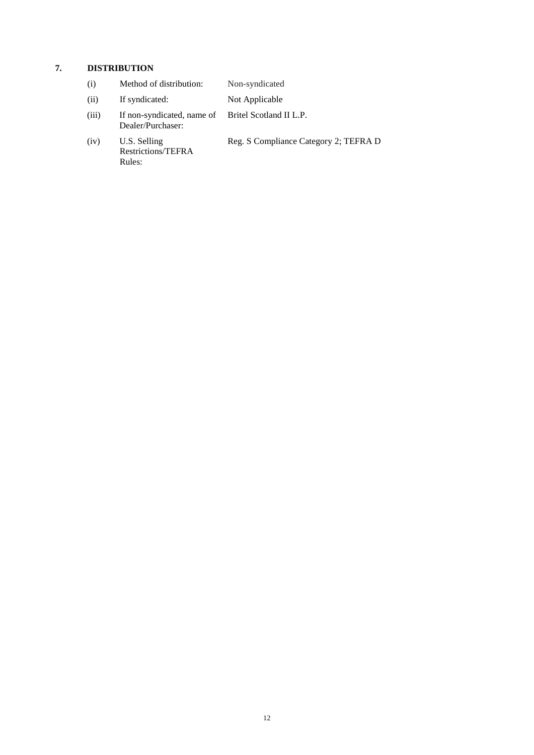# **7. DISTRIBUTION**

| (i)   | Method of distribution:                                                 | Non-syndicated                        |
|-------|-------------------------------------------------------------------------|---------------------------------------|
| (ii)  | If syndicated:                                                          | Not Applicable                        |
| (iii) | If non-syndicated, name of Britel Scotland II L.P.<br>Dealer/Purchaser: |                                       |
| (iv)  | U.S. Selling<br>Restrictions/TEFRA<br>Rules:                            | Reg. S Compliance Category 2; TEFRA D |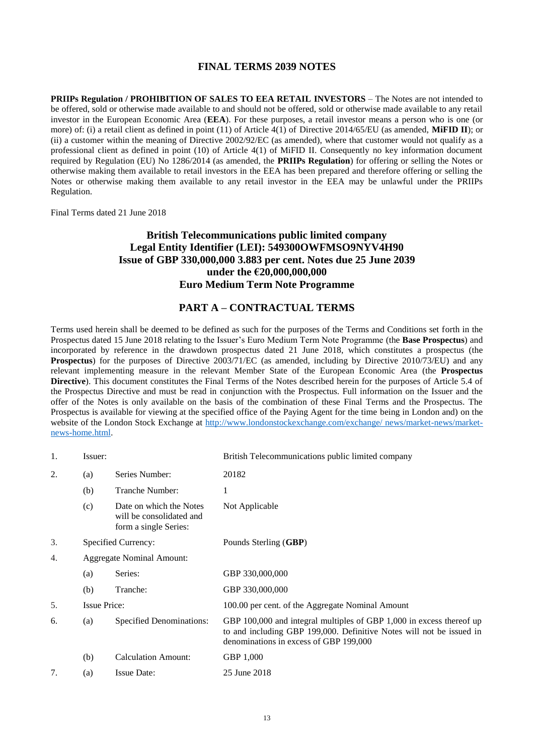### **FINAL TERMS 2039 NOTES**

<span id="page-12-0"></span>**PRIIPs Regulation / PROHIBITION OF SALES TO EEA RETAIL INVESTORS** – The Notes are not intended to be offered, sold or otherwise made available to and should not be offered, sold or otherwise made available to any retail investor in the European Economic Area (**EEA**). For these purposes, a retail investor means a person who is one (or more) of: (i) a retail client as defined in point (11) of Article 4(1) of Directive 2014/65/EU (as amended, **MiFID II**); or (ii) a customer within the meaning of Directive 2002/92/EC (as amended), where that customer would not qualify as a professional client as defined in point (10) of Article 4(1) of MiFID II. Consequently no key information document required by Regulation (EU) No 1286/2014 (as amended, the **PRIIPs Regulation**) for offering or selling the Notes or otherwise making them available to retail investors in the EEA has been prepared and therefore offering or selling the Notes or otherwise making them available to any retail investor in the EEA may be unlawful under the PRIIPs Regulation.

Final Terms dated 21 June 2018

### **British Telecommunications public limited company Legal Entity Identifier (LEI): 549300OWFMSO9NYV4H90 Issue of GBP 330,000,000 3.883 per cent. Notes due 25 June 2039 under the €20,000,000,000 Euro Medium Term Note Programme**

### **PART A – CONTRACTUAL TERMS**

Terms used herein shall be deemed to be defined as such for the purposes of the Terms and Conditions set forth in the Prospectus dated 15 June 2018 relating to the Issuer's Euro Medium Term Note Programme (the **Base Prospectus**) and incorporated by reference in the drawdown prospectus dated 21 June 2018, which constitutes a prospectus (the **Prospectus**) for the purposes of Directive 2003/71/EC (as amended, including by Directive 2010/73/EU) and any relevant implementing measure in the relevant Member State of the European Economic Area (the **Prospectus Directive**). This document constitutes the Final Terms of the Notes described herein for the purposes of Article 5.4 of the Prospectus Directive and must be read in conjunction with the Prospectus. Full information on the Issuer and the offer of the Notes is only available on the basis of the combination of these Final Terms and the Prospectus. The Prospectus is available for viewing at the specified office of the Paying Agent for the time being in London and) on the website of the London Stock Exchange at [http://www.londonstockexchange.com/exchange/ news/market-news/market](http://www.londonstockexchange.com/exchange/%20news/market-news/market-news-home.html)[news-home.html.](http://www.londonstockexchange.com/exchange/%20news/market-news/market-news-home.html)

| 1. | Issuer:             |                                                                              | British Telecommunications public limited company                                                                                                                                      |
|----|---------------------|------------------------------------------------------------------------------|----------------------------------------------------------------------------------------------------------------------------------------------------------------------------------------|
| 2. | (a)                 | Series Number:                                                               | 20182                                                                                                                                                                                  |
|    | (b)                 | Tranche Number:                                                              | 1                                                                                                                                                                                      |
|    | (c)                 | Date on which the Notes<br>will be consolidated and<br>form a single Series: | Not Applicable                                                                                                                                                                         |
| 3. | Specified Currency: |                                                                              | Pounds Sterling (GBP)                                                                                                                                                                  |
| 4. |                     | <b>Aggregate Nominal Amount:</b>                                             |                                                                                                                                                                                        |
|    | (a)                 | Series:                                                                      | GBP 330,000,000                                                                                                                                                                        |
|    | (b)                 | Tranche:                                                                     | GBP 330,000,000                                                                                                                                                                        |
| 5. | <b>Issue Price:</b> |                                                                              | 100.00 per cent. of the Aggregate Nominal Amount                                                                                                                                       |
| 6. | (a)                 | <b>Specified Denominations:</b>                                              | GBP 100,000 and integral multiples of GBP 1,000 in excess thereof up<br>to and including GBP 199,000. Definitive Notes will not be issued in<br>denominations in excess of GBP 199,000 |
|    | (b)                 | <b>Calculation Amount:</b>                                                   | GBP 1,000                                                                                                                                                                              |
| 7. | (a)                 | <b>Issue Date:</b>                                                           | 25 June 2018                                                                                                                                                                           |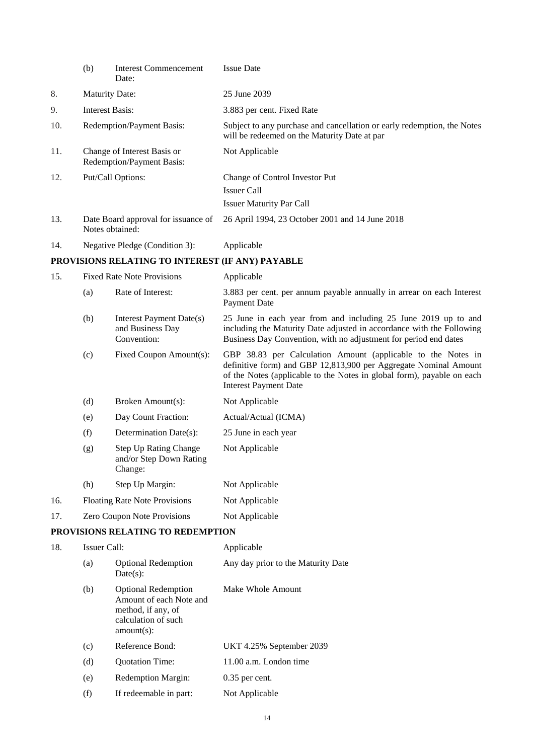|     | (b)          | <b>Interest Commencement</b><br>Date:                              | <b>Issue Date</b>                                                                                                                                                                                                                          |
|-----|--------------|--------------------------------------------------------------------|--------------------------------------------------------------------------------------------------------------------------------------------------------------------------------------------------------------------------------------------|
| 8.  |              | <b>Maturity Date:</b>                                              | 25 June 2039                                                                                                                                                                                                                               |
| 9.  |              | <b>Interest Basis:</b>                                             | 3.883 per cent. Fixed Rate                                                                                                                                                                                                                 |
| 10. |              | Redemption/Payment Basis:                                          | Subject to any purchase and cancellation or early redemption, the Notes<br>will be redeemed on the Maturity Date at par                                                                                                                    |
| 11. |              | Change of Interest Basis or<br>Redemption/Payment Basis:           | Not Applicable                                                                                                                                                                                                                             |
| 12. |              | Put/Call Options:                                                  | Change of Control Investor Put<br><b>Issuer Call</b><br><b>Issuer Maturity Par Call</b>                                                                                                                                                    |
| 13. |              | Date Board approval for issuance of<br>Notes obtained:             | 26 April 1994, 23 October 2001 and 14 June 2018                                                                                                                                                                                            |
| 14. |              | Negative Pledge (Condition 3):                                     | Applicable                                                                                                                                                                                                                                 |
|     |              | PROVISIONS RELATING TO INTEREST (IF ANY) PAYABLE                   |                                                                                                                                                                                                                                            |
| 15. |              | <b>Fixed Rate Note Provisions</b>                                  | Applicable                                                                                                                                                                                                                                 |
|     | (a)          | Rate of Interest:                                                  | 3.883 per cent. per annum payable annually in arrear on each Interest<br>Payment Date                                                                                                                                                      |
|     | (b)          | Interest Payment Date(s)<br>and Business Day<br>Convention:        | 25 June in each year from and including 25 June 2019 up to and<br>including the Maturity Date adjusted in accordance with the Following<br>Business Day Convention, with no adjustment for period end dates                                |
|     | (c)          | Fixed Coupon Amount(s):                                            | GBP 38.83 per Calculation Amount (applicable to the Notes in<br>definitive form) and GBP 12,813,900 per Aggregate Nominal Amount<br>of the Notes (applicable to the Notes in global form), payable on each<br><b>Interest Payment Date</b> |
|     | (d)          | Broken Amount(s):                                                  | Not Applicable                                                                                                                                                                                                                             |
|     | (e)          | Day Count Fraction:                                                | Actual/Actual (ICMA)                                                                                                                                                                                                                       |
|     | (f)          | Determination Date(s):                                             | 25 June in each year                                                                                                                                                                                                                       |
|     | (g)          | <b>Step Up Rating Change</b><br>and/or Step Down Rating<br>Change: | Not Applicable                                                                                                                                                                                                                             |
|     | (h)          | Step Up Margin:                                                    | Not Applicable                                                                                                                                                                                                                             |
| 16. |              | <b>Floating Rate Note Provisions</b>                               | Not Applicable                                                                                                                                                                                                                             |
| 17. |              | Zero Coupon Note Provisions                                        | Not Applicable                                                                                                                                                                                                                             |
|     |              | PROVISIONS RELATING TO REDEMPTION                                  |                                                                                                                                                                                                                                            |
| 18. | Issuer Call: |                                                                    | Applicable                                                                                                                                                                                                                                 |
|     | (a)          | <b>Optional Redemption</b><br>Date(s):                             | Any day prior to the Maturity Date                                                                                                                                                                                                         |
|     | (b)          | <b>Optional Redemption</b><br>Amount of each Note and              | Make Whole Amount                                                                                                                                                                                                                          |

|     | calculation of such<br>$amount(s)$ : |                          |
|-----|--------------------------------------|--------------------------|
| (c) | Reference Bond:                      | UKT 4.25% September 2039 |
| (d) | <b>Ouotation Time:</b>               | 11.00 a.m. London time   |
| (e) | Redemption Margin:                   | $0.35$ per cent.         |
| (f) | If redeemable in part:               | Not Applicable           |

method, if any, of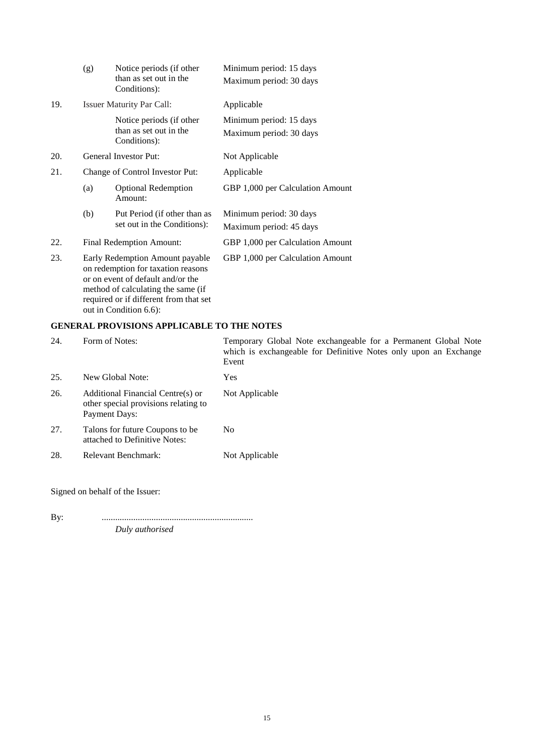|     | (g)                                                                                                                                                                                        | Notice periods (if other<br>than as set out in the | Minimum period: 15 days          |
|-----|--------------------------------------------------------------------------------------------------------------------------------------------------------------------------------------------|----------------------------------------------------|----------------------------------|
|     |                                                                                                                                                                                            | Conditions):                                       | Maximum period: 30 days          |
| 19. |                                                                                                                                                                                            | <b>Issuer Maturity Par Call:</b>                   | Applicable                       |
|     |                                                                                                                                                                                            | Notice periods (if other                           | Minimum period: 15 days          |
|     |                                                                                                                                                                                            | than as set out in the<br>Conditions):             | Maximum period: 30 days          |
| 20. |                                                                                                                                                                                            | General Investor Put:                              | Not Applicable                   |
| 21. |                                                                                                                                                                                            | Change of Control Investor Put:                    | Applicable                       |
|     | (a)                                                                                                                                                                                        | <b>Optional Redemption</b><br>Amount:              | GBP 1,000 per Calculation Amount |
|     | (b)                                                                                                                                                                                        | Put Period (if other than as                       | Minimum period: 30 days          |
|     |                                                                                                                                                                                            | set out in the Conditions):                        | Maximum period: 45 days          |
| 22. | <b>Final Redemption Amount:</b>                                                                                                                                                            |                                                    | GBP 1,000 per Calculation Amount |
| 23. | Early Redemption Amount payable<br>on redemption for taxation reasons<br>or on event of default and/or the<br>method of calculating the same (if<br>required or if different from that set |                                                    | GBP 1,000 per Calculation Amount |

### **GENERAL PROVISIONS APPLICABLE TO THE NOTES**

out in Condition 6.6):

| 24. | Form of Notes:                                                                             | Temporary Global Note exchangeable for a Permanent Global Note<br>which is exchangeable for Definitive Notes only upon an Exchange<br>Event |
|-----|--------------------------------------------------------------------------------------------|---------------------------------------------------------------------------------------------------------------------------------------------|
| 25. | New Global Note:                                                                           | <b>Yes</b>                                                                                                                                  |
| 26. | Additional Financial Centre(s) or<br>other special provisions relating to<br>Payment Days: | Not Applicable                                                                                                                              |
| 27. | Talons for future Coupons to be<br>attached to Definitive Notes:                           | N <sub>0</sub>                                                                                                                              |
| 28. | Relevant Benchmark:                                                                        | Not Applicable                                                                                                                              |

Signed on behalf of the Issuer:

By: ................................................................... *Duly authorised*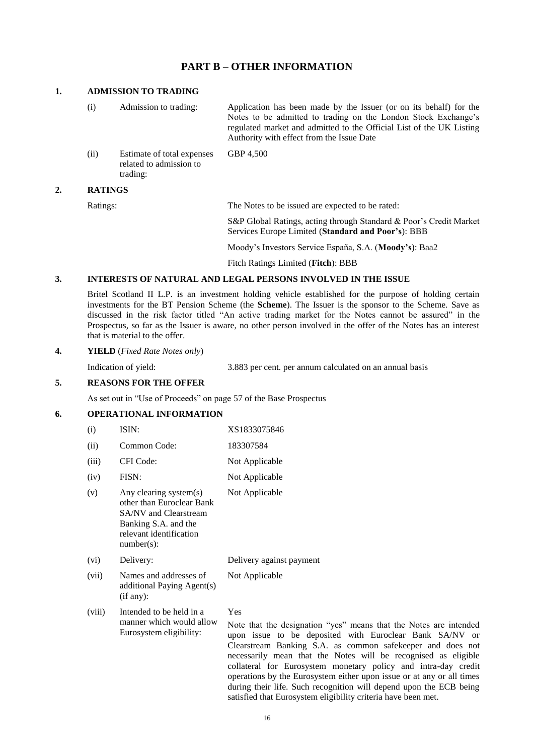### **PART B – OTHER INFORMATION**

#### **1. ADMISSION TO TRADING**

(i) Admission to trading: Application has been made by the Issuer (or on its behalf) for the Notes to be admitted to trading on the London Stock Exchange's regulated market and admitted to the Official List of the UK Listing Authority with effect from the Issue Date (ii) Estimate of total expenses related to admission to trading: GBP 4,500

#### **2. RATINGS**

Ratings: The Notes to be issued are expected to be rated:

S&P Global Ratings, acting through Standard & Poor's Credit Market Services Europe Limited (**Standard and Poor's**): BBB

Moody's Investors Service España, S.A. (**Moody's**): Baa2

Fitch Ratings Limited (**Fitch**): BBB

#### **3. INTERESTS OF NATURAL AND LEGAL PERSONS INVOLVED IN THE ISSUE**

Britel Scotland II L.P. is an investment holding vehicle established for the purpose of holding certain investments for the BT Pension Scheme (the **Scheme**). The Issuer is the sponsor to the Scheme. Save as discussed in the risk factor titled "An active trading market for the Notes cannot be assured" in the Prospectus, so far as the Issuer is aware, no other person involved in the offer of the Notes has an interest that is material to the offer.

#### **4. YIELD** (*Fixed Rate Notes only*)

Indication of yield: 3.883 per cent. per annum calculated on an annual basis

operations by the Eurosystem either upon issue or at any or all times during their life. Such recognition will depend upon the ECB being

satisfied that Eurosystem eligibility criteria have been met.

#### **5. REASONS FOR THE OFFER**

As set out in "Use of Proceeds" on page 57 of the Base Prospectus

#### **6. OPERATIONAL INFORMATION**

| (i)    | ISIN:                                                                                                                                            | XS1833075846                                                                                                                                                                                                                                                                                                                          |
|--------|--------------------------------------------------------------------------------------------------------------------------------------------------|---------------------------------------------------------------------------------------------------------------------------------------------------------------------------------------------------------------------------------------------------------------------------------------------------------------------------------------|
| (ii)   | Common Code:                                                                                                                                     | 183307584                                                                                                                                                                                                                                                                                                                             |
| (iii)  | CFI Code:                                                                                                                                        | Not Applicable                                                                                                                                                                                                                                                                                                                        |
| (iv)   | FISN:                                                                                                                                            | Not Applicable                                                                                                                                                                                                                                                                                                                        |
| (v)    | Any clearing system(s)<br>other than Euroclear Bank<br>SA/NV and Clearstream<br>Banking S.A. and the<br>relevant identification<br>$number(s)$ : | Not Applicable                                                                                                                                                                                                                                                                                                                        |
| (vi)   | Delivery:                                                                                                                                        | Delivery against payment                                                                                                                                                                                                                                                                                                              |
| (vii)  | Names and addresses of<br>additional Paying Agent(s)<br>(if any):                                                                                | Not Applicable                                                                                                                                                                                                                                                                                                                        |
| (viii) | Intended to be held in a<br>manner which would allow<br>Eurosystem eligibility:                                                                  | Yes<br>Note that the designation "yes" means that the Notes are intended<br>upon issue to be deposited with Euroclear Bank SA/NV or<br>Clearstream Banking S.A. as common safekeeper and does not<br>necessarily mean that the Notes will be recognised as eligible<br>collateral for Eurosystem monetary policy and intra-day credit |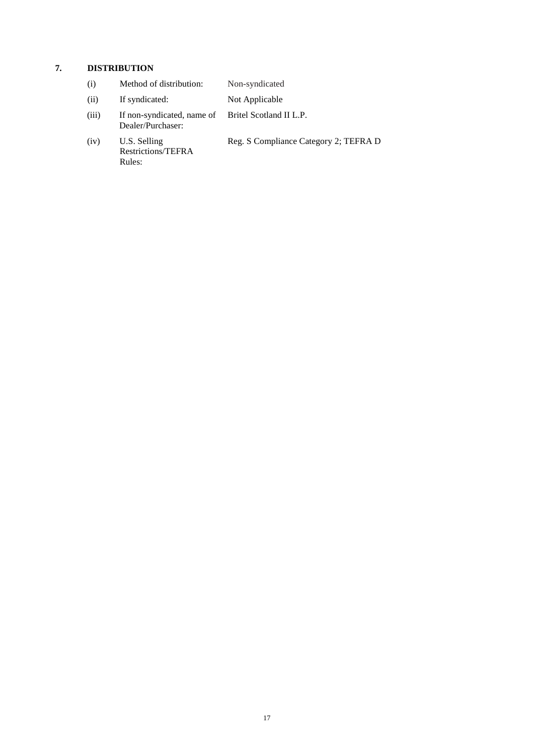# **7. DISTRIBUTION**

| (i)   | Method of distribution:                                                 | Non-syndicated                        |
|-------|-------------------------------------------------------------------------|---------------------------------------|
| (ii)  | If syndicated:                                                          | Not Applicable                        |
| (iii) | If non-syndicated, name of Britel Scotland II L.P.<br>Dealer/Purchaser: |                                       |
| (iv)  | U.S. Selling<br>Restrictions/TEFRA<br>Rules:                            | Reg. S Compliance Category 2; TEFRA D |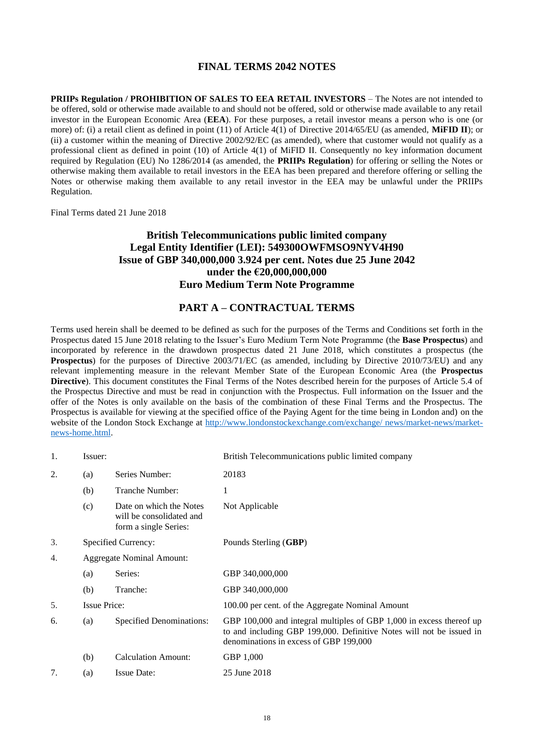### **FINAL TERMS 2042 NOTES**

<span id="page-17-0"></span>**PRIIPs Regulation / PROHIBITION OF SALES TO EEA RETAIL INVESTORS** – The Notes are not intended to be offered, sold or otherwise made available to and should not be offered, sold or otherwise made available to any retail investor in the European Economic Area (**EEA**). For these purposes, a retail investor means a person who is one (or more) of: (i) a retail client as defined in point (11) of Article 4(1) of Directive 2014/65/EU (as amended, **MiFID II**); or (ii) a customer within the meaning of Directive 2002/92/EC (as amended), where that customer would not qualify as a professional client as defined in point (10) of Article 4(1) of MiFID II. Consequently no key information document required by Regulation (EU) No 1286/2014 (as amended, the **PRIIPs Regulation**) for offering or selling the Notes or otherwise making them available to retail investors in the EEA has been prepared and therefore offering or selling the Notes or otherwise making them available to any retail investor in the EEA may be unlawful under the PRIIPs Regulation.

Final Terms dated 21 June 2018

### **British Telecommunications public limited company Legal Entity Identifier (LEI): 549300OWFMSO9NYV4H90 Issue of GBP 340,000,000 3.924 per cent. Notes due 25 June 2042 under the €20,000,000,000 Euro Medium Term Note Programme**

### **PART A – CONTRACTUAL TERMS**

Terms used herein shall be deemed to be defined as such for the purposes of the Terms and Conditions set forth in the Prospectus dated 15 June 2018 relating to the Issuer's Euro Medium Term Note Programme (the **Base Prospectus**) and incorporated by reference in the drawdown prospectus dated 21 June 2018, which constitutes a prospectus (the **Prospectus**) for the purposes of Directive 2003/71/EC (as amended, including by Directive 2010/73/EU) and any relevant implementing measure in the relevant Member State of the European Economic Area (the **Prospectus Directive**). This document constitutes the Final Terms of the Notes described herein for the purposes of Article 5.4 of the Prospectus Directive and must be read in conjunction with the Prospectus. Full information on the Issuer and the offer of the Notes is only available on the basis of the combination of these Final Terms and the Prospectus. The Prospectus is available for viewing at the specified office of the Paying Agent for the time being in London and) on the website of the London Stock Exchange at [http://www.londonstockexchange.com/exchange/ news/market-news/market](http://www.londonstockexchange.com/exchange/%20news/market-news/market-news-home.html)[news-home.html.](http://www.londonstockexchange.com/exchange/%20news/market-news/market-news-home.html)

| 1. | Issuer:                          |                                                                              | British Telecommunications public limited company                                                                                                                                      |
|----|----------------------------------|------------------------------------------------------------------------------|----------------------------------------------------------------------------------------------------------------------------------------------------------------------------------------|
| 2. | (a)                              | Series Number:                                                               | 20183                                                                                                                                                                                  |
|    | (b)                              | Tranche Number:                                                              | 1                                                                                                                                                                                      |
|    | (c)                              | Date on which the Notes<br>will be consolidated and<br>form a single Series: | Not Applicable                                                                                                                                                                         |
| 3. |                                  | Specified Currency:                                                          | Pounds Sterling (GBP)                                                                                                                                                                  |
| 4. | <b>Aggregate Nominal Amount:</b> |                                                                              |                                                                                                                                                                                        |
|    | (a)                              | Series:                                                                      | GBP 340,000,000                                                                                                                                                                        |
|    | (b)                              | Tranche:                                                                     | GBP 340,000,000                                                                                                                                                                        |
| 5. | <b>Issue Price:</b>              |                                                                              | 100.00 per cent. of the Aggregate Nominal Amount                                                                                                                                       |
| 6. | (a)                              | <b>Specified Denominations:</b>                                              | GBP 100,000 and integral multiples of GBP 1,000 in excess thereof up<br>to and including GBP 199,000. Definitive Notes will not be issued in<br>denominations in excess of GBP 199,000 |
|    | (b)                              | <b>Calculation Amount:</b>                                                   | GBP 1,000                                                                                                                                                                              |
| 7. | (a)                              | <b>Issue Date:</b>                                                           | 25 June 2018                                                                                                                                                                           |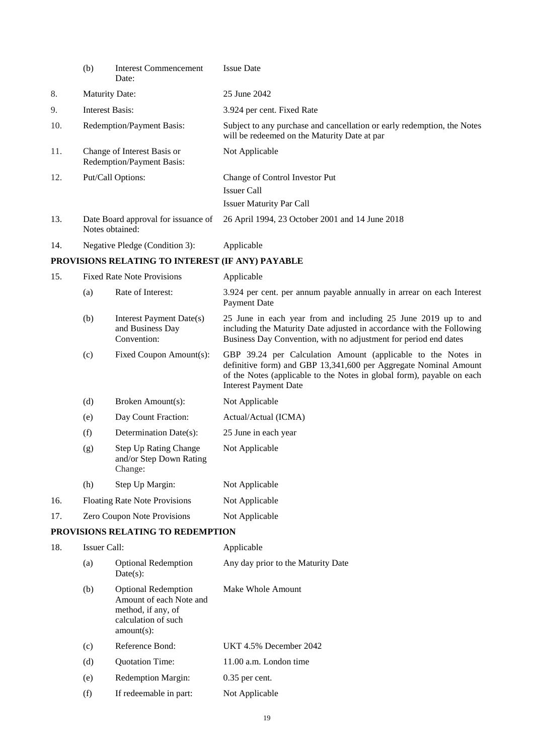| (b)                         | <b>Interest Commencement</b><br>Date:                              | <b>Issue Date</b>                                                                                                                                                                                                                                                                                                                                                                                                      |
|-----------------------------|--------------------------------------------------------------------|------------------------------------------------------------------------------------------------------------------------------------------------------------------------------------------------------------------------------------------------------------------------------------------------------------------------------------------------------------------------------------------------------------------------|
| <b>Maturity Date:</b>       |                                                                    | 25 June 2042                                                                                                                                                                                                                                                                                                                                                                                                           |
|                             |                                                                    | 3.924 per cent. Fixed Rate                                                                                                                                                                                                                                                                                                                                                                                             |
|                             |                                                                    | Subject to any purchase and cancellation or early redemption, the Notes<br>will be redeemed on the Maturity Date at par                                                                                                                                                                                                                                                                                                |
|                             |                                                                    | Not Applicable                                                                                                                                                                                                                                                                                                                                                                                                         |
|                             |                                                                    | Change of Control Investor Put                                                                                                                                                                                                                                                                                                                                                                                         |
|                             |                                                                    | <b>Issuer Call</b>                                                                                                                                                                                                                                                                                                                                                                                                     |
|                             |                                                                    | <b>Issuer Maturity Par Call</b>                                                                                                                                                                                                                                                                                                                                                                                        |
|                             |                                                                    | 26 April 1994, 23 October 2001 and 14 June 2018                                                                                                                                                                                                                                                                                                                                                                        |
|                             |                                                                    | Applicable                                                                                                                                                                                                                                                                                                                                                                                                             |
|                             |                                                                    |                                                                                                                                                                                                                                                                                                                                                                                                                        |
|                             |                                                                    | Applicable                                                                                                                                                                                                                                                                                                                                                                                                             |
| (a)                         | Rate of Interest:                                                  | 3.924 per cent. per annum payable annually in arrear on each Interest<br>Payment Date                                                                                                                                                                                                                                                                                                                                  |
| (b)                         | Interest Payment Date(s)<br>and Business Day<br>Convention:        | 25 June in each year from and including 25 June 2019 up to and<br>including the Maturity Date adjusted in accordance with the Following<br>Business Day Convention, with no adjustment for period end dates                                                                                                                                                                                                            |
| (c)                         | Fixed Coupon Amount(s):                                            | GBP 39.24 per Calculation Amount (applicable to the Notes in<br>definitive form) and GBP 13,341,600 per Aggregate Nominal Amount<br>of the Notes (applicable to the Notes in global form), payable on each<br><b>Interest Payment Date</b>                                                                                                                                                                             |
| (d)                         | Broken Amount(s):                                                  | Not Applicable                                                                                                                                                                                                                                                                                                                                                                                                         |
| (e)                         | Day Count Fraction:                                                | Actual/Actual (ICMA)                                                                                                                                                                                                                                                                                                                                                                                                   |
| (f)                         | Determination Date(s):                                             | 25 June in each year                                                                                                                                                                                                                                                                                                                                                                                                   |
| (g)                         | <b>Step Up Rating Change</b><br>and/or Step Down Rating<br>Change: | Not Applicable                                                                                                                                                                                                                                                                                                                                                                                                         |
| (h)                         | Step Up Margin:                                                    | Not Applicable                                                                                                                                                                                                                                                                                                                                                                                                         |
|                             |                                                                    | Not Applicable                                                                                                                                                                                                                                                                                                                                                                                                         |
| Zero Coupon Note Provisions |                                                                    | Not Applicable                                                                                                                                                                                                                                                                                                                                                                                                         |
|                             |                                                                    |                                                                                                                                                                                                                                                                                                                                                                                                                        |
|                             |                                                                    | Applicable                                                                                                                                                                                                                                                                                                                                                                                                             |
| (a)                         | <b>Optional Redemption</b><br>Date(s):                             | Any day prior to the Maturity Date                                                                                                                                                                                                                                                                                                                                                                                     |
|                             |                                                                    | <b>Interest Basis:</b><br>Redemption/Payment Basis:<br>Change of Interest Basis or<br>Redemption/Payment Basis:<br>Put/Call Options:<br>Date Board approval for issuance of<br>Notes obtained:<br>Negative Pledge (Condition 3):<br>PROVISIONS RELATING TO INTEREST (IF ANY) PAYABLE<br><b>Fixed Rate Note Provisions</b><br><b>Floating Rate Note Provisions</b><br>PROVISIONS RELATING TO REDEMPTION<br>Issuer Call: |

| (b) | <b>Optional Redemption</b><br>Amount of each Note and<br>method, if any, of<br>calculation of such<br>$amount(s)$ : | Make Whole Amount      |
|-----|---------------------------------------------------------------------------------------------------------------------|------------------------|
| (c) | Reference Bond:                                                                                                     | UKT 4.5% December 2042 |
| (d) | <b>Ouotation Time:</b>                                                                                              | 11.00 a.m. London time |
| (e) | <b>Redemption Margin:</b>                                                                                           | $0.35$ per cent.       |
| (f) | If redeemable in part:                                                                                              | Not Applicable         |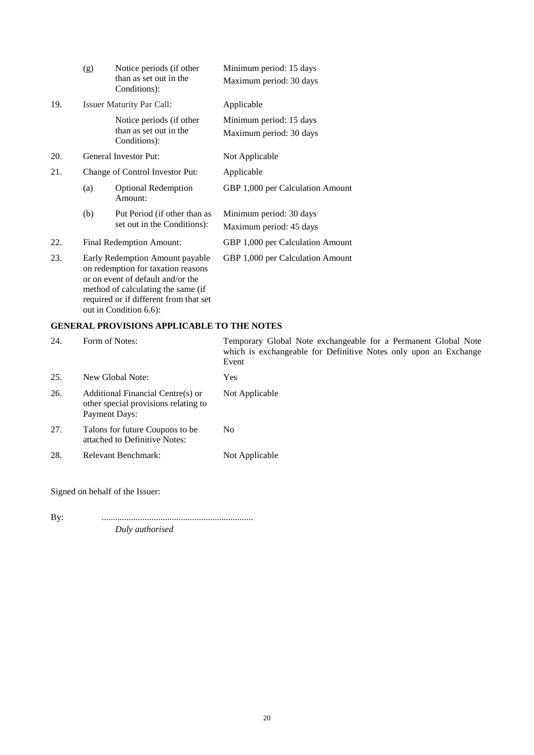|     | (g)                                                                                                                                                                                        | Notice periods (if other<br>than as set out in the | Minimum period: 15 days<br>Maximum period: 30 days |
|-----|--------------------------------------------------------------------------------------------------------------------------------------------------------------------------------------------|----------------------------------------------------|----------------------------------------------------|
|     |                                                                                                                                                                                            | Conditions):                                       |                                                    |
| 19. |                                                                                                                                                                                            | <b>Issuer Maturity Par Call:</b>                   | Applicable                                         |
|     |                                                                                                                                                                                            | Notice periods (if other                           | Minimum period: 15 days                            |
|     |                                                                                                                                                                                            | than as set out in the<br>Conditions):             | Maximum period: 30 days                            |
| 20. |                                                                                                                                                                                            | General Investor Put:                              | Not Applicable                                     |
| 21. | Change of Control Investor Put:                                                                                                                                                            |                                                    | Applicable                                         |
|     | (a)                                                                                                                                                                                        | <b>Optional Redemption</b><br>Amount:              | GBP 1,000 per Calculation Amount                   |
|     | (b)                                                                                                                                                                                        | Put Period (if other than as                       | Minimum period: 30 days                            |
|     |                                                                                                                                                                                            | set out in the Conditions):                        | Maximum period: 45 days                            |
| 22. | Final Redemption Amount:                                                                                                                                                                   |                                                    | GBP 1,000 per Calculation Amount                   |
| 23. | Early Redemption Amount payable<br>on redemption for taxation reasons<br>or on event of default and/or the<br>method of calculating the same (if<br>required or if different from that set |                                                    | GBP 1,000 per Calculation Amount                   |

### **GENERAL PROVISIONS APPLICABLE TO THE NOTES**

out in Condition 6.6):

| 24. | Form of Notes:                                                                             | Temporary Global Note exchangeable for a Permanent Global Note<br>which is exchangeable for Definitive Notes only upon an Exchange<br>Event |
|-----|--------------------------------------------------------------------------------------------|---------------------------------------------------------------------------------------------------------------------------------------------|
| 25. | New Global Note:                                                                           | <b>Yes</b>                                                                                                                                  |
| 26. | Additional Financial Centre(s) or<br>other special provisions relating to<br>Payment Days: | Not Applicable                                                                                                                              |
| 27. | Talons for future Coupons to be<br>attached to Definitive Notes:                           | N <sub>0</sub>                                                                                                                              |
| 28. | Relevant Benchmark:                                                                        | Not Applicable                                                                                                                              |

Signed on behalf of the Issuer:

By: ................................................................... *Duly authorised*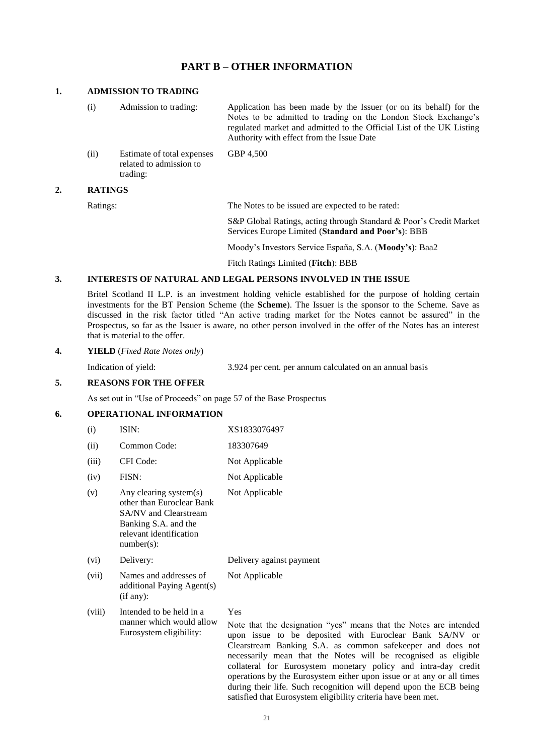### **PART B – OTHER INFORMATION**

#### **1. ADMISSION TO TRADING**

(i) Admission to trading: Application has been made by the Issuer (or on its behalf) for the Notes to be admitted to trading on the London Stock Exchange's regulated market and admitted to the Official List of the UK Listing Authority with effect from the Issue Date (ii) Estimate of total expenses related to admission to trading: GBP 4,500

#### **2. RATINGS**

Ratings: The Notes to be issued are expected to be rated:

S&P Global Ratings, acting through Standard & Poor's Credit Market Services Europe Limited (**Standard and Poor's**): BBB

Moody's Investors Service España, S.A. (**Moody's**): Baa2

Fitch Ratings Limited (**Fitch**): BBB

#### **3. INTERESTS OF NATURAL AND LEGAL PERSONS INVOLVED IN THE ISSUE**

Britel Scotland II L.P. is an investment holding vehicle established for the purpose of holding certain investments for the BT Pension Scheme (the **Scheme**). The Issuer is the sponsor to the Scheme. Save as discussed in the risk factor titled "An active trading market for the Notes cannot be assured" in the Prospectus, so far as the Issuer is aware, no other person involved in the offer of the Notes has an interest that is material to the offer.

#### **4. YIELD** (*Fixed Rate Notes only*)

Indication of yield: 3.924 per cent. per annum calculated on an annual basis

operations by the Eurosystem either upon issue or at any or all times during their life. Such recognition will depend upon the ECB being

satisfied that Eurosystem eligibility criteria have been met.

#### **5. REASONS FOR THE OFFER**

As set out in "Use of Proceeds" on page 57 of the Base Prospectus

#### **6. OPERATIONAL INFORMATION**

| (i)    | ISIN:                                                                                                                                                   | XS1833076497                                                                                                                                                                                                                                                                                                                          |
|--------|---------------------------------------------------------------------------------------------------------------------------------------------------------|---------------------------------------------------------------------------------------------------------------------------------------------------------------------------------------------------------------------------------------------------------------------------------------------------------------------------------------|
| (ii)   | Common Code:                                                                                                                                            | 183307649                                                                                                                                                                                                                                                                                                                             |
| (iii)  | CFI Code:                                                                                                                                               | Not Applicable                                                                                                                                                                                                                                                                                                                        |
| (iv)   | FISN:                                                                                                                                                   | Not Applicable                                                                                                                                                                                                                                                                                                                        |
| (v)    | Any clearing system(s)<br>other than Euroclear Bank<br><b>SA/NV</b> and Clearstream<br>Banking S.A. and the<br>relevant identification<br>$number(s)$ : | Not Applicable                                                                                                                                                                                                                                                                                                                        |
| (vi)   | Delivery:                                                                                                                                               | Delivery against payment                                                                                                                                                                                                                                                                                                              |
| (vii)  | Names and addresses of<br>additional Paying Agent(s)<br>(if any):                                                                                       | Not Applicable                                                                                                                                                                                                                                                                                                                        |
| (viii) | Intended to be held in a<br>manner which would allow<br>Eurosystem eligibility:                                                                         | Yes<br>Note that the designation "yes" means that the Notes are intended<br>upon issue to be deposited with Euroclear Bank SA/NV or<br>Clearstream Banking S.A. as common safekeeper and does not<br>necessarily mean that the Notes will be recognised as eligible<br>collateral for Eurosystem monetary policy and intra-day credit |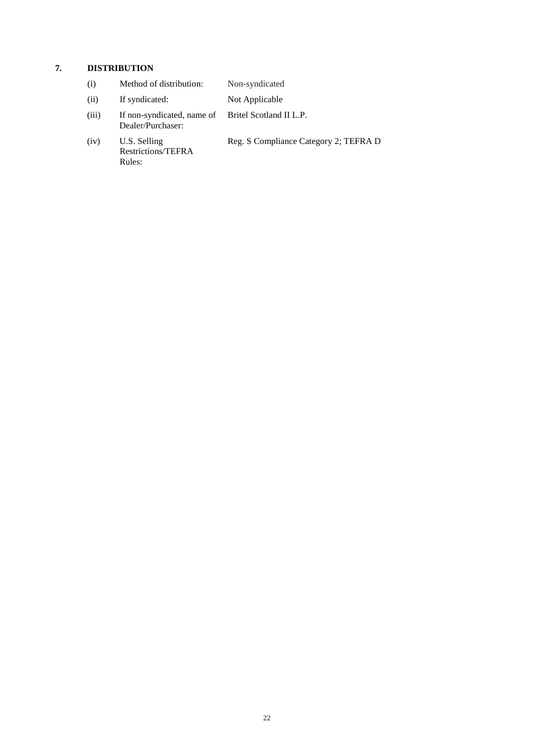# **7. DISTRIBUTION**

| (i)   | Method of distribution:                                                 | Non-syndicated                        |
|-------|-------------------------------------------------------------------------|---------------------------------------|
| (ii)  | If syndicated:                                                          | Not Applicable                        |
| (iii) | If non-syndicated, name of Britel Scotland II L.P.<br>Dealer/Purchaser: |                                       |
| (iv)  | U.S. Selling<br>Restrictions/TEFRA<br>Rules:                            | Reg. S Compliance Category 2; TEFRA D |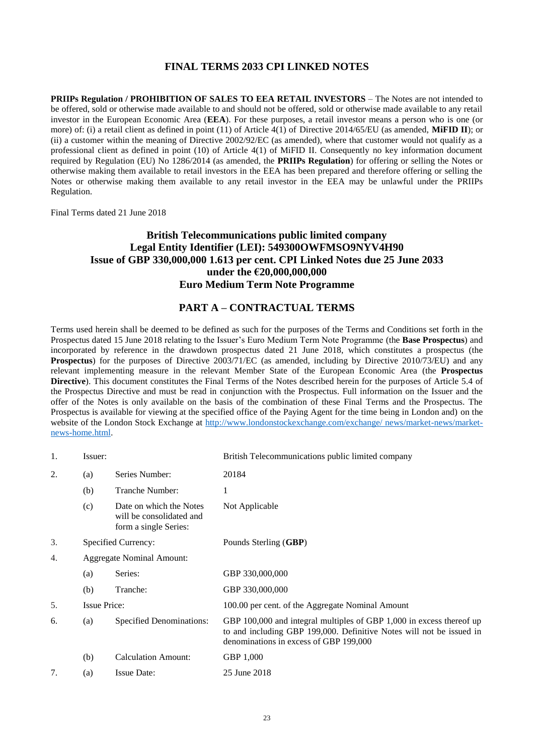### **FINAL TERMS 2033 CPI LINKED NOTES**

<span id="page-22-0"></span>**PRIIPs Regulation / PROHIBITION OF SALES TO EEA RETAIL INVESTORS** – The Notes are not intended to be offered, sold or otherwise made available to and should not be offered, sold or otherwise made available to any retail investor in the European Economic Area (**EEA**). For these purposes, a retail investor means a person who is one (or more) of: (i) a retail client as defined in point (11) of Article 4(1) of Directive 2014/65/EU (as amended, **MiFID II**); or (ii) a customer within the meaning of Directive 2002/92/EC (as amended), where that customer would not qualify as a professional client as defined in point (10) of Article 4(1) of MiFID II. Consequently no key information document required by Regulation (EU) No 1286/2014 (as amended, the **PRIIPs Regulation**) for offering or selling the Notes or otherwise making them available to retail investors in the EEA has been prepared and therefore offering or selling the Notes or otherwise making them available to any retail investor in the EEA may be unlawful under the PRIIPs Regulation.

Final Terms dated 21 June 2018

### **British Telecommunications public limited company Legal Entity Identifier (LEI): 549300OWFMSO9NYV4H90 Issue of GBP 330,000,000 1.613 per cent. CPI Linked Notes due 25 June 2033 under the €20,000,000,000 Euro Medium Term Note Programme**

### **PART A – CONTRACTUAL TERMS**

Terms used herein shall be deemed to be defined as such for the purposes of the Terms and Conditions set forth in the Prospectus dated 15 June 2018 relating to the Issuer's Euro Medium Term Note Programme (the **Base Prospectus**) and incorporated by reference in the drawdown prospectus dated 21 June 2018, which constitutes a prospectus (the **Prospectus**) for the purposes of Directive 2003/71/EC (as amended, including by Directive 2010/73/EU) and any relevant implementing measure in the relevant Member State of the European Economic Area (the **Prospectus Directive**). This document constitutes the Final Terms of the Notes described herein for the purposes of Article 5.4 of the Prospectus Directive and must be read in conjunction with the Prospectus. Full information on the Issuer and the offer of the Notes is only available on the basis of the combination of these Final Terms and the Prospectus. The Prospectus is available for viewing at the specified office of the Paying Agent for the time being in London and) on the website of the London Stock Exchange at [http://www.londonstockexchange.com/exchange/ news/market-news/market](http://www.londonstockexchange.com/exchange/%20news/market-news/market-news-home.html)[news-home.html.](http://www.londonstockexchange.com/exchange/%20news/market-news/market-news-home.html)

| 1. | Issuer:                          |                                                                              | British Telecommunications public limited company                                                                                                                                      |
|----|----------------------------------|------------------------------------------------------------------------------|----------------------------------------------------------------------------------------------------------------------------------------------------------------------------------------|
| 2. | (a)                              | Series Number:                                                               | 20184                                                                                                                                                                                  |
|    | (b)                              | Tranche Number:                                                              | 1                                                                                                                                                                                      |
|    | (c)                              | Date on which the Notes<br>will be consolidated and<br>form a single Series: | Not Applicable                                                                                                                                                                         |
| 3. |                                  | Specified Currency:                                                          | Pounds Sterling (GBP)                                                                                                                                                                  |
| 4. | <b>Aggregate Nominal Amount:</b> |                                                                              |                                                                                                                                                                                        |
|    | (a)                              | Series:                                                                      | GBP 330,000,000                                                                                                                                                                        |
|    | (b)                              | Tranche:                                                                     | GBP 330,000,000                                                                                                                                                                        |
| 5. | <b>Issue Price:</b>              |                                                                              | 100.00 per cent. of the Aggregate Nominal Amount                                                                                                                                       |
| 6. | (a)                              | Specified Denominations:                                                     | GBP 100,000 and integral multiples of GBP 1,000 in excess thereof up<br>to and including GBP 199,000. Definitive Notes will not be issued in<br>denominations in excess of GBP 199,000 |
|    | (b)                              | <b>Calculation Amount:</b>                                                   | GBP 1,000                                                                                                                                                                              |
| 7. | (a)                              | <b>Issue Date:</b>                                                           | 25 June 2018                                                                                                                                                                           |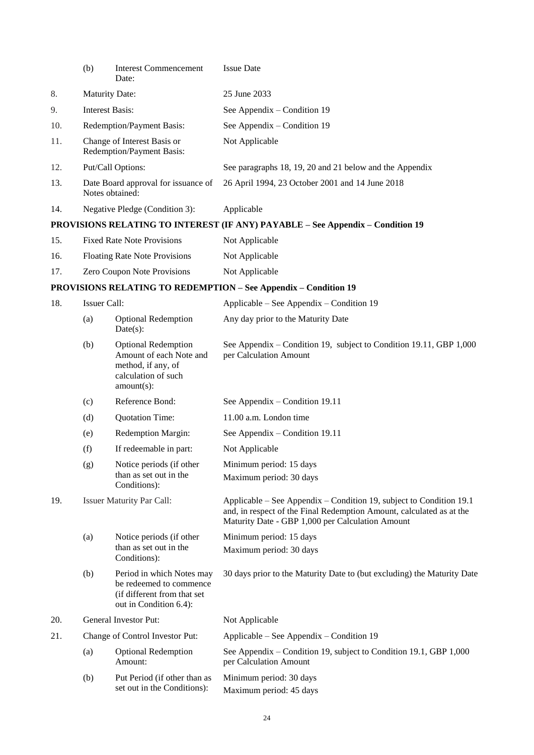|     | (b)                    | <b>Interest Commencement</b><br>Date:                                                                               | <b>Issue Date</b>                                                                                                                                                                               |
|-----|------------------------|---------------------------------------------------------------------------------------------------------------------|-------------------------------------------------------------------------------------------------------------------------------------------------------------------------------------------------|
| 8.  | <b>Maturity Date:</b>  |                                                                                                                     | 25 June 2033                                                                                                                                                                                    |
| 9.  | <b>Interest Basis:</b> |                                                                                                                     | See Appendix – Condition 19                                                                                                                                                                     |
| 10. |                        | Redemption/Payment Basis:                                                                                           | See Appendix – Condition 19                                                                                                                                                                     |
| 11. |                        | Change of Interest Basis or<br>Redemption/Payment Basis:                                                            | Not Applicable                                                                                                                                                                                  |
| 12. |                        | Put/Call Options:                                                                                                   | See paragraphs 18, 19, 20 and 21 below and the Appendix                                                                                                                                         |
| 13. |                        | Date Board approval for issuance of<br>Notes obtained:                                                              | 26 April 1994, 23 October 2001 and 14 June 2018                                                                                                                                                 |
| 14. |                        | Negative Pledge (Condition 3):                                                                                      | Applicable                                                                                                                                                                                      |
|     |                        |                                                                                                                     | PROVISIONS RELATING TO INTEREST (IF ANY) PAYABLE - See Appendix - Condition 19                                                                                                                  |
| 15. |                        | <b>Fixed Rate Note Provisions</b>                                                                                   | Not Applicable                                                                                                                                                                                  |
| 16. |                        | <b>Floating Rate Note Provisions</b>                                                                                | Not Applicable                                                                                                                                                                                  |
| 17. |                        | Zero Coupon Note Provisions                                                                                         | Not Applicable                                                                                                                                                                                  |
|     |                        |                                                                                                                     | <b>PROVISIONS RELATING TO REDEMPTION - See Appendix - Condition 19</b>                                                                                                                          |
| 18. | Issuer Call:           |                                                                                                                     | Applicable – See Appendix – Condition 19                                                                                                                                                        |
|     | (a)                    | <b>Optional Redemption</b><br>$Date(s)$ :                                                                           | Any day prior to the Maturity Date                                                                                                                                                              |
|     | (b)                    | <b>Optional Redemption</b><br>Amount of each Note and<br>method, if any, of<br>calculation of such<br>$amount(s)$ : | See Appendix – Condition 19, subject to Condition 19.11, GBP 1,000<br>per Calculation Amount                                                                                                    |
|     | (c)                    | Reference Bond:                                                                                                     | See Appendix – Condition 19.11                                                                                                                                                                  |
|     | (d)                    | Quotation Time:                                                                                                     | 11.00 a.m. London time                                                                                                                                                                          |
|     | (e)                    | Redemption Margin:                                                                                                  | See Appendix - Condition 19.11                                                                                                                                                                  |
|     | (f)                    | If redeemable in part:                                                                                              | Not Applicable                                                                                                                                                                                  |
|     | (g)                    | Notice periods (if other<br>than as set out in the<br>Conditions):                                                  | Minimum period: 15 days<br>Maximum period: 30 days                                                                                                                                              |
| 19. |                        | <b>Issuer Maturity Par Call:</b>                                                                                    | Applicable – See Appendix – Condition 19, subject to Condition 19.1<br>and, in respect of the Final Redemption Amount, calculated as at the<br>Maturity Date - GBP 1,000 per Calculation Amount |
|     | (a)                    | Notice periods (if other                                                                                            | Minimum period: 15 days                                                                                                                                                                         |
|     |                        | than as set out in the<br>Conditions):                                                                              | Maximum period: 30 days                                                                                                                                                                         |
|     | (b)                    | Period in which Notes may<br>be redeemed to commence<br>(if different from that set<br>out in Condition 6.4):       | 30 days prior to the Maturity Date to (but excluding) the Maturity Date                                                                                                                         |
| 20. |                        | General Investor Put:                                                                                               | Not Applicable                                                                                                                                                                                  |
| 21. |                        | Change of Control Investor Put:                                                                                     | Applicable – See Appendix – Condition 19                                                                                                                                                        |
|     | (a)                    | <b>Optional Redemption</b><br>Amount:                                                                               | See Appendix – Condition 19, subject to Condition 19.1, GBP 1,000<br>per Calculation Amount                                                                                                     |
|     | (b)                    | Put Period (if other than as<br>set out in the Conditions):                                                         | Minimum period: 30 days<br>Maximum period: 45 days                                                                                                                                              |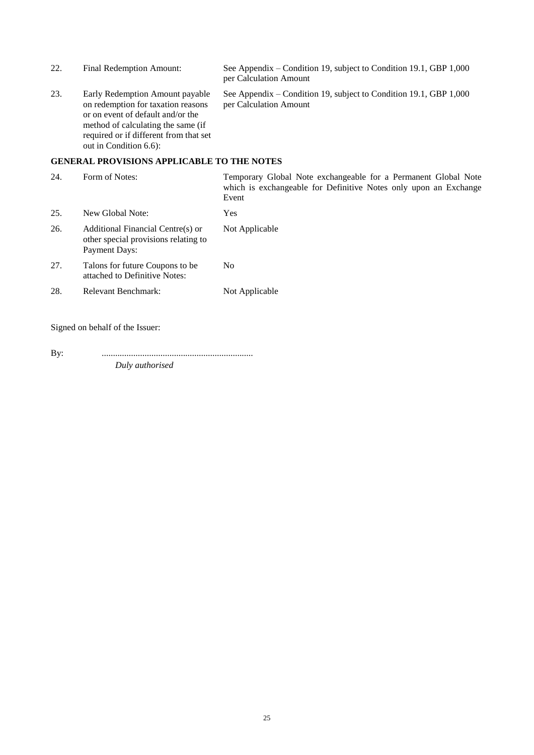| 22. | Final Redemption Amount:                                                                                                                                                                                             | See Appendix – Condition 19, subject to Condition 19.1, GBP 1,000<br>per Calculation Amount                                                 |
|-----|----------------------------------------------------------------------------------------------------------------------------------------------------------------------------------------------------------------------|---------------------------------------------------------------------------------------------------------------------------------------------|
| 23. | Early Redemption Amount payable<br>on redemption for taxation reasons<br>or on event of default and/or the<br>method of calculating the same (if<br>required or if different from that set<br>out in Condition 6.6): | See Appendix – Condition 19, subject to Condition 19.1, GBP 1,000<br>per Calculation Amount                                                 |
|     | <b>GENERAL PROVISIONS APPLICABLE TO THE NOTES</b>                                                                                                                                                                    |                                                                                                                                             |
| 24. | Form of Notes:                                                                                                                                                                                                       | Temporary Global Note exchangeable for a Permanent Global Note<br>which is exchangeable for Definitive Notes only upon an Exchange<br>Event |

| 25. | New Global Note:                                                                                  | Yes            |
|-----|---------------------------------------------------------------------------------------------------|----------------|
| 26. | Additional Financial Centre(s) or<br>other special provisions relating to<br><b>Payment Days:</b> | Not Applicable |
| 27. | Talons for future Coupons to be.<br>attached to Definitive Notes:                                 | No             |
| 28. | Relevant Benchmark:                                                                               | Not Applicable |

Signed on behalf of the Issuer:

By: ................................................................... *Duly authorised*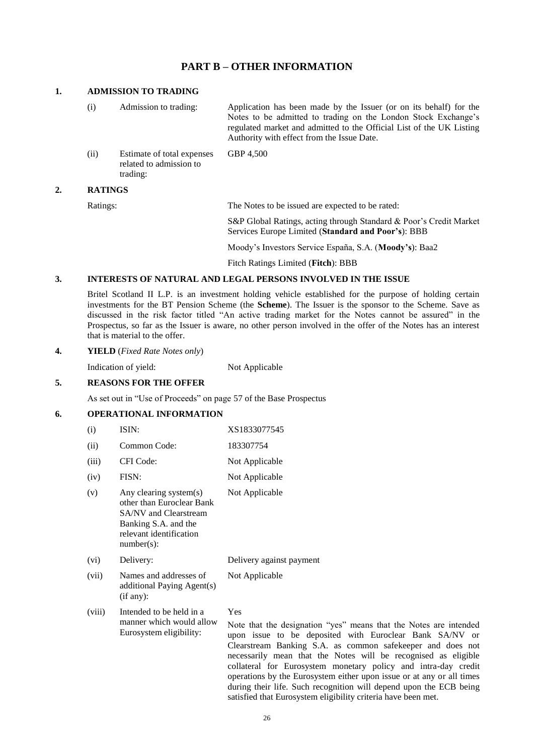### **PART B – OTHER INFORMATION**

#### **1. ADMISSION TO TRADING**

(i) Admission to trading: Application has been made by the Issuer (or on its behalf) for the Notes to be admitted to trading on the London Stock Exchange's regulated market and admitted to the Official List of the UK Listing Authority with effect from the Issue Date. (ii) Estimate of total expenses related to admission to GBP 4,500

trading:

#### **2. RATINGS**

Ratings: The Notes to be issued are expected to be rated:

S&P Global Ratings, acting through Standard & Poor's Credit Market Services Europe Limited (**Standard and Poor's**): BBB

Moody's Investors Service España, S.A. (**Moody's**): Baa2

Fitch Ratings Limited (**Fitch**): BBB

#### **3. INTERESTS OF NATURAL AND LEGAL PERSONS INVOLVED IN THE ISSUE**

Britel Scotland II L.P. is an investment holding vehicle established for the purpose of holding certain investments for the BT Pension Scheme (the **Scheme**). The Issuer is the sponsor to the Scheme. Save as discussed in the risk factor titled "An active trading market for the Notes cannot be assured" in the Prospectus, so far as the Issuer is aware, no other person involved in the offer of the Notes has an interest that is material to the offer.

#### **4. YIELD** (*Fixed Rate Notes only*)

Indication of yield: Not Applicable

#### **5. REASONS FOR THE OFFER**

As set out in "Use of Proceeds" on page 57 of the Base Prospectus

### **6. OPERATIONAL INFORMATION**

| (i)    | ISIN:                                                                                                                                            | XS1833077545                                                                                 |
|--------|--------------------------------------------------------------------------------------------------------------------------------------------------|----------------------------------------------------------------------------------------------|
| (ii)   | Common Code:                                                                                                                                     | 183307754                                                                                    |
| (iii)  | CFI Code:                                                                                                                                        | Not Applicable                                                                               |
| (iv)   | FISN:                                                                                                                                            | Not Applicable                                                                               |
| (v)    | Any clearing system(s)<br>other than Euroclear Bank<br>SA/NV and Clearstream<br>Banking S.A. and the<br>relevant identification<br>$number(s)$ : | Not Applicable                                                                               |
| (vi)   | Delivery:                                                                                                                                        | Delivery against payment                                                                     |
| (vii)  | Names and addresses of<br>additional Paying Agent(s)<br>(if any):                                                                                | Not Applicable                                                                               |
| (viii) | Intended to be held in a<br>manner which would allow<br>Eurosystem eligibility:                                                                  | Yes<br>Note that the designation "y<br>upon issue to be deposite<br>Clearstream Banking S.A. |

res" means that the Notes are intended ed with Euroclear Bank SA/NV or as common safekeeper and does not necessarily mean that the Notes will be recognised as eligible collateral for Eurosystem monetary policy and intra-day credit operations by the Eurosystem either upon issue or at any or all times during their life. Such recognition will depend upon the ECB being satisfied that Eurosystem eligibility criteria have been met.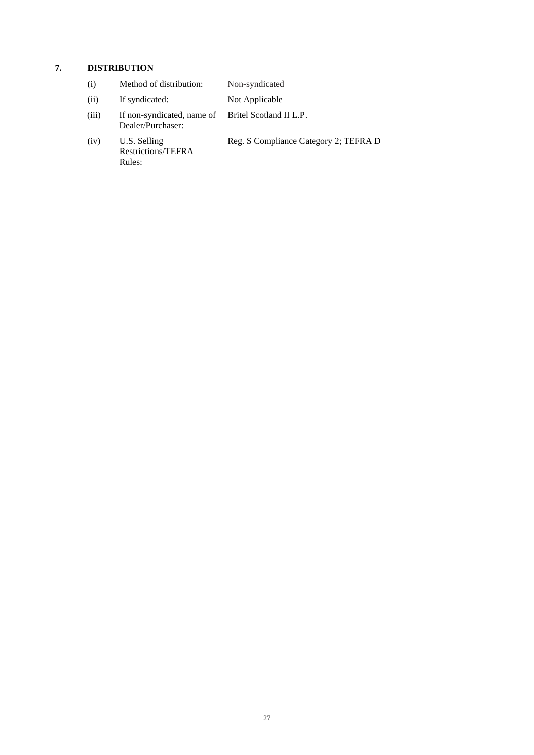# **7. DISTRIBUTION**

| (i)   | Method of distribution:                         | Non-syndicated                        |
|-------|-------------------------------------------------|---------------------------------------|
| (ii)  | If syndicated:                                  | Not Applicable                        |
| (iii) | If non-syndicated, name of<br>Dealer/Purchaser: | Britel Scotland II L.P.               |
| (iv)  | U.S. Selling<br>Restrictions/TEFRA<br>Rules:    | Reg. S Compliance Category 2; TEFRA D |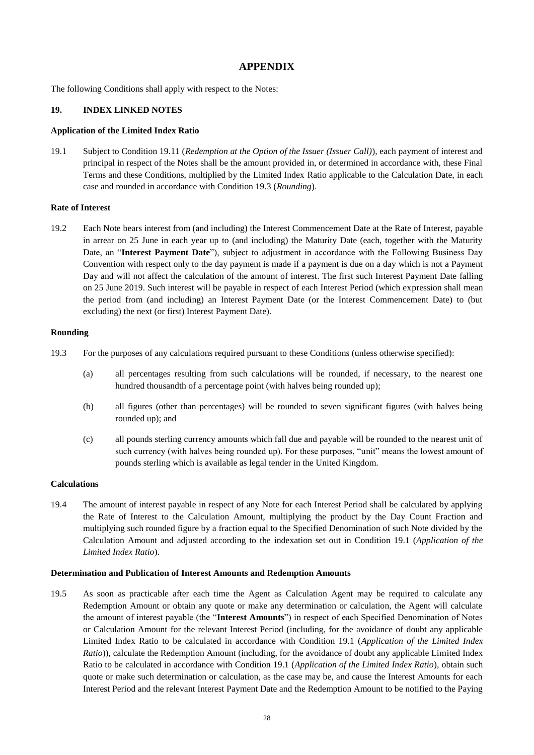### **APPENDIX**

The following Conditions shall apply with respect to the Notes:

#### **19. INDEX LINKED NOTES**

#### **Application of the Limited Index Ratio**

19.1 Subject to Condition 19.11 (*Redemption at the Option of the Issuer (Issuer Call)*), each payment of interest and principal in respect of the Notes shall be the amount provided in, or determined in accordance with, these Final Terms and these Conditions, multiplied by the Limited Index Ratio applicable to the Calculation Date, in each case and rounded in accordance with Condition 19.3 (*Rounding*).

#### **Rate of Interest**

19.2 Each Note bears interest from (and including) the Interest Commencement Date at the Rate of Interest, payable in arrear on 25 June in each year up to (and including) the Maturity Date (each, together with the Maturity Date, an "**Interest Payment Date**"), subject to adjustment in accordance with the Following Business Day Convention with respect only to the day payment is made if a payment is due on a day which is not a Payment Day and will not affect the calculation of the amount of interest. The first such Interest Payment Date falling on 25 June 2019. Such interest will be payable in respect of each Interest Period (which expression shall mean the period from (and including) an Interest Payment Date (or the Interest Commencement Date) to (but excluding) the next (or first) Interest Payment Date).

#### **Rounding**

- 19.3 For the purposes of any calculations required pursuant to these Conditions (unless otherwise specified):
	- (a) all percentages resulting from such calculations will be rounded, if necessary, to the nearest one hundred thousandth of a percentage point (with halves being rounded up);
	- (b) all figures (other than percentages) will be rounded to seven significant figures (with halves being rounded up); and
	- (c) all pounds sterling currency amounts which fall due and payable will be rounded to the nearest unit of such currency (with halves being rounded up). For these purposes, "unit" means the lowest amount of pounds sterling which is available as legal tender in the United Kingdom.

#### **Calculations**

19.4 The amount of interest payable in respect of any Note for each Interest Period shall be calculated by applying the Rate of Interest to the Calculation Amount, multiplying the product by the Day Count Fraction and multiplying such rounded figure by a fraction equal to the Specified Denomination of such Note divided by the Calculation Amount and adjusted according to the indexation set out in Condition 19.1 (*Application of the Limited Index Ratio*).

#### **Determination and Publication of Interest Amounts and Redemption Amounts**

19.5 As soon as practicable after each time the Agent as Calculation Agent may be required to calculate any Redemption Amount or obtain any quote or make any determination or calculation, the Agent will calculate the amount of interest payable (the "**Interest Amounts**") in respect of each Specified Denomination of Notes or Calculation Amount for the relevant Interest Period (including, for the avoidance of doubt any applicable Limited Index Ratio to be calculated in accordance with Condition 19.1 (*Application of the Limited Index Ratio*)), calculate the Redemption Amount (including, for the avoidance of doubt any applicable Limited Index Ratio to be calculated in accordance with Condition 19.1 (*Application of the Limited Index Ratio*), obtain such quote or make such determination or calculation, as the case may be, and cause the Interest Amounts for each Interest Period and the relevant Interest Payment Date and the Redemption Amount to be notified to the Paying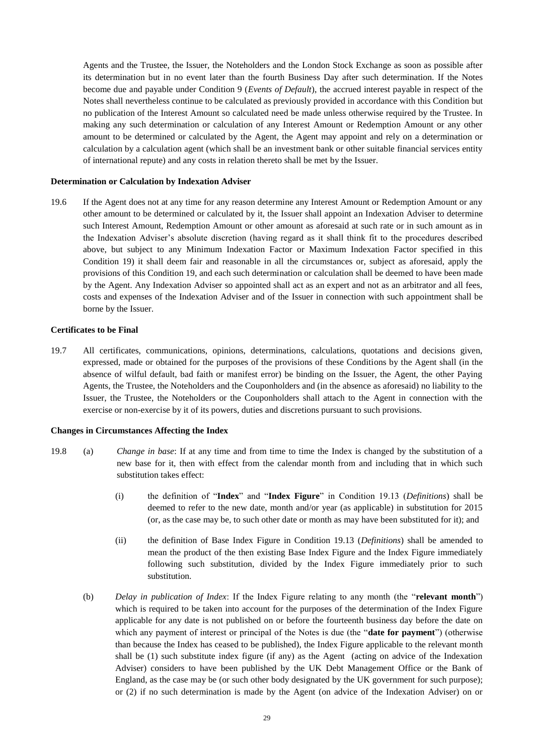Agents and the Trustee, the Issuer, the Noteholders and the London Stock Exchange as soon as possible after its determination but in no event later than the fourth Business Day after such determination. If the Notes become due and payable under Condition 9 (*Events of Default*), the accrued interest payable in respect of the Notes shall nevertheless continue to be calculated as previously provided in accordance with this Condition but no publication of the Interest Amount so calculated need be made unless otherwise required by the Trustee. In making any such determination or calculation of any Interest Amount or Redemption Amount or any other amount to be determined or calculated by the Agent, the Agent may appoint and rely on a determination or calculation by a calculation agent (which shall be an investment bank or other suitable financial services entity of international repute) and any costs in relation thereto shall be met by the Issuer.

#### **Determination or Calculation by Indexation Adviser**

19.6 If the Agent does not at any time for any reason determine any Interest Amount or Redemption Amount or any other amount to be determined or calculated by it, the Issuer shall appoint an Indexation Adviser to determine such Interest Amount, Redemption Amount or other amount as aforesaid at such rate or in such amount as in the Indexation Adviser's absolute discretion (having regard as it shall think fit to the procedures described above, but subject to any Minimum Indexation Factor or Maximum Indexation Factor specified in this Condition 19) it shall deem fair and reasonable in all the circumstances or, subject as aforesaid, apply the provisions of this Condition 19, and each such determination or calculation shall be deemed to have been made by the Agent. Any Indexation Adviser so appointed shall act as an expert and not as an arbitrator and all fees, costs and expenses of the Indexation Adviser and of the Issuer in connection with such appointment shall be borne by the Issuer.

#### **Certificates to be Final**

19.7 All certificates, communications, opinions, determinations, calculations, quotations and decisions given, expressed, made or obtained for the purposes of the provisions of these Conditions by the Agent shall (in the absence of wilful default, bad faith or manifest error) be binding on the Issuer, the Agent, the other Paying Agents, the Trustee, the Noteholders and the Couponholders and (in the absence as aforesaid) no liability to the Issuer, the Trustee, the Noteholders or the Couponholders shall attach to the Agent in connection with the exercise or non-exercise by it of its powers, duties and discretions pursuant to such provisions.

#### **Changes in Circumstances Affecting the Index**

- 19.8 (a) *Change in base*: If at any time and from time to time the Index is changed by the substitution of a new base for it, then with effect from the calendar month from and including that in which such substitution takes effect:
	- (i) the definition of "**Index**" and "**Index Figure**" in Condition 19.13 (*Definitions*) shall be deemed to refer to the new date, month and/or year (as applicable) in substitution for 2015 (or, as the case may be, to such other date or month as may have been substituted for it); and
	- (ii) the definition of Base Index Figure in Condition 19.13 (*Definitions*) shall be amended to mean the product of the then existing Base Index Figure and the Index Figure immediately following such substitution, divided by the Index Figure immediately prior to such substitution.
	- (b) *Delay in publication of Index*: If the Index Figure relating to any month (the "**relevant month**") which is required to be taken into account for the purposes of the determination of the Index Figure applicable for any date is not published on or before the fourteenth business day before the date on which any payment of interest or principal of the Notes is due (the "**date for payment**") (otherwise than because the Index has ceased to be published), the Index Figure applicable to the relevant month shall be (1) such substitute index figure (if any) as the Agent (acting on advice of the Indexation Adviser) considers to have been published by the UK Debt Management Office or the Bank of England, as the case may be (or such other body designated by the UK government for such purpose); or (2) if no such determination is made by the Agent (on advice of the Indexation Adviser) on or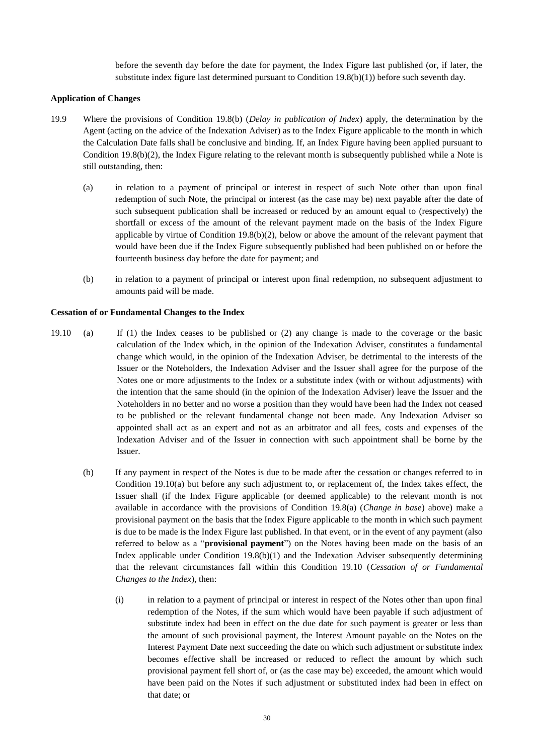before the seventh day before the date for payment, the Index Figure last published (or, if later, the substitute index figure last determined pursuant to Condition 19.8(b)(1)) before such seventh day.

#### **Application of Changes**

- 19.9 Where the provisions of Condition 19.8(b) (*Delay in publication of Index*) apply, the determination by the Agent (acting on the advice of the Indexation Adviser) as to the Index Figure applicable to the month in which the Calculation Date falls shall be conclusive and binding. If, an Index Figure having been applied pursuant to Condition  $19.8(b)(2)$ , the Index Figure relating to the relevant month is subsequently published while a Note is still outstanding, then:
	- (a) in relation to a payment of principal or interest in respect of such Note other than upon final redemption of such Note, the principal or interest (as the case may be) next payable after the date of such subsequent publication shall be increased or reduced by an amount equal to (respectively) the shortfall or excess of the amount of the relevant payment made on the basis of the Index Figure applicable by virtue of Condition 19.8(b)(2), below or above the amount of the relevant payment that would have been due if the Index Figure subsequently published had been published on or before the fourteenth business day before the date for payment; and
	- (b) in relation to a payment of principal or interest upon final redemption, no subsequent adjustment to amounts paid will be made.

#### **Cessation of or Fundamental Changes to the Index**

- 19.10 (a) If (1) the Index ceases to be published or (2) any change is made to the coverage or the basic calculation of the Index which, in the opinion of the Indexation Adviser, constitutes a fundamental change which would, in the opinion of the Indexation Adviser, be detrimental to the interests of the Issuer or the Noteholders, the Indexation Adviser and the Issuer shall agree for the purpose of the Notes one or more adjustments to the Index or a substitute index (with or without adjustments) with the intention that the same should (in the opinion of the Indexation Adviser) leave the Issuer and the Noteholders in no better and no worse a position than they would have been had the Index not ceased to be published or the relevant fundamental change not been made. Any Indexation Adviser so appointed shall act as an expert and not as an arbitrator and all fees, costs and expenses of the Indexation Adviser and of the Issuer in connection with such appointment shall be borne by the Issuer.
	- (b) If any payment in respect of the Notes is due to be made after the cessation or changes referred to in Condition 19.10(a) but before any such adjustment to, or replacement of, the Index takes effect, the Issuer shall (if the Index Figure applicable (or deemed applicable) to the relevant month is not available in accordance with the provisions of Condition 19.8(a) (*Change in base*) above) make a provisional payment on the basis that the Index Figure applicable to the month in which such payment is due to be made is the Index Figure last published. In that event, or in the event of any payment (also referred to below as a "**provisional payment**") on the Notes having been made on the basis of an Index applicable under Condition  $19.8(b)(1)$  and the Indexation Adviser subsequently determining that the relevant circumstances fall within this Condition 19.10 (*Cessation of or Fundamental Changes to the Index*), then:
		- (i) in relation to a payment of principal or interest in respect of the Notes other than upon final redemption of the Notes, if the sum which would have been payable if such adjustment of substitute index had been in effect on the due date for such payment is greater or less than the amount of such provisional payment, the Interest Amount payable on the Notes on the Interest Payment Date next succeeding the date on which such adjustment or substitute index becomes effective shall be increased or reduced to reflect the amount by which such provisional payment fell short of, or (as the case may be) exceeded, the amount which would have been paid on the Notes if such adjustment or substituted index had been in effect on that date; or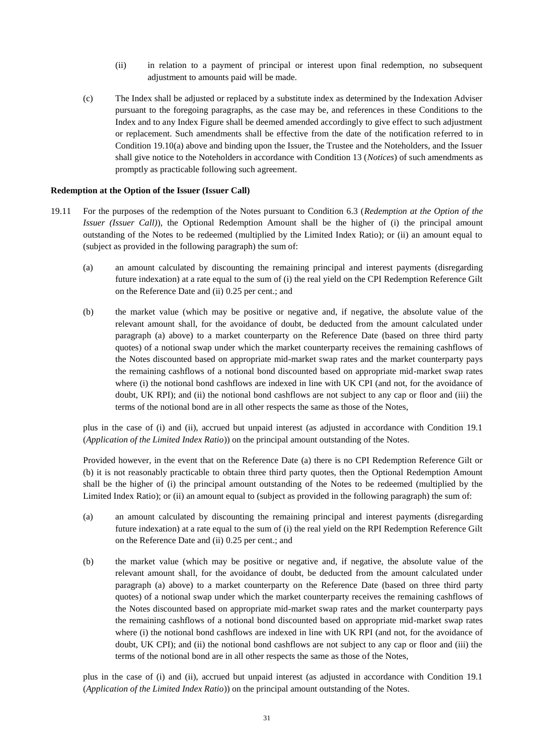- (ii) in relation to a payment of principal or interest upon final redemption, no subsequent adjustment to amounts paid will be made.
- (c) The Index shall be adjusted or replaced by a substitute index as determined by the Indexation Adviser pursuant to the foregoing paragraphs, as the case may be, and references in these Conditions to the Index and to any Index Figure shall be deemed amended accordingly to give effect to such adjustment or replacement. Such amendments shall be effective from the date of the notification referred to in Condition 19.10(a) above and binding upon the Issuer, the Trustee and the Noteholders, and the Issuer shall give notice to the Noteholders in accordance with Condition 13 (*Notices*) of such amendments as promptly as practicable following such agreement.

#### **Redemption at the Option of the Issuer (Issuer Call)**

- 19.11 For the purposes of the redemption of the Notes pursuant to Condition 6.3 (*Redemption at the Option of the Issuer (Issuer Call)*), the Optional Redemption Amount shall be the higher of (i) the principal amount outstanding of the Notes to be redeemed (multiplied by the Limited Index Ratio); or (ii) an amount equal to (subject as provided in the following paragraph) the sum of:
	- (a) an amount calculated by discounting the remaining principal and interest payments (disregarding future indexation) at a rate equal to the sum of (i) the real yield on the CPI Redemption Reference Gilt on the Reference Date and (ii) 0.25 per cent.; and
	- (b) the market value (which may be positive or negative and, if negative, the absolute value of the relevant amount shall, for the avoidance of doubt, be deducted from the amount calculated under paragraph (a) above) to a market counterparty on the Reference Date (based on three third party quotes) of a notional swap under which the market counterparty receives the remaining cashflows of the Notes discounted based on appropriate mid-market swap rates and the market counterparty pays the remaining cashflows of a notional bond discounted based on appropriate mid-market swap rates where (i) the notional bond cashflows are indexed in line with UK CPI (and not, for the avoidance of doubt, UK RPI); and (ii) the notional bond cashflows are not subject to any cap or floor and (iii) the terms of the notional bond are in all other respects the same as those of the Notes,

plus in the case of (i) and (ii), accrued but unpaid interest (as adjusted in accordance with Condition 19.1 (*Application of the Limited Index Ratio*)) on the principal amount outstanding of the Notes.

Provided however, in the event that on the Reference Date (a) there is no CPI Redemption Reference Gilt or (b) it is not reasonably practicable to obtain three third party quotes, then the Optional Redemption Amount shall be the higher of (i) the principal amount outstanding of the Notes to be redeemed (multiplied by the Limited Index Ratio); or (ii) an amount equal to (subject as provided in the following paragraph) the sum of:

- (a) an amount calculated by discounting the remaining principal and interest payments (disregarding future indexation) at a rate equal to the sum of (i) the real yield on the RPI Redemption Reference Gilt on the Reference Date and (ii) 0.25 per cent.; and
- (b) the market value (which may be positive or negative and, if negative, the absolute value of the relevant amount shall, for the avoidance of doubt, be deducted from the amount calculated under paragraph (a) above) to a market counterparty on the Reference Date (based on three third party quotes) of a notional swap under which the market counterparty receives the remaining cashflows of the Notes discounted based on appropriate mid-market swap rates and the market counterparty pays the remaining cashflows of a notional bond discounted based on appropriate mid-market swap rates where (i) the notional bond cashflows are indexed in line with UK RPI (and not, for the avoidance of doubt, UK CPI); and (ii) the notional bond cashflows are not subject to any cap or floor and (iii) the terms of the notional bond are in all other respects the same as those of the Notes,

plus in the case of (i) and (ii), accrued but unpaid interest (as adjusted in accordance with Condition 19.1 (*Application of the Limited Index Ratio*)) on the principal amount outstanding of the Notes.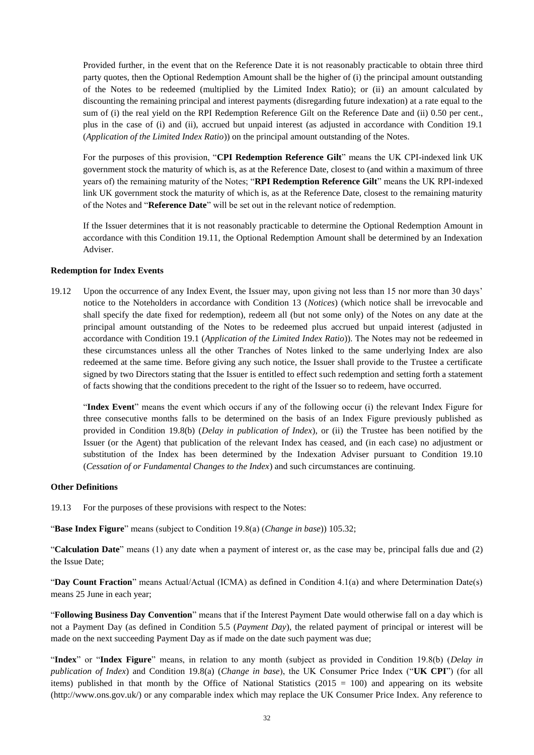Provided further, in the event that on the Reference Date it is not reasonably practicable to obtain three third party quotes, then the Optional Redemption Amount shall be the higher of (i) the principal amount outstanding of the Notes to be redeemed (multiplied by the Limited Index Ratio); or (ii) an amount calculated by discounting the remaining principal and interest payments (disregarding future indexation) at a rate equal to the sum of (i) the real yield on the RPI Redemption Reference Gilt on the Reference Date and (ii) 0.50 per cent., plus in the case of (i) and (ii), accrued but unpaid interest (as adjusted in accordance with Condition 19.1 (*Application of the Limited Index Ratio*)) on the principal amount outstanding of the Notes.

For the purposes of this provision, "**CPI Redemption Reference Gilt**" means the UK CPI-indexed link UK government stock the maturity of which is, as at the Reference Date, closest to (and within a maximum of three years of) the remaining maturity of the Notes; "**RPI Redemption Reference Gilt**" means the UK RPI-indexed link UK government stock the maturity of which is, as at the Reference Date, closest to the remaining maturity of the Notes and "**Reference Date**" will be set out in the relevant notice of redemption.

If the Issuer determines that it is not reasonably practicable to determine the Optional Redemption Amount in accordance with this Condition 19.11, the Optional Redemption Amount shall be determined by an Indexation Adviser.

#### **Redemption for Index Events**

19.12 Upon the occurrence of any Index Event, the Issuer may, upon giving not less than 15 nor more than 30 days' notice to the Noteholders in accordance with Condition 13 (*Notices*) (which notice shall be irrevocable and shall specify the date fixed for redemption), redeem all (but not some only) of the Notes on any date at the principal amount outstanding of the Notes to be redeemed plus accrued but unpaid interest (adjusted in accordance with Condition 19.1 (*Application of the Limited Index Ratio*)). The Notes may not be redeemed in these circumstances unless all the other Tranches of Notes linked to the same underlying Index are also redeemed at the same time. Before giving any such notice, the Issuer shall provide to the Trustee a certificate signed by two Directors stating that the Issuer is entitled to effect such redemption and setting forth a statement of facts showing that the conditions precedent to the right of the Issuer so to redeem, have occurred.

"**Index Event**" means the event which occurs if any of the following occur (i) the relevant Index Figure for three consecutive months falls to be determined on the basis of an Index Figure previously published as provided in Condition 19.8(b) (*Delay in publication of Index*), or (ii) the Trustee has been notified by the Issuer (or the Agent) that publication of the relevant Index has ceased, and (in each case) no adjustment or substitution of the Index has been determined by the Indexation Adviser pursuant to Condition 19.10 (*Cessation of or Fundamental Changes to the Index*) and such circumstances are continuing.

#### **Other Definitions**

19.13 For the purposes of these provisions with respect to the Notes:

"**Base Index Figure**" means (subject to Condition 19.8(a) (*Change in base*)) 105.32;

"**Calculation Date**" means (1) any date when a payment of interest or, as the case may be, principal falls due and (2) the Issue Date;

"**Day Count Fraction**" means Actual/Actual (ICMA) as defined in Condition 4.1(a) and where Determination Date(s) means 25 June in each year;

"**Following Business Day Convention**" means that if the Interest Payment Date would otherwise fall on a day which is not a Payment Day (as defined in Condition 5.5 (*Payment Day*), the related payment of principal or interest will be made on the next succeeding Payment Day as if made on the date such payment was due;

"**Index**" or "**Index Figure**" means, in relation to any month (subject as provided in Condition 19.8(b) (*Delay in publication of Index*) and Condition 19.8(a) (*Change in base*), the UK Consumer Price Index ("**UK CPI**") (for all items) published in that month by the Office of National Statistics ( $2015 = 100$ ) and appearing on its website (http://www.ons.gov.uk/) or any comparable index which may replace the UK Consumer Price Index. Any reference to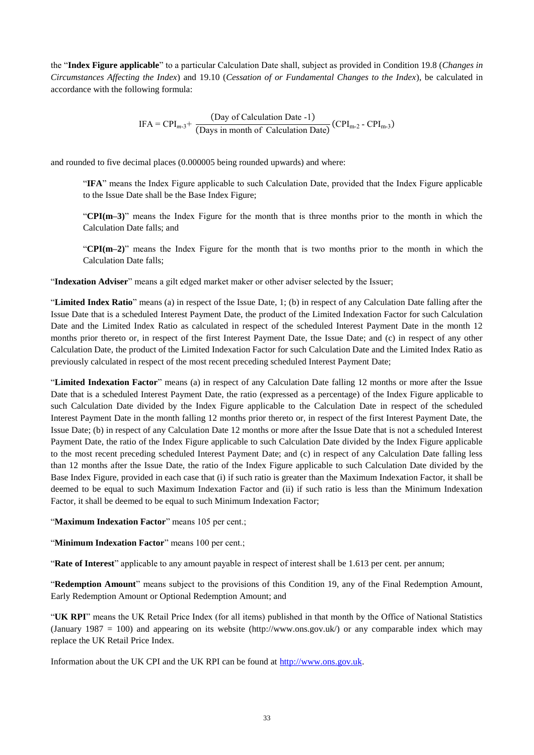the "**Index Figure applicable**" to a particular Calculation Date shall, subject as provided in Condition 19.8 (*Changes in Circumstances Affecting the Index*) and 19.10 (*Cessation of or Fundamental Changes to the Index*), be calculated in accordance with the following formula:

$$
IFA = CPI_{m-3} + \frac{(Day of Calculation Date - 1)}{(Days in month of Calculation Date)} (CPI_{m-2} - CPI_{m-3})
$$

and rounded to five decimal places (0.000005 being rounded upwards) and where:

"**IFA**" means the Index Figure applicable to such Calculation Date, provided that the Index Figure applicable to the Issue Date shall be the Base Index Figure;

"**CPI(m–3)**" means the Index Figure for the month that is three months prior to the month in which the Calculation Date falls; and

"**CPI(m–2)**" means the Index Figure for the month that is two months prior to the month in which the Calculation Date falls;

"**Indexation Adviser**" means a gilt edged market maker or other adviser selected by the Issuer;

"**Limited Index Ratio**" means (a) in respect of the Issue Date, 1; (b) in respect of any Calculation Date falling after the Issue Date that is a scheduled Interest Payment Date, the product of the Limited Indexation Factor for such Calculation Date and the Limited Index Ratio as calculated in respect of the scheduled Interest Payment Date in the month 12 months prior thereto or, in respect of the first Interest Payment Date, the Issue Date; and (c) in respect of any other Calculation Date, the product of the Limited Indexation Factor for such Calculation Date and the Limited Index Ratio as previously calculated in respect of the most recent preceding scheduled Interest Payment Date;

"**Limited Indexation Factor**" means (a) in respect of any Calculation Date falling 12 months or more after the Issue Date that is a scheduled Interest Payment Date, the ratio (expressed as a percentage) of the Index Figure applicable to such Calculation Date divided by the Index Figure applicable to the Calculation Date in respect of the scheduled Interest Payment Date in the month falling 12 months prior thereto or, in respect of the first Interest Payment Date, the Issue Date; (b) in respect of any Calculation Date 12 months or more after the Issue Date that is not a scheduled Interest Payment Date, the ratio of the Index Figure applicable to such Calculation Date divided by the Index Figure applicable to the most recent preceding scheduled Interest Payment Date; and (c) in respect of any Calculation Date falling less than 12 months after the Issue Date, the ratio of the Index Figure applicable to such Calculation Date divided by the Base Index Figure, provided in each case that (i) if such ratio is greater than the Maximum Indexation Factor, it shall be deemed to be equal to such Maximum Indexation Factor and (ii) if such ratio is less than the Minimum Indexation Factor, it shall be deemed to be equal to such Minimum Indexation Factor;

"**Maximum Indexation Factor**" means 105 per cent.;

"**Minimum Indexation Factor**" means 100 per cent.;

"**Rate of Interest**" applicable to any amount payable in respect of interest shall be 1.613 per cent. per annum;

"**Redemption Amount**" means subject to the provisions of this Condition 19, any of the Final Redemption Amount, Early Redemption Amount or Optional Redemption Amount; and

"**UK RPI**" means the UK Retail Price Index (for all items) published in that month by the Office of National Statistics (January 1987 = 100) and appearing on its website (http://www.ons.gov.uk/) or any comparable index which may replace the UK Retail Price Index.

Information about the UK CPI and the UK RPI can be found at [http://www.ons.gov.uk.](http://www.ons.gov.uk/)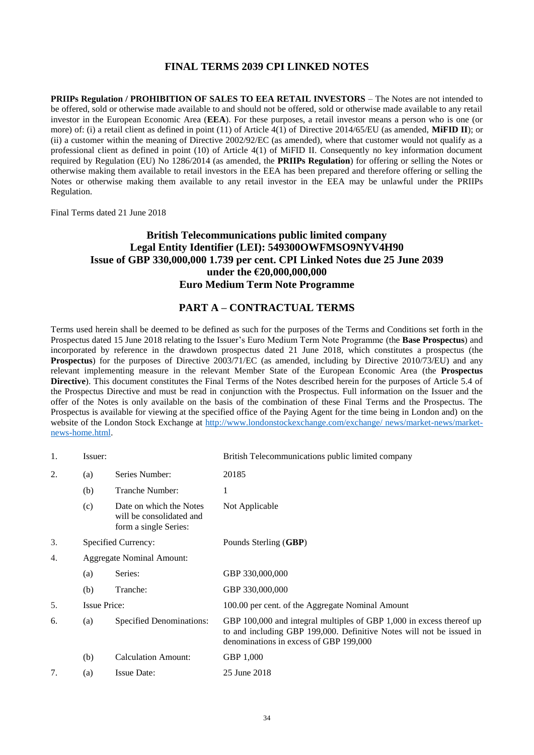### **FINAL TERMS 2039 CPI LINKED NOTES**

<span id="page-33-0"></span>**PRIIPs Regulation / PROHIBITION OF SALES TO EEA RETAIL INVESTORS** – The Notes are not intended to be offered, sold or otherwise made available to and should not be offered, sold or otherwise made available to any retail investor in the European Economic Area (**EEA**). For these purposes, a retail investor means a person who is one (or more) of: (i) a retail client as defined in point (11) of Article 4(1) of Directive 2014/65/EU (as amended, **MiFID II**); or (ii) a customer within the meaning of Directive 2002/92/EC (as amended), where that customer would not qualify as a professional client as defined in point (10) of Article 4(1) of MiFID II. Consequently no key information document required by Regulation (EU) No 1286/2014 (as amended, the **PRIIPs Regulation**) for offering or selling the Notes or otherwise making them available to retail investors in the EEA has been prepared and therefore offering or selling the Notes or otherwise making them available to any retail investor in the EEA may be unlawful under the PRIIPs Regulation.

Final Terms dated 21 June 2018

### **British Telecommunications public limited company Legal Entity Identifier (LEI): 549300OWFMSO9NYV4H90 Issue of GBP 330,000,000 1.739 per cent. CPI Linked Notes due 25 June 2039 under the €20,000,000,000 Euro Medium Term Note Programme**

### **PART A – CONTRACTUAL TERMS**

Terms used herein shall be deemed to be defined as such for the purposes of the Terms and Conditions set forth in the Prospectus dated 15 June 2018 relating to the Issuer's Euro Medium Term Note Programme (the **Base Prospectus**) and incorporated by reference in the drawdown prospectus dated 21 June 2018, which constitutes a prospectus (the **Prospectus**) for the purposes of Directive 2003/71/EC (as amended, including by Directive 2010/73/EU) and any relevant implementing measure in the relevant Member State of the European Economic Area (the **Prospectus Directive**). This document constitutes the Final Terms of the Notes described herein for the purposes of Article 5.4 of the Prospectus Directive and must be read in conjunction with the Prospectus. Full information on the Issuer and the offer of the Notes is only available on the basis of the combination of these Final Terms and the Prospectus. The Prospectus is available for viewing at the specified office of the Paying Agent for the time being in London and) on the website of the London Stock Exchange at [http://www.londonstockexchange.com/exchange/ news/market-news/market](http://www.londonstockexchange.com/exchange/%20news/market-news/market-news-home.html)[news-home.html.](http://www.londonstockexchange.com/exchange/%20news/market-news/market-news-home.html)

| 1. | Issuer:                          |                                                                              | British Telecommunications public limited company                                                                                                                                      |
|----|----------------------------------|------------------------------------------------------------------------------|----------------------------------------------------------------------------------------------------------------------------------------------------------------------------------------|
| 2. | (a)                              | Series Number:                                                               | 20185                                                                                                                                                                                  |
|    | (b)                              | Tranche Number:                                                              | 1                                                                                                                                                                                      |
|    | (c)                              | Date on which the Notes<br>will be consolidated and<br>form a single Series: | Not Applicable                                                                                                                                                                         |
| 3. |                                  | Specified Currency:                                                          | Pounds Sterling (GBP)                                                                                                                                                                  |
| 4. | <b>Aggregate Nominal Amount:</b> |                                                                              |                                                                                                                                                                                        |
|    | (a)                              | Series:                                                                      | GBP 330,000,000                                                                                                                                                                        |
|    | (b)                              | Tranche:                                                                     | GBP 330,000,000                                                                                                                                                                        |
| 5. | <b>Issue Price:</b>              |                                                                              | 100.00 per cent. of the Aggregate Nominal Amount                                                                                                                                       |
| 6. | (a)                              | Specified Denominations:                                                     | GBP 100,000 and integral multiples of GBP 1,000 in excess thereof up<br>to and including GBP 199,000. Definitive Notes will not be issued in<br>denominations in excess of GBP 199,000 |
|    | (b)                              | <b>Calculation Amount:</b>                                                   | GBP 1,000                                                                                                                                                                              |
| 7. | (a)                              | <b>Issue Date:</b>                                                           | 25 June 2018                                                                                                                                                                           |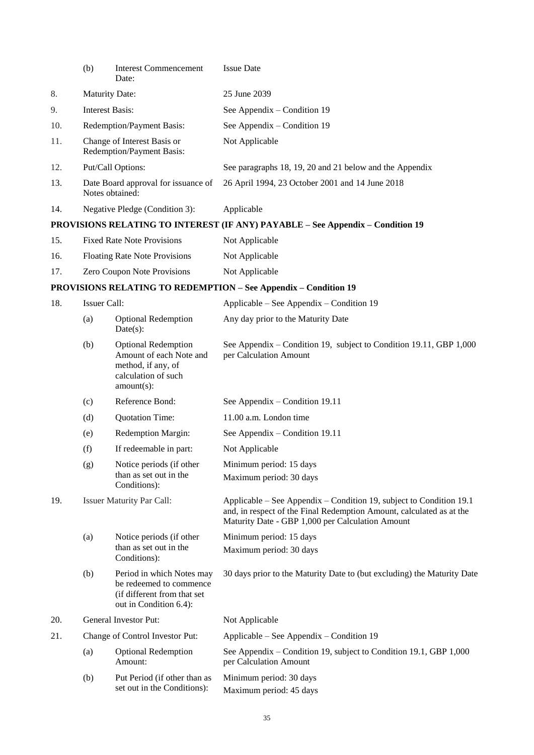|     | (b)                    | <b>Interest Commencement</b><br>Date:                                                                               | <b>Issue Date</b>                                                                                                                                                                               |
|-----|------------------------|---------------------------------------------------------------------------------------------------------------------|-------------------------------------------------------------------------------------------------------------------------------------------------------------------------------------------------|
| 8.  |                        | <b>Maturity Date:</b>                                                                                               | 25 June 2039                                                                                                                                                                                    |
| 9.  | <b>Interest Basis:</b> |                                                                                                                     | See Appendix – Condition 19                                                                                                                                                                     |
| 10. |                        | Redemption/Payment Basis:                                                                                           | See Appendix – Condition 19                                                                                                                                                                     |
| 11. |                        | Change of Interest Basis or<br>Redemption/Payment Basis:                                                            | Not Applicable                                                                                                                                                                                  |
| 12. |                        | Put/Call Options:                                                                                                   | See paragraphs 18, 19, 20 and 21 below and the Appendix                                                                                                                                         |
| 13. |                        | Date Board approval for issuance of<br>Notes obtained:                                                              | 26 April 1994, 23 October 2001 and 14 June 2018                                                                                                                                                 |
| 14. |                        | Negative Pledge (Condition 3):                                                                                      | Applicable                                                                                                                                                                                      |
|     |                        |                                                                                                                     | PROVISIONS RELATING TO INTEREST (IF ANY) PAYABLE - See Appendix - Condition 19                                                                                                                  |
| 15. |                        | <b>Fixed Rate Note Provisions</b>                                                                                   | Not Applicable                                                                                                                                                                                  |
| 16. |                        | <b>Floating Rate Note Provisions</b>                                                                                | Not Applicable                                                                                                                                                                                  |
| 17. |                        | Zero Coupon Note Provisions                                                                                         | Not Applicable                                                                                                                                                                                  |
|     |                        |                                                                                                                     | <b>PROVISIONS RELATING TO REDEMPTION - See Appendix - Condition 19</b>                                                                                                                          |
| 18. | Issuer Call:           |                                                                                                                     | Applicable – See Appendix – Condition 19                                                                                                                                                        |
|     | (a)                    | <b>Optional Redemption</b><br>$Date(s)$ :                                                                           | Any day prior to the Maturity Date                                                                                                                                                              |
|     | (b)                    | <b>Optional Redemption</b><br>Amount of each Note and<br>method, if any, of<br>calculation of such<br>$amount(s)$ : | See Appendix – Condition 19, subject to Condition 19.11, GBP 1,000<br>per Calculation Amount                                                                                                    |
|     | (c)                    | Reference Bond:                                                                                                     | See Appendix – Condition 19.11                                                                                                                                                                  |
|     | (d)                    | Quotation Time:                                                                                                     | 11.00 a.m. London time                                                                                                                                                                          |
|     | (e)                    | Redemption Margin:                                                                                                  | See Appendix - Condition 19.11                                                                                                                                                                  |
|     | (f)                    | If redeemable in part:                                                                                              | Not Applicable                                                                                                                                                                                  |
|     | (g)                    | Notice periods (if other<br>than as set out in the<br>Conditions):                                                  | Minimum period: 15 days<br>Maximum period: 30 days                                                                                                                                              |
| 19. |                        | <b>Issuer Maturity Par Call:</b>                                                                                    | Applicable – See Appendix – Condition 19, subject to Condition 19.1<br>and, in respect of the Final Redemption Amount, calculated as at the<br>Maturity Date - GBP 1,000 per Calculation Amount |
|     | (a)                    | Notice periods (if other                                                                                            | Minimum period: 15 days                                                                                                                                                                         |
|     |                        | than as set out in the<br>Conditions):                                                                              | Maximum period: 30 days                                                                                                                                                                         |
|     | (b)                    | Period in which Notes may<br>be redeemed to commence<br>(if different from that set<br>out in Condition 6.4):       | 30 days prior to the Maturity Date to (but excluding) the Maturity Date                                                                                                                         |
| 20. |                        | General Investor Put:                                                                                               | Not Applicable                                                                                                                                                                                  |
| 21. |                        | Change of Control Investor Put:                                                                                     | Applicable – See Appendix – Condition 19                                                                                                                                                        |
|     | (a)                    | <b>Optional Redemption</b><br>Amount:                                                                               | See Appendix – Condition 19, subject to Condition 19.1, GBP 1,000<br>per Calculation Amount                                                                                                     |
|     | (b)                    | Put Period (if other than as<br>set out in the Conditions):                                                         | Minimum period: 30 days<br>Maximum period: 45 days                                                                                                                                              |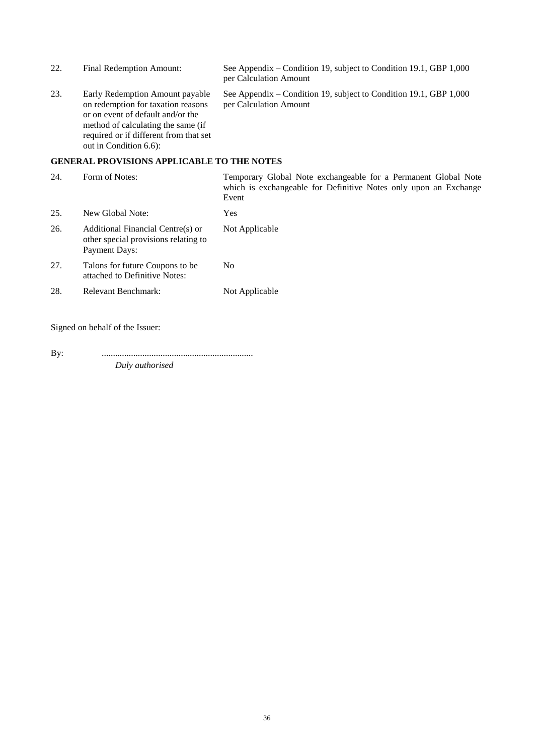| 22. | Final Redemption Amount:                                                                                                                                                                                             | See Appendix – Condition 19, subject to Condition 19.1, GBP 1,000<br>per Calculation Amount                                                 |
|-----|----------------------------------------------------------------------------------------------------------------------------------------------------------------------------------------------------------------------|---------------------------------------------------------------------------------------------------------------------------------------------|
| 23. | Early Redemption Amount payable<br>on redemption for taxation reasons<br>or on event of default and/or the<br>method of calculating the same (if<br>required or if different from that set<br>out in Condition 6.6): | See Appendix – Condition 19, subject to Condition 19.1, GBP 1,000<br>per Calculation Amount                                                 |
|     | <b>GENERAL PROVISIONS APPLICABLE TO THE NOTES</b>                                                                                                                                                                    |                                                                                                                                             |
| 24. | Form of Notes:                                                                                                                                                                                                       | Temporary Global Note exchangeable for a Permanent Global Note<br>which is exchangeable for Definitive Notes only upon an Exchange<br>Event |

| 25. | New Global Note:                                                                                  | Yes            |
|-----|---------------------------------------------------------------------------------------------------|----------------|
| 26. | Additional Financial Centre(s) or<br>other special provisions relating to<br><b>Payment Days:</b> | Not Applicable |
| 27. | Talons for future Coupons to be.<br>attached to Definitive Notes:                                 | No             |
| 28. | Relevant Benchmark:                                                                               | Not Applicable |

Signed on behalf of the Issuer:

By: ................................................................... *Duly authorised*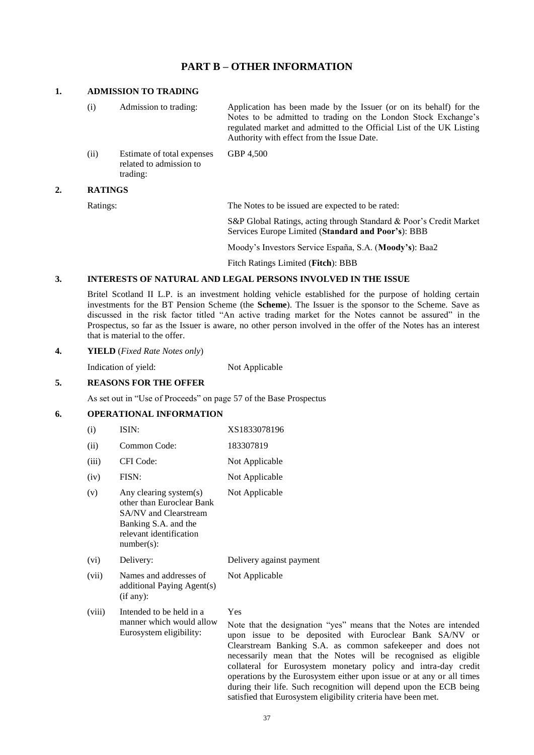### **PART B – OTHER INFORMATION**

#### **1. ADMISSION TO TRADING**

(i) Admission to trading: Application has been made by the Issuer (or on its behalf) for the Notes to be admitted to trading on the London Stock Exchange's regulated market and admitted to the Official List of the UK Listing Authority with effect from the Issue Date. (ii) Estimate of total expenses related to admission to GBP 4,500

trading:

#### **2. RATINGS**

Ratings: The Notes to be issued are expected to be rated:

S&P Global Ratings, acting through Standard & Poor's Credit Market Services Europe Limited (**Standard and Poor's**): BBB

Moody's Investors Service España, S.A. (**Moody's**): Baa2

Fitch Ratings Limited (**Fitch**): BBB

#### **3. INTERESTS OF NATURAL AND LEGAL PERSONS INVOLVED IN THE ISSUE**

Britel Scotland II L.P. is an investment holding vehicle established for the purpose of holding certain investments for the BT Pension Scheme (the **Scheme**). The Issuer is the sponsor to the Scheme. Save as discussed in the risk factor titled "An active trading market for the Notes cannot be assured" in the Prospectus, so far as the Issuer is aware, no other person involved in the offer of the Notes has an interest that is material to the offer.

#### **4. YIELD** (*Fixed Rate Notes only*)

Indication of yield: Not Applicable

#### **5. REASONS FOR THE OFFER**

As set out in "Use of Proceeds" on page 57 of the Base Prospectus

### **6. OPERATIONAL INFORMATION**

| (i)    | ISIN:                                                                                                                                            | XS1833078196                                                                                                             |
|--------|--------------------------------------------------------------------------------------------------------------------------------------------------|--------------------------------------------------------------------------------------------------------------------------|
| (ii)   | Common Code:                                                                                                                                     | 183307819                                                                                                                |
| (iii)  | CFI Code:                                                                                                                                        | Not Applicable                                                                                                           |
| (iv)   | FISN:                                                                                                                                            | Not Applicable                                                                                                           |
| (v)    | Any clearing system(s)<br>other than Euroclear Bank<br>SA/NV and Clearstream<br>Banking S.A. and the<br>relevant identification<br>$number(s)$ : | Not Applicable                                                                                                           |
| (vi)   | Delivery:                                                                                                                                        | Delivery against payment                                                                                                 |
| (vii)  | Names and addresses of<br>additional Paying Agent(s)<br>(if any):                                                                                | Not Applicable                                                                                                           |
| (viii) | Intended to be held in a<br>manner which would allow<br>Eurosystem eligibility:                                                                  | Yes<br>Note that the designation "ye<br>upon issue to be deposited<br>Clearstream Banking S.A. as<br>$-1$ $-1$ $-1$ $-1$ |

 $\sim$  means that the Notes are intended d with Euroclear Bank SA/NV or s common safekeeper and does not necessarily mean that the Notes will be recognised as eligible collateral for Eurosystem monetary policy and intra-day credit operations by the Eurosystem either upon issue or at any or all times during their life. Such recognition will depend upon the ECB being satisfied that Eurosystem eligibility criteria have been met.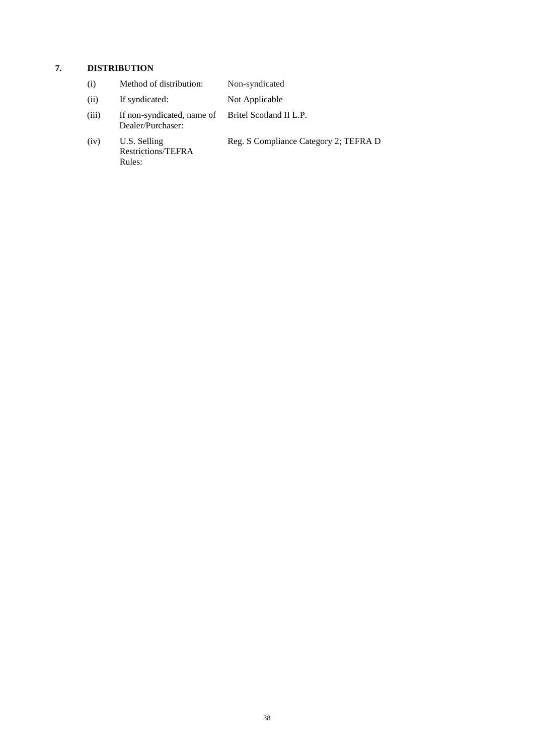# **7. DISTRIBUTION**

| (i)   | Method of distribution:                                                 | Non-syndicated                        |
|-------|-------------------------------------------------------------------------|---------------------------------------|
| (ii)  | If syndicated:                                                          | Not Applicable                        |
| (iii) | If non-syndicated, name of Britel Scotland II L.P.<br>Dealer/Purchaser: |                                       |
| (iv)  | U.S. Selling<br>Restrictions/TEFRA<br>Rules:                            | Reg. S Compliance Category 2; TEFRA D |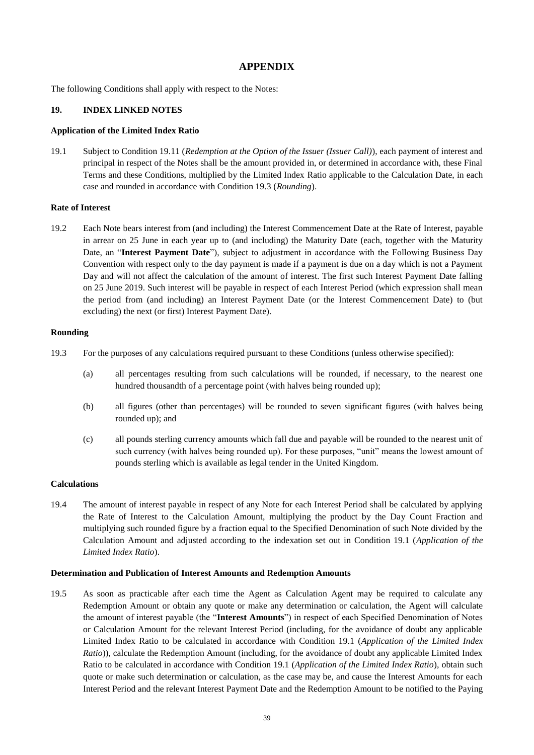### **APPENDIX**

The following Conditions shall apply with respect to the Notes:

#### **19. INDEX LINKED NOTES**

#### **Application of the Limited Index Ratio**

19.1 Subject to Condition 19.11 (*Redemption at the Option of the Issuer (Issuer Call)*), each payment of interest and principal in respect of the Notes shall be the amount provided in, or determined in accordance with, these Final Terms and these Conditions, multiplied by the Limited Index Ratio applicable to the Calculation Date, in each case and rounded in accordance with Condition 19.3 (*Rounding*).

#### **Rate of Interest**

19.2 Each Note bears interest from (and including) the Interest Commencement Date at the Rate of Interest, payable in arrear on 25 June in each year up to (and including) the Maturity Date (each, together with the Maturity Date, an "**Interest Payment Date**"), subject to adjustment in accordance with the Following Business Day Convention with respect only to the day payment is made if a payment is due on a day which is not a Payment Day and will not affect the calculation of the amount of interest. The first such Interest Payment Date falling on 25 June 2019. Such interest will be payable in respect of each Interest Period (which expression shall mean the period from (and including) an Interest Payment Date (or the Interest Commencement Date) to (but excluding) the next (or first) Interest Payment Date).

### **Rounding**

- 19.3 For the purposes of any calculations required pursuant to these Conditions (unless otherwise specified):
	- (a) all percentages resulting from such calculations will be rounded, if necessary, to the nearest one hundred thousandth of a percentage point (with halves being rounded up);
	- (b) all figures (other than percentages) will be rounded to seven significant figures (with halves being rounded up); and
	- (c) all pounds sterling currency amounts which fall due and payable will be rounded to the nearest unit of such currency (with halves being rounded up). For these purposes, "unit" means the lowest amount of pounds sterling which is available as legal tender in the United Kingdom.

#### **Calculations**

19.4 The amount of interest payable in respect of any Note for each Interest Period shall be calculated by applying the Rate of Interest to the Calculation Amount, multiplying the product by the Day Count Fraction and multiplying such rounded figure by a fraction equal to the Specified Denomination of such Note divided by the Calculation Amount and adjusted according to the indexation set out in Condition 19.1 (*Application of the Limited Index Ratio*).

#### **Determination and Publication of Interest Amounts and Redemption Amounts**

19.5 As soon as practicable after each time the Agent as Calculation Agent may be required to calculate any Redemption Amount or obtain any quote or make any determination or calculation, the Agent will calculate the amount of interest payable (the "**Interest Amounts**") in respect of each Specified Denomination of Notes or Calculation Amount for the relevant Interest Period (including, for the avoidance of doubt any applicable Limited Index Ratio to be calculated in accordance with Condition 19.1 (*Application of the Limited Index Ratio*)), calculate the Redemption Amount (including, for the avoidance of doubt any applicable Limited Index Ratio to be calculated in accordance with Condition 19.1 (*Application of the Limited Index Ratio*), obtain such quote or make such determination or calculation, as the case may be, and cause the Interest Amounts for each Interest Period and the relevant Interest Payment Date and the Redemption Amount to be notified to the Paying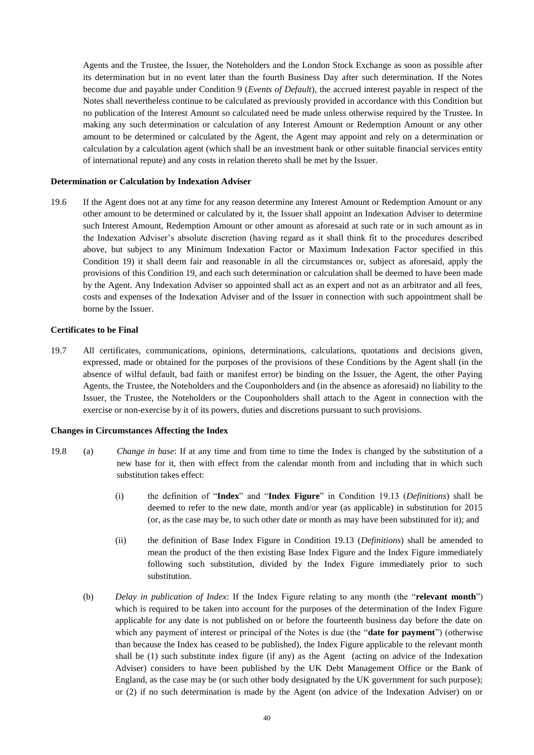Agents and the Trustee, the Issuer, the Noteholders and the London Stock Exchange as soon as possible after its determination but in no event later than the fourth Business Day after such determination. If the Notes become due and payable under Condition 9 (*Events of Default*), the accrued interest payable in respect of the Notes shall nevertheless continue to be calculated as previously provided in accordance with this Condition but no publication of the Interest Amount so calculated need be made unless otherwise required by the Trustee. In making any such determination or calculation of any Interest Amount or Redemption Amount or any other amount to be determined or calculated by the Agent, the Agent may appoint and rely on a determination or calculation by a calculation agent (which shall be an investment bank or other suitable financial services entity of international repute) and any costs in relation thereto shall be met by the Issuer.

#### **Determination or Calculation by Indexation Adviser**

19.6 If the Agent does not at any time for any reason determine any Interest Amount or Redemption Amount or any other amount to be determined or calculated by it, the Issuer shall appoint an Indexation Adviser to determine such Interest Amount, Redemption Amount or other amount as aforesaid at such rate or in such amount as in the Indexation Adviser's absolute discretion (having regard as it shall think fit to the procedures described above, but subject to any Minimum Indexation Factor or Maximum Indexation Factor specified in this Condition 19) it shall deem fair and reasonable in all the circumstances or, subject as aforesaid, apply the provisions of this Condition 19, and each such determination or calculation shall be deemed to have been made by the Agent. Any Indexation Adviser so appointed shall act as an expert and not as an arbitrator and all fees, costs and expenses of the Indexation Adviser and of the Issuer in connection with such appointment shall be borne by the Issuer.

#### **Certificates to be Final**

19.7 All certificates, communications, opinions, determinations, calculations, quotations and decisions given, expressed, made or obtained for the purposes of the provisions of these Conditions by the Agent shall (in the absence of wilful default, bad faith or manifest error) be binding on the Issuer, the Agent, the other Paying Agents, the Trustee, the Noteholders and the Couponholders and (in the absence as aforesaid) no liability to the Issuer, the Trustee, the Noteholders or the Couponholders shall attach to the Agent in connection with the exercise or non-exercise by it of its powers, duties and discretions pursuant to such provisions.

#### **Changes in Circumstances Affecting the Index**

- 19.8 (a) *Change in base*: If at any time and from time to time the Index is changed by the substitution of a new base for it, then with effect from the calendar month from and including that in which such substitution takes effect:
	- (i) the definition of "**Index**" and "**Index Figure**" in Condition 19.13 (*Definitions*) shall be deemed to refer to the new date, month and/or year (as applicable) in substitution for 2015 (or, as the case may be, to such other date or month as may have been substituted for it); and
	- (ii) the definition of Base Index Figure in Condition 19.13 (*Definitions*) shall be amended to mean the product of the then existing Base Index Figure and the Index Figure immediately following such substitution, divided by the Index Figure immediately prior to such substitution.
	- (b) *Delay in publication of Index*: If the Index Figure relating to any month (the "**relevant month**") which is required to be taken into account for the purposes of the determination of the Index Figure applicable for any date is not published on or before the fourteenth business day before the date on which any payment of interest or principal of the Notes is due (the "**date for payment**") (otherwise than because the Index has ceased to be published), the Index Figure applicable to the relevant month shall be (1) such substitute index figure (if any) as the Agent (acting on advice of the Indexation Adviser) considers to have been published by the UK Debt Management Office or the Bank of England, as the case may be (or such other body designated by the UK government for such purpose); or (2) if no such determination is made by the Agent (on advice of the Indexation Adviser) on or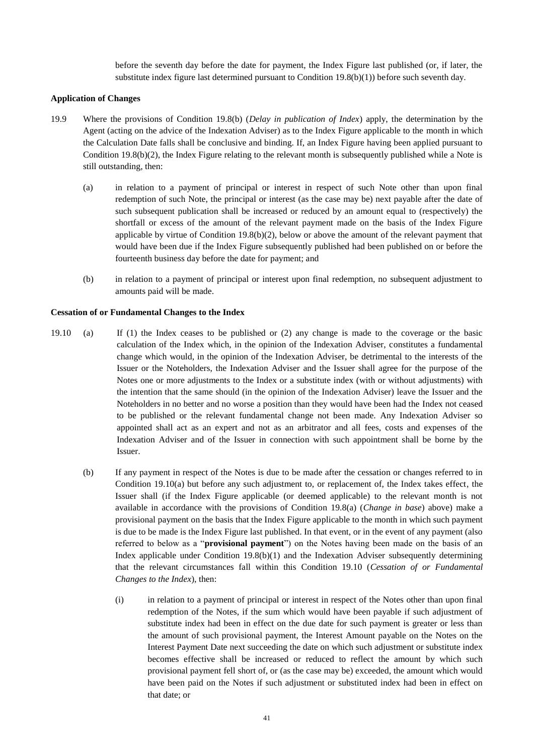before the seventh day before the date for payment, the Index Figure last published (or, if later, the substitute index figure last determined pursuant to Condition 19.8(b)(1)) before such seventh day.

#### **Application of Changes**

- 19.9 Where the provisions of Condition 19.8(b) (*Delay in publication of Index*) apply, the determination by the Agent (acting on the advice of the Indexation Adviser) as to the Index Figure applicable to the month in which the Calculation Date falls shall be conclusive and binding. If, an Index Figure having been applied pursuant to Condition  $19.8(b)(2)$ , the Index Figure relating to the relevant month is subsequently published while a Note is still outstanding, then:
	- (a) in relation to a payment of principal or interest in respect of such Note other than upon final redemption of such Note, the principal or interest (as the case may be) next payable after the date of such subsequent publication shall be increased or reduced by an amount equal to (respectively) the shortfall or excess of the amount of the relevant payment made on the basis of the Index Figure applicable by virtue of Condition 19.8(b)(2), below or above the amount of the relevant payment that would have been due if the Index Figure subsequently published had been published on or before the fourteenth business day before the date for payment; and
	- (b) in relation to a payment of principal or interest upon final redemption, no subsequent adjustment to amounts paid will be made.

#### **Cessation of or Fundamental Changes to the Index**

- 19.10 (a) If (1) the Index ceases to be published or (2) any change is made to the coverage or the basic calculation of the Index which, in the opinion of the Indexation Adviser, constitutes a fundamental change which would, in the opinion of the Indexation Adviser, be detrimental to the interests of the Issuer or the Noteholders, the Indexation Adviser and the Issuer shall agree for the purpose of the Notes one or more adjustments to the Index or a substitute index (with or without adjustments) with the intention that the same should (in the opinion of the Indexation Adviser) leave the Issuer and the Noteholders in no better and no worse a position than they would have been had the Index not ceased to be published or the relevant fundamental change not been made. Any Indexation Adviser so appointed shall act as an expert and not as an arbitrator and all fees, costs and expenses of the Indexation Adviser and of the Issuer in connection with such appointment shall be borne by the Issuer.
	- (b) If any payment in respect of the Notes is due to be made after the cessation or changes referred to in Condition 19.10(a) but before any such adjustment to, or replacement of, the Index takes effect, the Issuer shall (if the Index Figure applicable (or deemed applicable) to the relevant month is not available in accordance with the provisions of Condition 19.8(a) (*Change in base*) above) make a provisional payment on the basis that the Index Figure applicable to the month in which such payment is due to be made is the Index Figure last published. In that event, or in the event of any payment (also referred to below as a "**provisional payment**") on the Notes having been made on the basis of an Index applicable under Condition  $19.8(b)(1)$  and the Indexation Adviser subsequently determining that the relevant circumstances fall within this Condition 19.10 (*Cessation of or Fundamental Changes to the Index*), then:
		- (i) in relation to a payment of principal or interest in respect of the Notes other than upon final redemption of the Notes, if the sum which would have been payable if such adjustment of substitute index had been in effect on the due date for such payment is greater or less than the amount of such provisional payment, the Interest Amount payable on the Notes on the Interest Payment Date next succeeding the date on which such adjustment or substitute index becomes effective shall be increased or reduced to reflect the amount by which such provisional payment fell short of, or (as the case may be) exceeded, the amount which would have been paid on the Notes if such adjustment or substituted index had been in effect on that date; or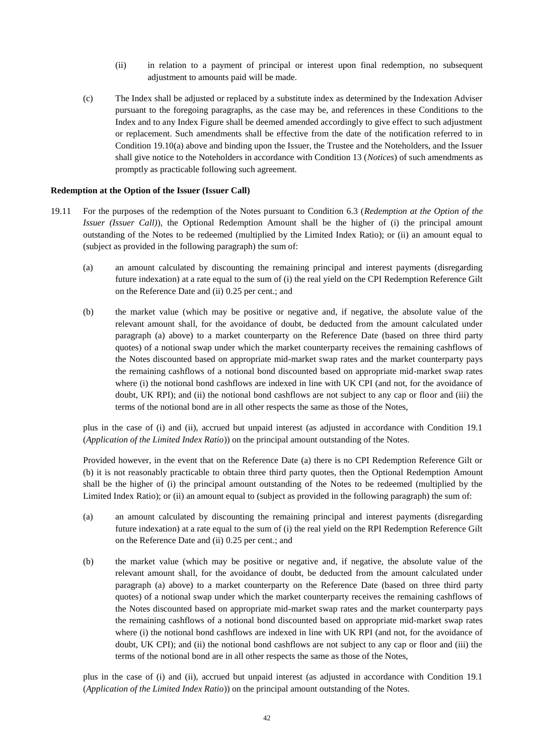- (ii) in relation to a payment of principal or interest upon final redemption, no subsequent adjustment to amounts paid will be made.
- (c) The Index shall be adjusted or replaced by a substitute index as determined by the Indexation Adviser pursuant to the foregoing paragraphs, as the case may be, and references in these Conditions to the Index and to any Index Figure shall be deemed amended accordingly to give effect to such adjustment or replacement. Such amendments shall be effective from the date of the notification referred to in Condition 19.10(a) above and binding upon the Issuer, the Trustee and the Noteholders, and the Issuer shall give notice to the Noteholders in accordance with Condition 13 (*Notices*) of such amendments as promptly as practicable following such agreement.

#### **Redemption at the Option of the Issuer (Issuer Call)**

- 19.11 For the purposes of the redemption of the Notes pursuant to Condition 6.3 (*Redemption at the Option of the Issuer (Issuer Call)*), the Optional Redemption Amount shall be the higher of (i) the principal amount outstanding of the Notes to be redeemed (multiplied by the Limited Index Ratio); or (ii) an amount equal to (subject as provided in the following paragraph) the sum of:
	- (a) an amount calculated by discounting the remaining principal and interest payments (disregarding future indexation) at a rate equal to the sum of (i) the real yield on the CPI Redemption Reference Gilt on the Reference Date and (ii) 0.25 per cent.; and
	- (b) the market value (which may be positive or negative and, if negative, the absolute value of the relevant amount shall, for the avoidance of doubt, be deducted from the amount calculated under paragraph (a) above) to a market counterparty on the Reference Date (based on three third party quotes) of a notional swap under which the market counterparty receives the remaining cashflows of the Notes discounted based on appropriate mid-market swap rates and the market counterparty pays the remaining cashflows of a notional bond discounted based on appropriate mid-market swap rates where (i) the notional bond cashflows are indexed in line with UK CPI (and not, for the avoidance of doubt, UK RPI); and (ii) the notional bond cashflows are not subject to any cap or floor and (iii) the terms of the notional bond are in all other respects the same as those of the Notes,

plus in the case of (i) and (ii), accrued but unpaid interest (as adjusted in accordance with Condition 19.1 (*Application of the Limited Index Ratio*)) on the principal amount outstanding of the Notes.

Provided however, in the event that on the Reference Date (a) there is no CPI Redemption Reference Gilt or (b) it is not reasonably practicable to obtain three third party quotes, then the Optional Redemption Amount shall be the higher of (i) the principal amount outstanding of the Notes to be redeemed (multiplied by the Limited Index Ratio); or (ii) an amount equal to (subject as provided in the following paragraph) the sum of:

- (a) an amount calculated by discounting the remaining principal and interest payments (disregarding future indexation) at a rate equal to the sum of (i) the real yield on the RPI Redemption Reference Gilt on the Reference Date and (ii) 0.25 per cent.; and
- (b) the market value (which may be positive or negative and, if negative, the absolute value of the relevant amount shall, for the avoidance of doubt, be deducted from the amount calculated under paragraph (a) above) to a market counterparty on the Reference Date (based on three third party quotes) of a notional swap under which the market counterparty receives the remaining cashflows of the Notes discounted based on appropriate mid-market swap rates and the market counterparty pays the remaining cashflows of a notional bond discounted based on appropriate mid-market swap rates where (i) the notional bond cashflows are indexed in line with UK RPI (and not, for the avoidance of doubt, UK CPI); and (ii) the notional bond cashflows are not subject to any cap or floor and (iii) the terms of the notional bond are in all other respects the same as those of the Notes,

plus in the case of (i) and (ii), accrued but unpaid interest (as adjusted in accordance with Condition 19.1 (*Application of the Limited Index Ratio*)) on the principal amount outstanding of the Notes.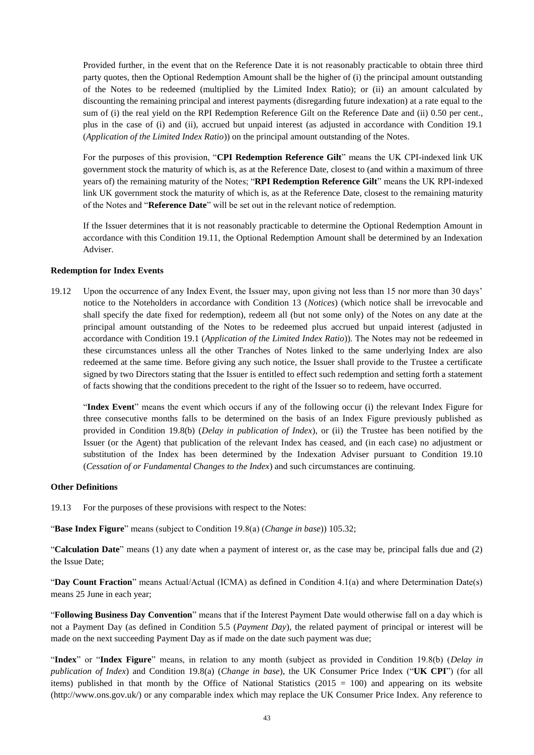Provided further, in the event that on the Reference Date it is not reasonably practicable to obtain three third party quotes, then the Optional Redemption Amount shall be the higher of (i) the principal amount outstanding of the Notes to be redeemed (multiplied by the Limited Index Ratio); or (ii) an amount calculated by discounting the remaining principal and interest payments (disregarding future indexation) at a rate equal to the sum of (i) the real yield on the RPI Redemption Reference Gilt on the Reference Date and (ii) 0.50 per cent., plus in the case of (i) and (ii), accrued but unpaid interest (as adjusted in accordance with Condition 19.1 (*Application of the Limited Index Ratio*)) on the principal amount outstanding of the Notes.

For the purposes of this provision, "**CPI Redemption Reference Gilt**" means the UK CPI-indexed link UK government stock the maturity of which is, as at the Reference Date, closest to (and within a maximum of three years of) the remaining maturity of the Notes; "**RPI Redemption Reference Gilt**" means the UK RPI-indexed link UK government stock the maturity of which is, as at the Reference Date, closest to the remaining maturity of the Notes and "**Reference Date**" will be set out in the relevant notice of redemption.

If the Issuer determines that it is not reasonably practicable to determine the Optional Redemption Amount in accordance with this Condition 19.11, the Optional Redemption Amount shall be determined by an Indexation Adviser.

#### **Redemption for Index Events**

19.12 Upon the occurrence of any Index Event, the Issuer may, upon giving not less than 15 nor more than 30 days' notice to the Noteholders in accordance with Condition 13 (*Notices*) (which notice shall be irrevocable and shall specify the date fixed for redemption), redeem all (but not some only) of the Notes on any date at the principal amount outstanding of the Notes to be redeemed plus accrued but unpaid interest (adjusted in accordance with Condition 19.1 (*Application of the Limited Index Ratio*)). The Notes may not be redeemed in these circumstances unless all the other Tranches of Notes linked to the same underlying Index are also redeemed at the same time. Before giving any such notice, the Issuer shall provide to the Trustee a certificate signed by two Directors stating that the Issuer is entitled to effect such redemption and setting forth a statement of facts showing that the conditions precedent to the right of the Issuer so to redeem, have occurred.

"**Index Event**" means the event which occurs if any of the following occur (i) the relevant Index Figure for three consecutive months falls to be determined on the basis of an Index Figure previously published as provided in Condition 19.8(b) (*Delay in publication of Index*), or (ii) the Trustee has been notified by the Issuer (or the Agent) that publication of the relevant Index has ceased, and (in each case) no adjustment or substitution of the Index has been determined by the Indexation Adviser pursuant to Condition 19.10 (*Cessation of or Fundamental Changes to the Index*) and such circumstances are continuing.

#### **Other Definitions**

19.13 For the purposes of these provisions with respect to the Notes:

"**Base Index Figure**" means (subject to Condition 19.8(a) (*Change in base*)) 105.32;

"**Calculation Date**" means (1) any date when a payment of interest or, as the case may be, principal falls due and (2) the Issue Date;

"**Day Count Fraction**" means Actual/Actual (ICMA) as defined in Condition 4.1(a) and where Determination Date(s) means 25 June in each year;

"**Following Business Day Convention**" means that if the Interest Payment Date would otherwise fall on a day which is not a Payment Day (as defined in Condition 5.5 (*Payment Day*), the related payment of principal or interest will be made on the next succeeding Payment Day as if made on the date such payment was due;

"**Index**" or "**Index Figure**" means, in relation to any month (subject as provided in Condition 19.8(b) (*Delay in publication of Index*) and Condition 19.8(a) (*Change in base*), the UK Consumer Price Index ("**UK CPI**") (for all items) published in that month by the Office of National Statistics  $(2015 = 100)$  and appearing on its website (http://www.ons.gov.uk/) or any comparable index which may replace the UK Consumer Price Index. Any reference to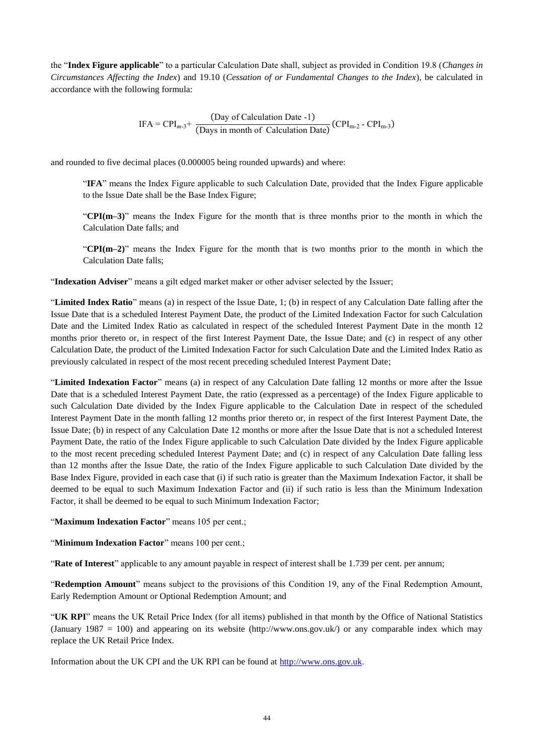the "**Index Figure applicable**" to a particular Calculation Date shall, subject as provided in Condition 19.8 (*Changes in Circumstances Affecting the Index*) and 19.10 (*Cessation of or Fundamental Changes to the Index*), be calculated in accordance with the following formula:

$$
IFA = CPI_{m-3} + \frac{(Day of Calculation Date - 1)}{(Days in month of Calculation Date)} (CPI_{m-2} - CPI_{m-3})
$$

and rounded to five decimal places (0.000005 being rounded upwards) and where:

"**IFA**" means the Index Figure applicable to such Calculation Date, provided that the Index Figure applicable to the Issue Date shall be the Base Index Figure;

"**CPI(m–3)**" means the Index Figure for the month that is three months prior to the month in which the Calculation Date falls; and

"**CPI(m–2)**" means the Index Figure for the month that is two months prior to the month in which the Calculation Date falls;

"**Indexation Adviser**" means a gilt edged market maker or other adviser selected by the Issuer;

"**Limited Index Ratio**" means (a) in respect of the Issue Date, 1; (b) in respect of any Calculation Date falling after the Issue Date that is a scheduled Interest Payment Date, the product of the Limited Indexation Factor for such Calculation Date and the Limited Index Ratio as calculated in respect of the scheduled Interest Payment Date in the month 12 months prior thereto or, in respect of the first Interest Payment Date, the Issue Date; and (c) in respect of any other Calculation Date, the product of the Limited Indexation Factor for such Calculation Date and the Limited Index Ratio as previously calculated in respect of the most recent preceding scheduled Interest Payment Date;

"**Limited Indexation Factor**" means (a) in respect of any Calculation Date falling 12 months or more after the Issue Date that is a scheduled Interest Payment Date, the ratio (expressed as a percentage) of the Index Figure applicable to such Calculation Date divided by the Index Figure applicable to the Calculation Date in respect of the scheduled Interest Payment Date in the month falling 12 months prior thereto or, in respect of the first Interest Payment Date, the Issue Date; (b) in respect of any Calculation Date 12 months or more after the Issue Date that is not a scheduled Interest Payment Date, the ratio of the Index Figure applicable to such Calculation Date divided by the Index Figure applicable to the most recent preceding scheduled Interest Payment Date; and (c) in respect of any Calculation Date falling less than 12 months after the Issue Date, the ratio of the Index Figure applicable to such Calculation Date divided by the Base Index Figure, provided in each case that (i) if such ratio is greater than the Maximum Indexation Factor, it shall be deemed to be equal to such Maximum Indexation Factor and (ii) if such ratio is less than the Minimum Indexation Factor, it shall be deemed to be equal to such Minimum Indexation Factor;

"**Maximum Indexation Factor**" means 105 per cent.;

"**Minimum Indexation Factor**" means 100 per cent.;

"**Rate of Interest**" applicable to any amount payable in respect of interest shall be 1.739 per cent. per annum;

"**Redemption Amount**" means subject to the provisions of this Condition 19, any of the Final Redemption Amount, Early Redemption Amount or Optional Redemption Amount; and

"**UK RPI**" means the UK Retail Price Index (for all items) published in that month by the Office of National Statistics (January 1987 = 100) and appearing on its website (http://www.ons.gov.uk/) or any comparable index which may replace the UK Retail Price Index.

Information about the UK CPI and the UK RPI can be found at [http://www.ons.gov.uk.](http://www.ons.gov.uk/)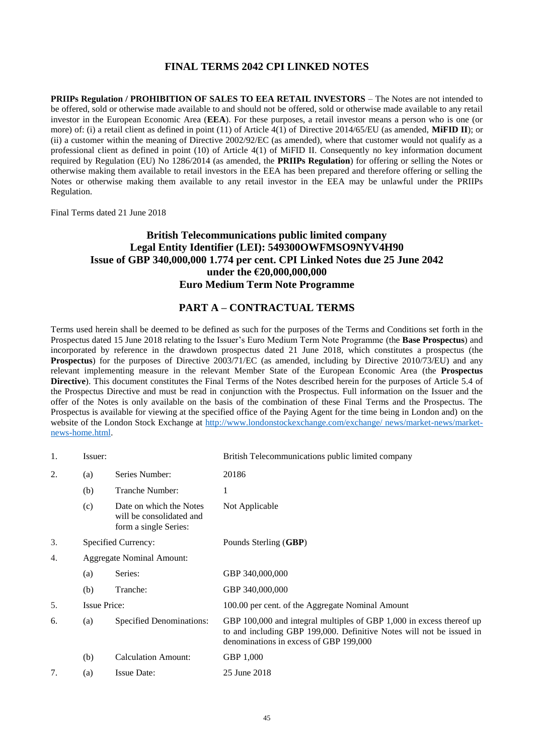### **FINAL TERMS 2042 CPI LINKED NOTES**

<span id="page-44-0"></span>**PRIIPs Regulation / PROHIBITION OF SALES TO EEA RETAIL INVESTORS** – The Notes are not intended to be offered, sold or otherwise made available to and should not be offered, sold or otherwise made available to any retail investor in the European Economic Area (**EEA**). For these purposes, a retail investor means a person who is one (or more) of: (i) a retail client as defined in point (11) of Article 4(1) of Directive 2014/65/EU (as amended, **MiFID II**); or (ii) a customer within the meaning of Directive 2002/92/EC (as amended), where that customer would not qualify as a professional client as defined in point (10) of Article 4(1) of MiFID II. Consequently no key information document required by Regulation (EU) No 1286/2014 (as amended, the **PRIIPs Regulation**) for offering or selling the Notes or otherwise making them available to retail investors in the EEA has been prepared and therefore offering or selling the Notes or otherwise making them available to any retail investor in the EEA may be unlawful under the PRIIPs Regulation.

Final Terms dated 21 June 2018

### **British Telecommunications public limited company Legal Entity Identifier (LEI): 549300OWFMSO9NYV4H90 Issue of GBP 340,000,000 1.774 per cent. CPI Linked Notes due 25 June 2042 under the €20,000,000,000 Euro Medium Term Note Programme**

### **PART A – CONTRACTUAL TERMS**

Terms used herein shall be deemed to be defined as such for the purposes of the Terms and Conditions set forth in the Prospectus dated 15 June 2018 relating to the Issuer's Euro Medium Term Note Programme (the **Base Prospectus**) and incorporated by reference in the drawdown prospectus dated 21 June 2018, which constitutes a prospectus (the **Prospectus**) for the purposes of Directive 2003/71/EC (as amended, including by Directive 2010/73/EU) and any relevant implementing measure in the relevant Member State of the European Economic Area (the **Prospectus Directive**). This document constitutes the Final Terms of the Notes described herein for the purposes of Article 5.4 of the Prospectus Directive and must be read in conjunction with the Prospectus. Full information on the Issuer and the offer of the Notes is only available on the basis of the combination of these Final Terms and the Prospectus. The Prospectus is available for viewing at the specified office of the Paying Agent for the time being in London and) on the website of the London Stock Exchange at [http://www.londonstockexchange.com/exchange/ news/market-news/market](http://www.londonstockexchange.com/exchange/%20news/market-news/market-news-home.html)[news-home.html.](http://www.londonstockexchange.com/exchange/%20news/market-news/market-news-home.html)

| 1. | Issuer:                          |                                                                              | British Telecommunications public limited company                                                                                                                                      |
|----|----------------------------------|------------------------------------------------------------------------------|----------------------------------------------------------------------------------------------------------------------------------------------------------------------------------------|
| 2. | (a)                              | Series Number:                                                               | 20186                                                                                                                                                                                  |
|    | (b)                              | Tranche Number:                                                              | 1                                                                                                                                                                                      |
|    | (c)                              | Date on which the Notes<br>will be consolidated and<br>form a single Series: | Not Applicable                                                                                                                                                                         |
| 3. |                                  | Specified Currency:                                                          | Pounds Sterling (GBP)                                                                                                                                                                  |
| 4. | <b>Aggregate Nominal Amount:</b> |                                                                              |                                                                                                                                                                                        |
|    | (a)                              | Series:                                                                      | GBP 340,000,000                                                                                                                                                                        |
|    | (b)                              | Tranche:                                                                     | GBP 340,000,000                                                                                                                                                                        |
| 5. | <b>Issue Price:</b>              |                                                                              | 100.00 per cent. of the Aggregate Nominal Amount                                                                                                                                       |
| 6. | (a)                              | Specified Denominations:                                                     | GBP 100,000 and integral multiples of GBP 1,000 in excess thereof up<br>to and including GBP 199,000. Definitive Notes will not be issued in<br>denominations in excess of GBP 199,000 |
|    | (b)                              | <b>Calculation Amount:</b>                                                   | GBP 1,000                                                                                                                                                                              |
| 7. | (a)                              | <b>Issue Date:</b>                                                           | 25 June 2018                                                                                                                                                                           |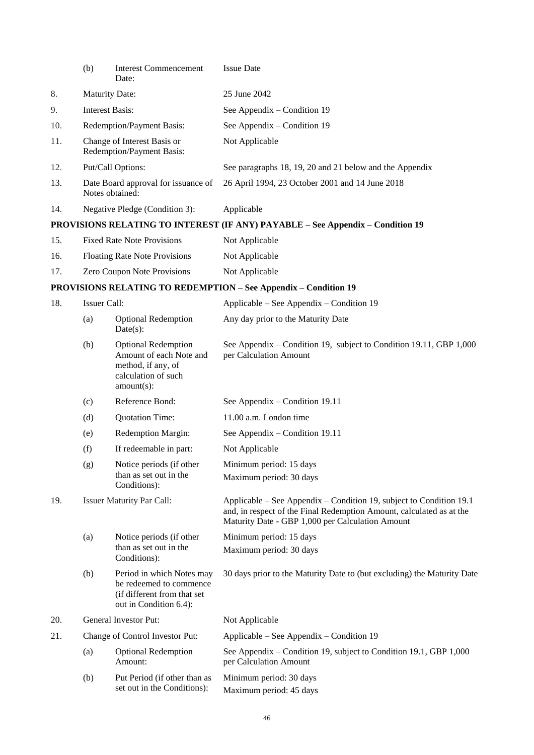|     | (b)                    | <b>Interest Commencement</b><br>Date:                                                                               | <b>Issue Date</b>                                                                                                                                                                               |
|-----|------------------------|---------------------------------------------------------------------------------------------------------------------|-------------------------------------------------------------------------------------------------------------------------------------------------------------------------------------------------|
| 8.  |                        | <b>Maturity Date:</b>                                                                                               | 25 June 2042                                                                                                                                                                                    |
| 9.  | <b>Interest Basis:</b> |                                                                                                                     | See Appendix – Condition 19                                                                                                                                                                     |
| 10. |                        | Redemption/Payment Basis:                                                                                           | See Appendix – Condition 19                                                                                                                                                                     |
| 11. |                        | Change of Interest Basis or<br>Redemption/Payment Basis:                                                            | Not Applicable                                                                                                                                                                                  |
| 12. |                        | Put/Call Options:                                                                                                   | See paragraphs 18, 19, 20 and 21 below and the Appendix                                                                                                                                         |
| 13. |                        | Date Board approval for issuance of<br>Notes obtained:                                                              | 26 April 1994, 23 October 2001 and 14 June 2018                                                                                                                                                 |
| 14. |                        | Negative Pledge (Condition 3):                                                                                      | Applicable                                                                                                                                                                                      |
|     |                        |                                                                                                                     | PROVISIONS RELATING TO INTEREST (IF ANY) PAYABLE - See Appendix - Condition 19                                                                                                                  |
| 15. |                        | <b>Fixed Rate Note Provisions</b>                                                                                   | Not Applicable                                                                                                                                                                                  |
| 16. |                        | <b>Floating Rate Note Provisions</b>                                                                                | Not Applicable                                                                                                                                                                                  |
| 17. |                        | Zero Coupon Note Provisions                                                                                         | Not Applicable                                                                                                                                                                                  |
|     |                        |                                                                                                                     | <b>PROVISIONS RELATING TO REDEMPTION - See Appendix - Condition 19</b>                                                                                                                          |
| 18. | Issuer Call:           |                                                                                                                     | Applicable – See Appendix – Condition 19                                                                                                                                                        |
|     | (a)                    | <b>Optional Redemption</b><br>$Date(s)$ :                                                                           | Any day prior to the Maturity Date                                                                                                                                                              |
|     | (b)                    | <b>Optional Redemption</b><br>Amount of each Note and<br>method, if any, of<br>calculation of such<br>$amount(s)$ : | See Appendix – Condition 19, subject to Condition 19.11, GBP 1,000<br>per Calculation Amount                                                                                                    |
|     | (c)                    | Reference Bond:                                                                                                     | See Appendix – Condition 19.11                                                                                                                                                                  |
|     | (d)                    | Quotation Time:                                                                                                     | 11.00 a.m. London time                                                                                                                                                                          |
|     | (e)                    | Redemption Margin:                                                                                                  | See Appendix - Condition 19.11                                                                                                                                                                  |
|     | (f)                    | If redeemable in part:                                                                                              | Not Applicable                                                                                                                                                                                  |
|     | (g)                    | Notice periods (if other<br>than as set out in the<br>Conditions):                                                  | Minimum period: 15 days<br>Maximum period: 30 days                                                                                                                                              |
| 19. |                        | <b>Issuer Maturity Par Call:</b>                                                                                    | Applicable – See Appendix – Condition 19, subject to Condition 19.1<br>and, in respect of the Final Redemption Amount, calculated as at the<br>Maturity Date - GBP 1,000 per Calculation Amount |
|     | (a)                    | Notice periods (if other                                                                                            | Minimum period: 15 days                                                                                                                                                                         |
|     |                        | than as set out in the<br>Conditions):                                                                              | Maximum period: 30 days                                                                                                                                                                         |
|     | (b)                    | Period in which Notes may<br>be redeemed to commence<br>(if different from that set<br>out in Condition 6.4):       | 30 days prior to the Maturity Date to (but excluding) the Maturity Date                                                                                                                         |
| 20. |                        | General Investor Put:                                                                                               | Not Applicable                                                                                                                                                                                  |
| 21. |                        | Change of Control Investor Put:                                                                                     | Applicable – See Appendix – Condition 19                                                                                                                                                        |
|     | (a)                    | <b>Optional Redemption</b><br>Amount:                                                                               | See Appendix – Condition 19, subject to Condition 19.1, GBP 1,000<br>per Calculation Amount                                                                                                     |
|     | (b)                    | Put Period (if other than as<br>set out in the Conditions):                                                         | Minimum period: 30 days<br>Maximum period: 45 days                                                                                                                                              |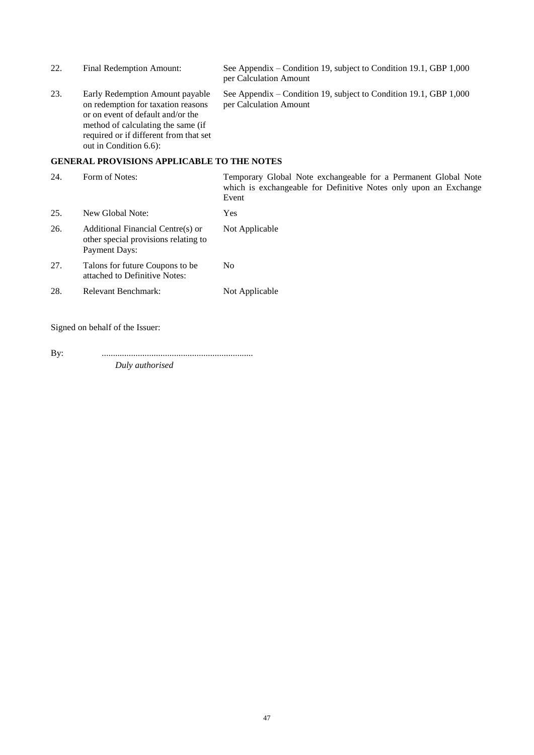| 22. | Final Redemption Amount:                                                                                                                                                                                             | See Appendix – Condition 19, subject to Condition 19.1, GBP 1,000<br>per Calculation Amount                                                 |
|-----|----------------------------------------------------------------------------------------------------------------------------------------------------------------------------------------------------------------------|---------------------------------------------------------------------------------------------------------------------------------------------|
| 23. | Early Redemption Amount payable<br>on redemption for taxation reasons<br>or on event of default and/or the<br>method of calculating the same (if<br>required or if different from that set<br>out in Condition 6.6): | See Appendix – Condition 19, subject to Condition 19.1, GBP 1,000<br>per Calculation Amount                                                 |
|     | <b>GENERAL PROVISIONS APPLICABLE TO THE NOTES</b>                                                                                                                                                                    |                                                                                                                                             |
| 24. | Form of Notes:                                                                                                                                                                                                       | Temporary Global Note exchangeable for a Permanent Global Note<br>which is exchangeable for Definitive Notes only upon an Exchange<br>Event |

| 25. | New Global Note:                                                                                  | Yes            |
|-----|---------------------------------------------------------------------------------------------------|----------------|
| 26. | Additional Financial Centre(s) or<br>other special provisions relating to<br><b>Payment Days:</b> | Not Applicable |
| 27. | Talons for future Coupons to be.<br>attached to Definitive Notes:                                 | No             |
| 28. | Relevant Benchmark:                                                                               | Not Applicable |

Signed on behalf of the Issuer:

By: ................................................................... *Duly authorised*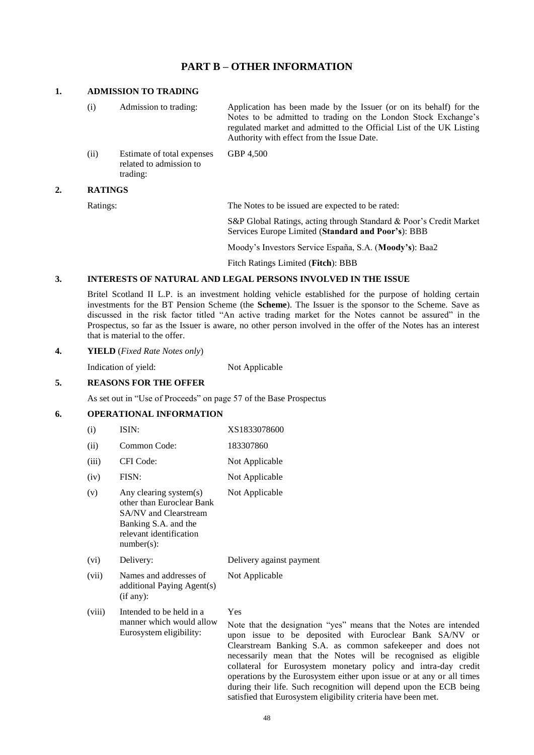### **PART B – OTHER INFORMATION**

#### **1. ADMISSION TO TRADING**

(i) Admission to trading: Application has been made by the Issuer (or on its behalf) for the Notes to be admitted to trading on the London Stock Exchange's regulated market and admitted to the Official List of the UK Listing Authority with effect from the Issue Date. (ii) Estimate of total expenses related to admission to GBP 4,500

trading:

#### **2. RATINGS**

Ratings: The Notes to be issued are expected to be rated:

S&P Global Ratings, acting through Standard & Poor's Credit Market Services Europe Limited (**Standard and Poor's**): BBB

Moody's Investors Service España, S.A. (**Moody's**): Baa2

Fitch Ratings Limited (**Fitch**): BBB

#### **3. INTERESTS OF NATURAL AND LEGAL PERSONS INVOLVED IN THE ISSUE**

Britel Scotland II L.P. is an investment holding vehicle established for the purpose of holding certain investments for the BT Pension Scheme (the **Scheme**). The Issuer is the sponsor to the Scheme. Save as discussed in the risk factor titled "An active trading market for the Notes cannot be assured" in the Prospectus, so far as the Issuer is aware, no other person involved in the offer of the Notes has an interest that is material to the offer.

#### **4. YIELD** (*Fixed Rate Notes only*)

Indication of yield: Not Applicable

#### **5. REASONS FOR THE OFFER**

As set out in "Use of Proceeds" on page 57 of the Base Prospectus

### **6. OPERATIONAL INFORMATION**

| (i)    | ISIN:                                                                                                                                                   | XS1833078600                                                                                       |  |
|--------|---------------------------------------------------------------------------------------------------------------------------------------------------------|----------------------------------------------------------------------------------------------------|--|
| (ii)   | Common Code:                                                                                                                                            | 183307860                                                                                          |  |
| (iii)  | CFI Code:                                                                                                                                               | Not Applicable                                                                                     |  |
| (iv)   | FISN:                                                                                                                                                   | Not Applicable                                                                                     |  |
| (v)    | Any clearing system(s)<br>other than Euroclear Bank<br><b>SA/NV</b> and Clearstream<br>Banking S.A. and the<br>relevant identification<br>$number(s)$ : | Not Applicable                                                                                     |  |
| (vi)   | Delivery:                                                                                                                                               | Delivery against payment                                                                           |  |
| (vii)  | Names and addresses of<br>additional Paying Agent(s)<br>(if any):                                                                                       | Not Applicable                                                                                     |  |
| (viii) | Intended to be held in a<br>manner which would allow<br>Eurosystem eligibility:                                                                         | Yes<br>Note that the designation "yes<br>upon issue to be deposited<br>Clearstream Banking S.A. as |  |

s" means that the Notes are intended with Euroclear Bank SA/NV or common safekeeper and does not necessarily mean that the Notes will be recognised as eligible collateral for Eurosystem monetary policy and intra-day credit operations by the Eurosystem either upon issue or at any or all times during their life. Such recognition will depend upon the ECB being satisfied that Eurosystem eligibility criteria have been met.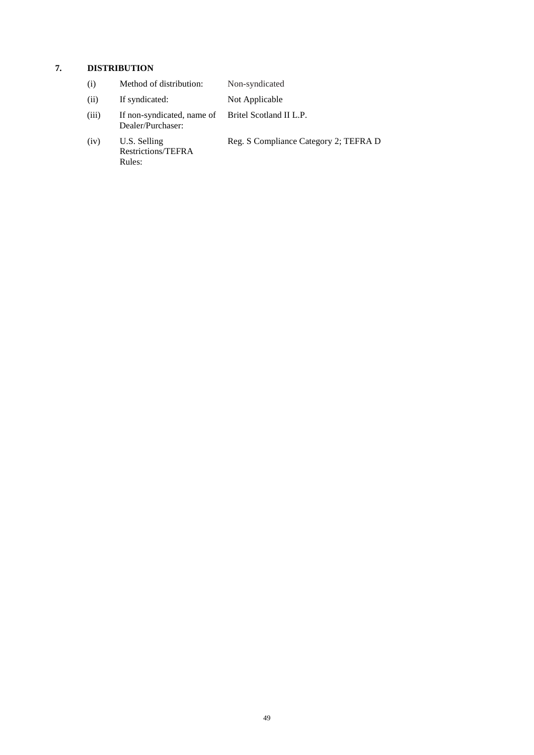# **7. DISTRIBUTION**

| (i)   | Method of distribution:                                                 | Non-syndicated                        |
|-------|-------------------------------------------------------------------------|---------------------------------------|
| (ii)  | If syndicated:                                                          | Not Applicable                        |
| (iii) | If non-syndicated, name of Britel Scotland II L.P.<br>Dealer/Purchaser: |                                       |
| (iv)  | U.S. Selling<br>Restrictions/TEFRA<br>Rules:                            | Reg. S Compliance Category 2; TEFRA D |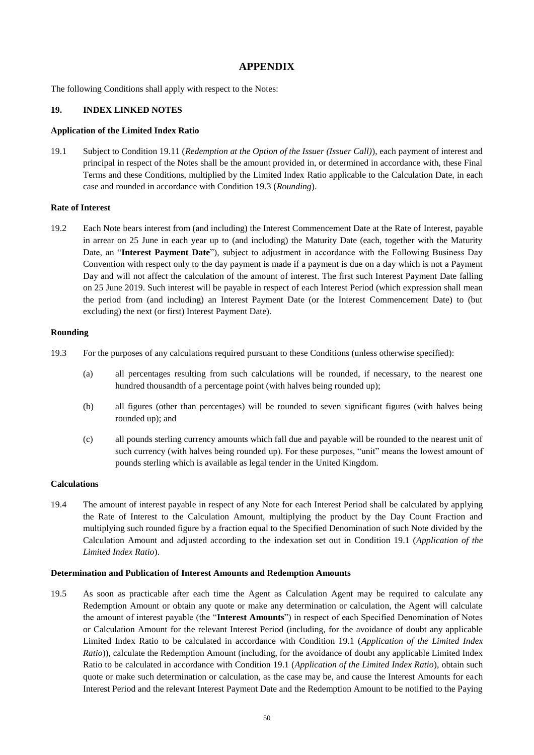### **APPENDIX**

The following Conditions shall apply with respect to the Notes:

#### **19. INDEX LINKED NOTES**

#### **Application of the Limited Index Ratio**

19.1 Subject to Condition 19.11 (*Redemption at the Option of the Issuer (Issuer Call)*), each payment of interest and principal in respect of the Notes shall be the amount provided in, or determined in accordance with, these Final Terms and these Conditions, multiplied by the Limited Index Ratio applicable to the Calculation Date, in each case and rounded in accordance with Condition 19.3 (*Rounding*).

#### **Rate of Interest**

19.2 Each Note bears interest from (and including) the Interest Commencement Date at the Rate of Interest, payable in arrear on 25 June in each year up to (and including) the Maturity Date (each, together with the Maturity Date, an "**Interest Payment Date**"), subject to adjustment in accordance with the Following Business Day Convention with respect only to the day payment is made if a payment is due on a day which is not a Payment Day and will not affect the calculation of the amount of interest. The first such Interest Payment Date falling on 25 June 2019. Such interest will be payable in respect of each Interest Period (which expression shall mean the period from (and including) an Interest Payment Date (or the Interest Commencement Date) to (but excluding) the next (or first) Interest Payment Date).

### **Rounding**

- 19.3 For the purposes of any calculations required pursuant to these Conditions (unless otherwise specified):
	- (a) all percentages resulting from such calculations will be rounded, if necessary, to the nearest one hundred thousandth of a percentage point (with halves being rounded up);
	- (b) all figures (other than percentages) will be rounded to seven significant figures (with halves being rounded up); and
	- (c) all pounds sterling currency amounts which fall due and payable will be rounded to the nearest unit of such currency (with halves being rounded up). For these purposes, "unit" means the lowest amount of pounds sterling which is available as legal tender in the United Kingdom.

#### **Calculations**

19.4 The amount of interest payable in respect of any Note for each Interest Period shall be calculated by applying the Rate of Interest to the Calculation Amount, multiplying the product by the Day Count Fraction and multiplying such rounded figure by a fraction equal to the Specified Denomination of such Note divided by the Calculation Amount and adjusted according to the indexation set out in Condition 19.1 (*Application of the Limited Index Ratio*).

#### **Determination and Publication of Interest Amounts and Redemption Amounts**

19.5 As soon as practicable after each time the Agent as Calculation Agent may be required to calculate any Redemption Amount or obtain any quote or make any determination or calculation, the Agent will calculate the amount of interest payable (the "**Interest Amounts**") in respect of each Specified Denomination of Notes or Calculation Amount for the relevant Interest Period (including, for the avoidance of doubt any applicable Limited Index Ratio to be calculated in accordance with Condition 19.1 (*Application of the Limited Index Ratio*)), calculate the Redemption Amount (including, for the avoidance of doubt any applicable Limited Index Ratio to be calculated in accordance with Condition 19.1 (*Application of the Limited Index Ratio*), obtain such quote or make such determination or calculation, as the case may be, and cause the Interest Amounts for each Interest Period and the relevant Interest Payment Date and the Redemption Amount to be notified to the Paying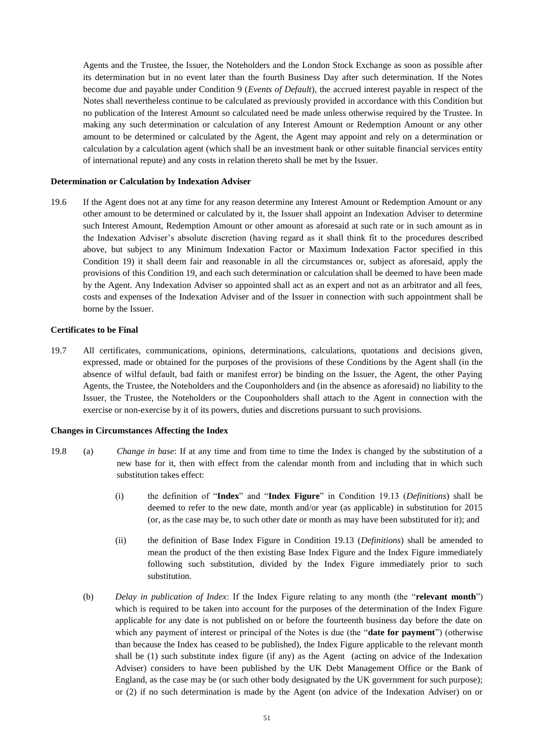Agents and the Trustee, the Issuer, the Noteholders and the London Stock Exchange as soon as possible after its determination but in no event later than the fourth Business Day after such determination. If the Notes become due and payable under Condition 9 (*Events of Default*), the accrued interest payable in respect of the Notes shall nevertheless continue to be calculated as previously provided in accordance with this Condition but no publication of the Interest Amount so calculated need be made unless otherwise required by the Trustee. In making any such determination or calculation of any Interest Amount or Redemption Amount or any other amount to be determined or calculated by the Agent, the Agent may appoint and rely on a determination or calculation by a calculation agent (which shall be an investment bank or other suitable financial services entity of international repute) and any costs in relation thereto shall be met by the Issuer.

#### **Determination or Calculation by Indexation Adviser**

19.6 If the Agent does not at any time for any reason determine any Interest Amount or Redemption Amount or any other amount to be determined or calculated by it, the Issuer shall appoint an Indexation Adviser to determine such Interest Amount, Redemption Amount or other amount as aforesaid at such rate or in such amount as in the Indexation Adviser's absolute discretion (having regard as it shall think fit to the procedures described above, but subject to any Minimum Indexation Factor or Maximum Indexation Factor specified in this Condition 19) it shall deem fair and reasonable in all the circumstances or, subject as aforesaid, apply the provisions of this Condition 19, and each such determination or calculation shall be deemed to have been made by the Agent. Any Indexation Adviser so appointed shall act as an expert and not as an arbitrator and all fees, costs and expenses of the Indexation Adviser and of the Issuer in connection with such appointment shall be borne by the Issuer.

#### **Certificates to be Final**

19.7 All certificates, communications, opinions, determinations, calculations, quotations and decisions given, expressed, made or obtained for the purposes of the provisions of these Conditions by the Agent shall (in the absence of wilful default, bad faith or manifest error) be binding on the Issuer, the Agent, the other Paying Agents, the Trustee, the Noteholders and the Couponholders and (in the absence as aforesaid) no liability to the Issuer, the Trustee, the Noteholders or the Couponholders shall attach to the Agent in connection with the exercise or non-exercise by it of its powers, duties and discretions pursuant to such provisions.

#### **Changes in Circumstances Affecting the Index**

- 19.8 (a) *Change in base*: If at any time and from time to time the Index is changed by the substitution of a new base for it, then with effect from the calendar month from and including that in which such substitution takes effect:
	- (i) the definition of "**Index**" and "**Index Figure**" in Condition 19.13 (*Definitions*) shall be deemed to refer to the new date, month and/or year (as applicable) in substitution for 2015 (or, as the case may be, to such other date or month as may have been substituted for it); and
	- (ii) the definition of Base Index Figure in Condition 19.13 (*Definitions*) shall be amended to mean the product of the then existing Base Index Figure and the Index Figure immediately following such substitution, divided by the Index Figure immediately prior to such substitution.
	- (b) *Delay in publication of Index*: If the Index Figure relating to any month (the "**relevant month**") which is required to be taken into account for the purposes of the determination of the Index Figure applicable for any date is not published on or before the fourteenth business day before the date on which any payment of interest or principal of the Notes is due (the "**date for payment**") (otherwise than because the Index has ceased to be published), the Index Figure applicable to the relevant month shall be (1) such substitute index figure (if any) as the Agent (acting on advice of the Indexation Adviser) considers to have been published by the UK Debt Management Office or the Bank of England, as the case may be (or such other body designated by the UK government for such purpose); or (2) if no such determination is made by the Agent (on advice of the Indexation Adviser) on or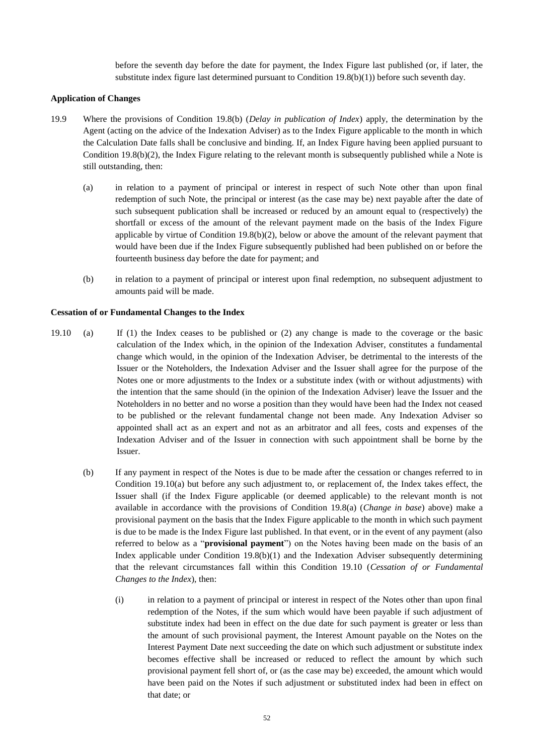before the seventh day before the date for payment, the Index Figure last published (or, if later, the substitute index figure last determined pursuant to Condition 19.8(b)(1)) before such seventh day.

#### **Application of Changes**

- 19.9 Where the provisions of Condition 19.8(b) (*Delay in publication of Index*) apply, the determination by the Agent (acting on the advice of the Indexation Adviser) as to the Index Figure applicable to the month in which the Calculation Date falls shall be conclusive and binding. If, an Index Figure having been applied pursuant to Condition  $19.8(b)(2)$ , the Index Figure relating to the relevant month is subsequently published while a Note is still outstanding, then:
	- (a) in relation to a payment of principal or interest in respect of such Note other than upon final redemption of such Note, the principal or interest (as the case may be) next payable after the date of such subsequent publication shall be increased or reduced by an amount equal to (respectively) the shortfall or excess of the amount of the relevant payment made on the basis of the Index Figure applicable by virtue of Condition  $19.8(b)(2)$ , below or above the amount of the relevant payment that would have been due if the Index Figure subsequently published had been published on or before the fourteenth business day before the date for payment; and
	- (b) in relation to a payment of principal or interest upon final redemption, no subsequent adjustment to amounts paid will be made.

#### **Cessation of or Fundamental Changes to the Index**

- 19.10 (a) If (1) the Index ceases to be published or (2) any change is made to the coverage or the basic calculation of the Index which, in the opinion of the Indexation Adviser, constitutes a fundamental change which would, in the opinion of the Indexation Adviser, be detrimental to the interests of the Issuer or the Noteholders, the Indexation Adviser and the Issuer shall agree for the purpose of the Notes one or more adjustments to the Index or a substitute index (with or without adjustments) with the intention that the same should (in the opinion of the Indexation Adviser) leave the Issuer and the Noteholders in no better and no worse a position than they would have been had the Index not ceased to be published or the relevant fundamental change not been made. Any Indexation Adviser so appointed shall act as an expert and not as an arbitrator and all fees, costs and expenses of the Indexation Adviser and of the Issuer in connection with such appointment shall be borne by the Issuer.
	- (b) If any payment in respect of the Notes is due to be made after the cessation or changes referred to in Condition 19.10(a) but before any such adjustment to, or replacement of, the Index takes effect, the Issuer shall (if the Index Figure applicable (or deemed applicable) to the relevant month is not available in accordance with the provisions of Condition 19.8(a) (*Change in base*) above) make a provisional payment on the basis that the Index Figure applicable to the month in which such payment is due to be made is the Index Figure last published. In that event, or in the event of any payment (also referred to below as a "**provisional payment**") on the Notes having been made on the basis of an Index applicable under Condition  $19.8(b)(1)$  and the Indexation Adviser subsequently determining that the relevant circumstances fall within this Condition 19.10 (*Cessation of or Fundamental Changes to the Index*), then:
		- (i) in relation to a payment of principal or interest in respect of the Notes other than upon final redemption of the Notes, if the sum which would have been payable if such adjustment of substitute index had been in effect on the due date for such payment is greater or less than the amount of such provisional payment, the Interest Amount payable on the Notes on the Interest Payment Date next succeeding the date on which such adjustment or substitute index becomes effective shall be increased or reduced to reflect the amount by which such provisional payment fell short of, or (as the case may be) exceeded, the amount which would have been paid on the Notes if such adjustment or substituted index had been in effect on that date; or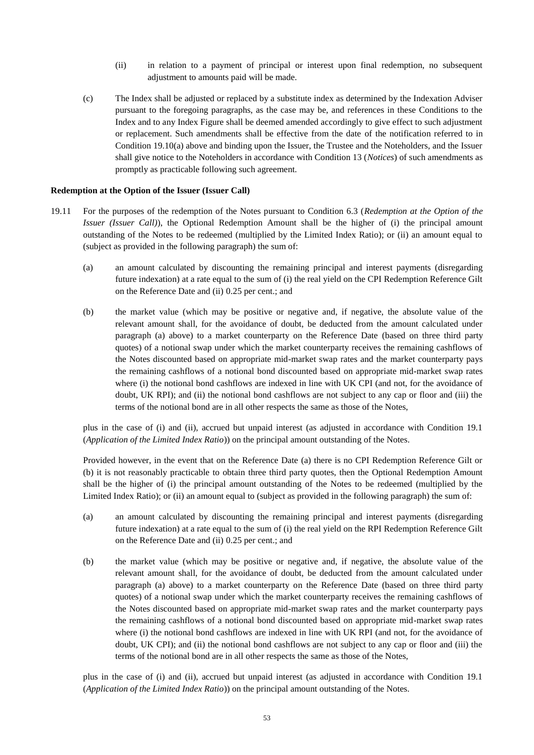- (ii) in relation to a payment of principal or interest upon final redemption, no subsequent adjustment to amounts paid will be made.
- (c) The Index shall be adjusted or replaced by a substitute index as determined by the Indexation Adviser pursuant to the foregoing paragraphs, as the case may be, and references in these Conditions to the Index and to any Index Figure shall be deemed amended accordingly to give effect to such adjustment or replacement. Such amendments shall be effective from the date of the notification referred to in Condition 19.10(a) above and binding upon the Issuer, the Trustee and the Noteholders, and the Issuer shall give notice to the Noteholders in accordance with Condition 13 (*Notices*) of such amendments as promptly as practicable following such agreement.

#### **Redemption at the Option of the Issuer (Issuer Call)**

- 19.11 For the purposes of the redemption of the Notes pursuant to Condition 6.3 (*Redemption at the Option of the Issuer (Issuer Call)*), the Optional Redemption Amount shall be the higher of (i) the principal amount outstanding of the Notes to be redeemed (multiplied by the Limited Index Ratio); or (ii) an amount equal to (subject as provided in the following paragraph) the sum of:
	- (a) an amount calculated by discounting the remaining principal and interest payments (disregarding future indexation) at a rate equal to the sum of (i) the real yield on the CPI Redemption Reference Gilt on the Reference Date and (ii) 0.25 per cent.; and
	- (b) the market value (which may be positive or negative and, if negative, the absolute value of the relevant amount shall, for the avoidance of doubt, be deducted from the amount calculated under paragraph (a) above) to a market counterparty on the Reference Date (based on three third party quotes) of a notional swap under which the market counterparty receives the remaining cashflows of the Notes discounted based on appropriate mid-market swap rates and the market counterparty pays the remaining cashflows of a notional bond discounted based on appropriate mid-market swap rates where (i) the notional bond cashflows are indexed in line with UK CPI (and not, for the avoidance of doubt, UK RPI); and (ii) the notional bond cashflows are not subject to any cap or floor and (iii) the terms of the notional bond are in all other respects the same as those of the Notes,

plus in the case of (i) and (ii), accrued but unpaid interest (as adjusted in accordance with Condition 19.1 (*Application of the Limited Index Ratio*)) on the principal amount outstanding of the Notes.

Provided however, in the event that on the Reference Date (a) there is no CPI Redemption Reference Gilt or (b) it is not reasonably practicable to obtain three third party quotes, then the Optional Redemption Amount shall be the higher of (i) the principal amount outstanding of the Notes to be redeemed (multiplied by the Limited Index Ratio); or (ii) an amount equal to (subject as provided in the following paragraph) the sum of:

- (a) an amount calculated by discounting the remaining principal and interest payments (disregarding future indexation) at a rate equal to the sum of (i) the real yield on the RPI Redemption Reference Gilt on the Reference Date and (ii) 0.25 per cent.; and
- (b) the market value (which may be positive or negative and, if negative, the absolute value of the relevant amount shall, for the avoidance of doubt, be deducted from the amount calculated under paragraph (a) above) to a market counterparty on the Reference Date (based on three third party quotes) of a notional swap under which the market counterparty receives the remaining cashflows of the Notes discounted based on appropriate mid-market swap rates and the market counterparty pays the remaining cashflows of a notional bond discounted based on appropriate mid-market swap rates where (i) the notional bond cashflows are indexed in line with UK RPI (and not, for the avoidance of doubt, UK CPI); and (ii) the notional bond cashflows are not subject to any cap or floor and (iii) the terms of the notional bond are in all other respects the same as those of the Notes,

plus in the case of (i) and (ii), accrued but unpaid interest (as adjusted in accordance with Condition 19.1 (*Application of the Limited Index Ratio*)) on the principal amount outstanding of the Notes.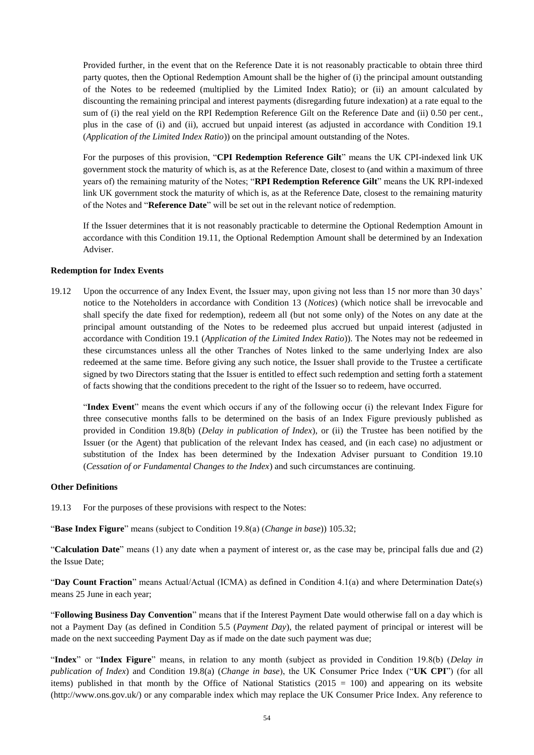Provided further, in the event that on the Reference Date it is not reasonably practicable to obtain three third party quotes, then the Optional Redemption Amount shall be the higher of (i) the principal amount outstanding of the Notes to be redeemed (multiplied by the Limited Index Ratio); or (ii) an amount calculated by discounting the remaining principal and interest payments (disregarding future indexation) at a rate equal to the sum of (i) the real yield on the RPI Redemption Reference Gilt on the Reference Date and (ii) 0.50 per cent., plus in the case of (i) and (ii), accrued but unpaid interest (as adjusted in accordance with Condition 19.1 (*Application of the Limited Index Ratio*)) on the principal amount outstanding of the Notes.

For the purposes of this provision, "**CPI Redemption Reference Gilt**" means the UK CPI-indexed link UK government stock the maturity of which is, as at the Reference Date, closest to (and within a maximum of three years of) the remaining maturity of the Notes; "**RPI Redemption Reference Gilt**" means the UK RPI-indexed link UK government stock the maturity of which is, as at the Reference Date, closest to the remaining maturity of the Notes and "**Reference Date**" will be set out in the relevant notice of redemption.

If the Issuer determines that it is not reasonably practicable to determine the Optional Redemption Amount in accordance with this Condition 19.11, the Optional Redemption Amount shall be determined by an Indexation Adviser.

#### **Redemption for Index Events**

19.12 Upon the occurrence of any Index Event, the Issuer may, upon giving not less than 15 nor more than 30 days' notice to the Noteholders in accordance with Condition 13 (*Notices*) (which notice shall be irrevocable and shall specify the date fixed for redemption), redeem all (but not some only) of the Notes on any date at the principal amount outstanding of the Notes to be redeemed plus accrued but unpaid interest (adjusted in accordance with Condition 19.1 (*Application of the Limited Index Ratio*)). The Notes may not be redeemed in these circumstances unless all the other Tranches of Notes linked to the same underlying Index are also redeemed at the same time. Before giving any such notice, the Issuer shall provide to the Trustee a certificate signed by two Directors stating that the Issuer is entitled to effect such redemption and setting forth a statement of facts showing that the conditions precedent to the right of the Issuer so to redeem, have occurred.

"**Index Event**" means the event which occurs if any of the following occur (i) the relevant Index Figure for three consecutive months falls to be determined on the basis of an Index Figure previously published as provided in Condition 19.8(b) (*Delay in publication of Index*), or (ii) the Trustee has been notified by the Issuer (or the Agent) that publication of the relevant Index has ceased, and (in each case) no adjustment or substitution of the Index has been determined by the Indexation Adviser pursuant to Condition 19.10 (*Cessation of or Fundamental Changes to the Index*) and such circumstances are continuing.

#### **Other Definitions**

19.13 For the purposes of these provisions with respect to the Notes:

"**Base Index Figure**" means (subject to Condition 19.8(a) (*Change in base*)) 105.32;

"**Calculation Date**" means (1) any date when a payment of interest or, as the case may be, principal falls due and (2) the Issue Date;

"**Day Count Fraction**" means Actual/Actual (ICMA) as defined in Condition 4.1(a) and where Determination Date(s) means 25 June in each year;

"**Following Business Day Convention**" means that if the Interest Payment Date would otherwise fall on a day which is not a Payment Day (as defined in Condition 5.5 (*Payment Day*), the related payment of principal or interest will be made on the next succeeding Payment Day as if made on the date such payment was due;

"**Index**" or "**Index Figure**" means, in relation to any month (subject as provided in Condition 19.8(b) (*Delay in publication of Index*) and Condition 19.8(a) (*Change in base*), the UK Consumer Price Index ("**UK CPI**") (for all items) published in that month by the Office of National Statistics ( $2015 = 100$ ) and appearing on its website (http://www.ons.gov.uk/) or any comparable index which may replace the UK Consumer Price Index. Any reference to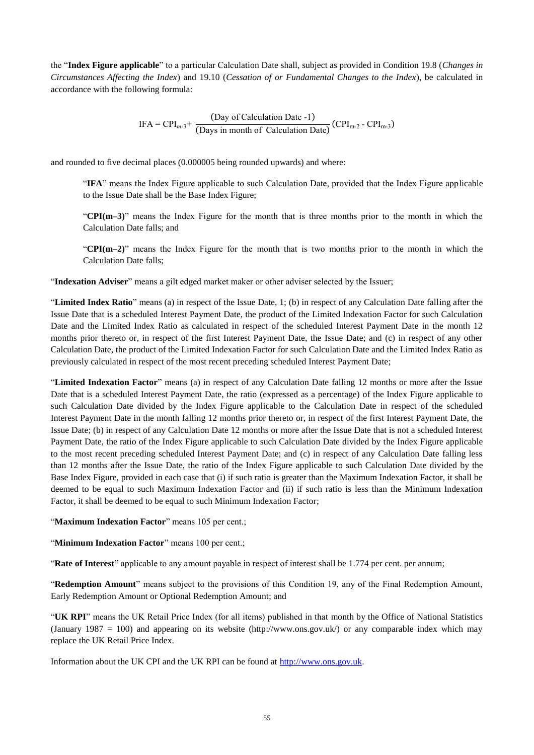the "**Index Figure applicable**" to a particular Calculation Date shall, subject as provided in Condition 19.8 (*Changes in Circumstances Affecting the Index*) and 19.10 (*Cessation of or Fundamental Changes to the Index*), be calculated in accordance with the following formula:

$$
IFA = CPI_{m-3} + \frac{(Day of Calculation Date - 1)}{(Days in month of Calculation Date)} (CPI_{m-2} - CPI_{m-3})
$$

and rounded to five decimal places (0.000005 being rounded upwards) and where:

"**IFA**" means the Index Figure applicable to such Calculation Date, provided that the Index Figure applicable to the Issue Date shall be the Base Index Figure;

"**CPI(m–3)**" means the Index Figure for the month that is three months prior to the month in which the Calculation Date falls; and

"**CPI(m–2)**" means the Index Figure for the month that is two months prior to the month in which the Calculation Date falls;

"**Indexation Adviser**" means a gilt edged market maker or other adviser selected by the Issuer;

"**Limited Index Ratio**" means (a) in respect of the Issue Date, 1; (b) in respect of any Calculation Date falling after the Issue Date that is a scheduled Interest Payment Date, the product of the Limited Indexation Factor for such Calculation Date and the Limited Index Ratio as calculated in respect of the scheduled Interest Payment Date in the month 12 months prior thereto or, in respect of the first Interest Payment Date, the Issue Date; and (c) in respect of any other Calculation Date, the product of the Limited Indexation Factor for such Calculation Date and the Limited Index Ratio as previously calculated in respect of the most recent preceding scheduled Interest Payment Date;

"**Limited Indexation Factor**" means (a) in respect of any Calculation Date falling 12 months or more after the Issue Date that is a scheduled Interest Payment Date, the ratio (expressed as a percentage) of the Index Figure applicable to such Calculation Date divided by the Index Figure applicable to the Calculation Date in respect of the scheduled Interest Payment Date in the month falling 12 months prior thereto or, in respect of the first Interest Payment Date, the Issue Date; (b) in respect of any Calculation Date 12 months or more after the Issue Date that is not a scheduled Interest Payment Date, the ratio of the Index Figure applicable to such Calculation Date divided by the Index Figure applicable to the most recent preceding scheduled Interest Payment Date; and (c) in respect of any Calculation Date falling less than 12 months after the Issue Date, the ratio of the Index Figure applicable to such Calculation Date divided by the Base Index Figure, provided in each case that (i) if such ratio is greater than the Maximum Indexation Factor, it shall be deemed to be equal to such Maximum Indexation Factor and (ii) if such ratio is less than the Minimum Indexation Factor, it shall be deemed to be equal to such Minimum Indexation Factor;

"**Maximum Indexation Factor**" means 105 per cent.;

"**Minimum Indexation Factor**" means 100 per cent.;

"**Rate of Interest**" applicable to any amount payable in respect of interest shall be 1.774 per cent. per annum;

"**Redemption Amount**" means subject to the provisions of this Condition 19, any of the Final Redemption Amount, Early Redemption Amount or Optional Redemption Amount; and

"**UK RPI**" means the UK Retail Price Index (for all items) published in that month by the Office of National Statistics (January 1987 = 100) and appearing on its website (http://www.ons.gov.uk/) or any comparable index which may replace the UK Retail Price Index.

Information about the UK CPI and the UK RPI can be found at [http://www.ons.gov.uk.](http://www.ons.gov.uk/)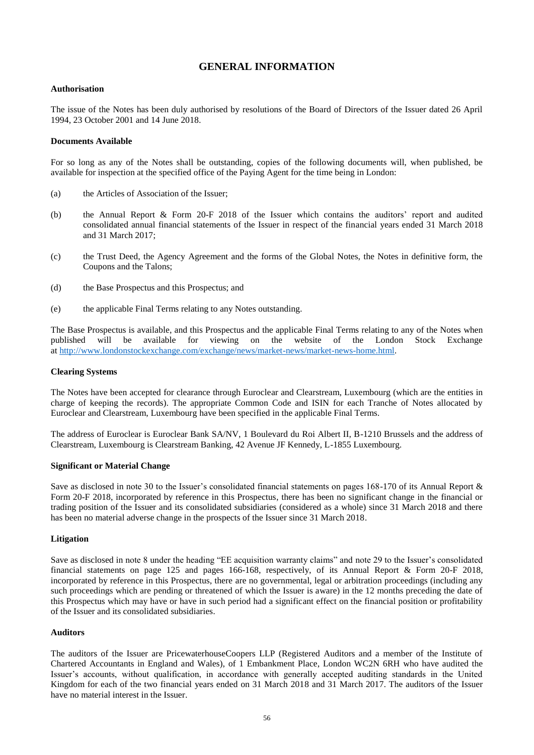### **GENERAL INFORMATION**

#### <span id="page-55-0"></span>**Authorisation**

The issue of the Notes has been duly authorised by resolutions of the Board of Directors of the Issuer dated 26 April 1994, 23 October 2001 and 14 June 2018.

#### **Documents Available**

For so long as any of the Notes shall be outstanding, copies of the following documents will, when published, be available for inspection at the specified office of the Paying Agent for the time being in London:

- (a) the Articles of Association of the Issuer;
- (b) the Annual Report & Form 20-F 2018 of the Issuer which contains the auditors' report and audited consolidated annual financial statements of the Issuer in respect of the financial years ended 31 March 2018 and 31 March 2017;
- (c) the Trust Deed, the Agency Agreement and the forms of the Global Notes, the Notes in definitive form, the Coupons and the Talons;
- (d) the Base Prospectus and this Prospectus; and
- (e) the applicable Final Terms relating to any Notes outstanding.

The Base Prospectus is available, and this Prospectus and the applicable Final Terms relating to any of the Notes when published will be available for viewing on the website of the London Stock Exchange at [http://www.londonstockexchange.com/exchange/news/market-news/market-news-home.html.](http://www.londonstockexchange.com/exchange/news/market-news/market-news-home.html)

#### **Clearing Systems**

The Notes have been accepted for clearance through Euroclear and Clearstream, Luxembourg (which are the entities in charge of keeping the records). The appropriate Common Code and ISIN for each Tranche of Notes allocated by Euroclear and Clearstream, Luxembourg have been specified in the applicable Final Terms.

The address of Euroclear is Euroclear Bank SA/NV, 1 Boulevard du Roi Albert II, B-1210 Brussels and the address of Clearstream, Luxembourg is Clearstream Banking, 42 Avenue JF Kennedy, L-1855 Luxembourg.

#### **Significant or Material Change**

Save as disclosed in note 30 to the Issuer's consolidated financial statements on pages 168-170 of its Annual Report & Form 20-F 2018, incorporated by reference in this Prospectus, there has been no significant change in the financial or trading position of the Issuer and its consolidated subsidiaries (considered as a whole) since 31 March 2018 and there has been no material adverse change in the prospects of the Issuer since 31 March 2018.

#### **Litigation**

Save as disclosed in note 8 under the heading "EE acquisition warranty claims" and note 29 to the Issuer's consolidated financial statements on page 125 and pages 166-168, respectively, of its Annual Report & Form 20-F 2018, incorporated by reference in this Prospectus, there are no governmental, legal or arbitration proceedings (including any such proceedings which are pending or threatened of which the Issuer is aware) in the 12 months preceding the date of this Prospectus which may have or have in such period had a significant effect on the financial position or profitability of the Issuer and its consolidated subsidiaries.

#### **Auditors**

The auditors of the Issuer are PricewaterhouseCoopers LLP (Registered Auditors and a member of the Institute of Chartered Accountants in England and Wales), of 1 Embankment Place, London WC2N 6RH who have audited the Issuer's accounts, without qualification, in accordance with generally accepted auditing standards in the United Kingdom for each of the two financial years ended on 31 March 2018 and 31 March 2017. The auditors of the Issuer have no material interest in the Issuer.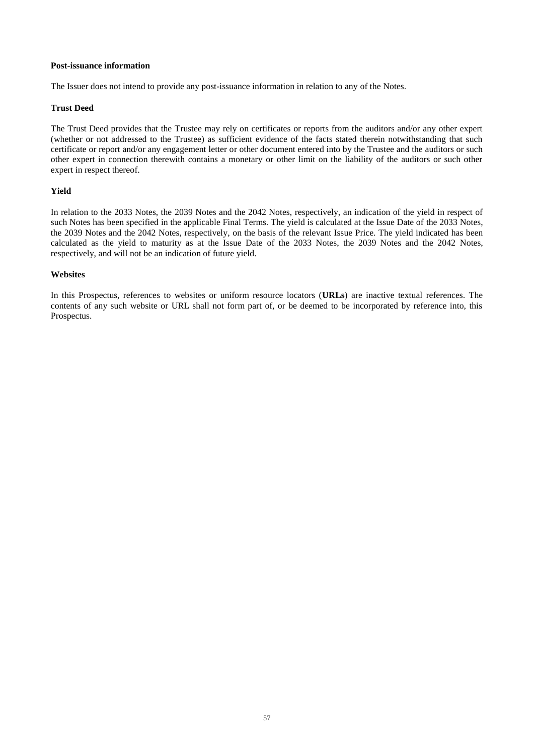#### **Post-issuance information**

The Issuer does not intend to provide any post-issuance information in relation to any of the Notes.

#### **Trust Deed**

The Trust Deed provides that the Trustee may rely on certificates or reports from the auditors and/or any other expert (whether or not addressed to the Trustee) as sufficient evidence of the facts stated therein notwithstanding that such certificate or report and/or any engagement letter or other document entered into by the Trustee and the auditors or such other expert in connection therewith contains a monetary or other limit on the liability of the auditors or such other expert in respect thereof.

#### **Yield**

In relation to the 2033 Notes, the 2039 Notes and the 2042 Notes, respectively, an indication of the yield in respect of such Notes has been specified in the applicable Final Terms. The yield is calculated at the Issue Date of the 2033 Notes, the 2039 Notes and the 2042 Notes, respectively, on the basis of the relevant Issue Price. The yield indicated has been calculated as the yield to maturity as at the Issue Date of the 2033 Notes, the 2039 Notes and the 2042 Notes, respectively, and will not be an indication of future yield.

#### **Websites**

In this Prospectus, references to websites or uniform resource locators (**URLs**) are inactive textual references. The contents of any such website or URL shall not form part of, or be deemed to be incorporated by reference into, this Prospectus.